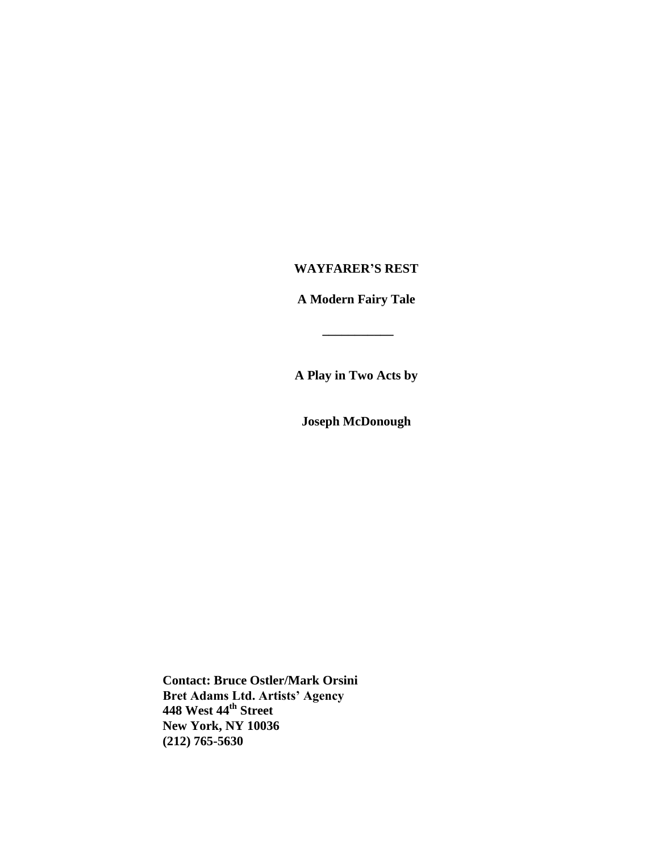# **WAYFARER'S REST**

**A Modern Fairy Tale**

**\_\_\_\_\_\_\_\_\_\_\_**

**A Play in Two Acts by**

**Joseph McDonough**

**Contact: Bruce Ostler/Mark Orsini Bret Adams Ltd. Artists' Agency 448 West 44th Street New York, NY 10036 (212) 765-5630**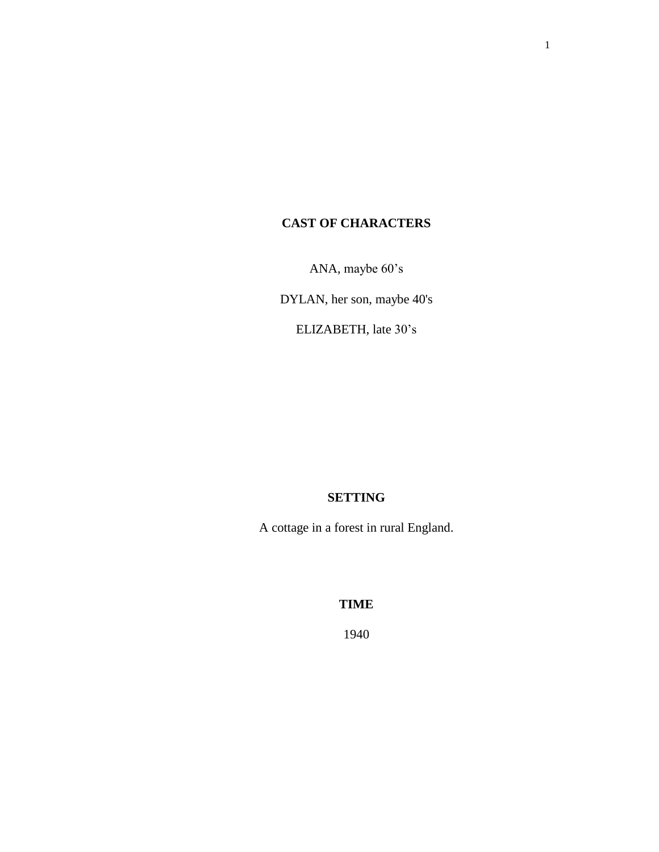# **CAST OF CHARACTERS**

ANA, maybe 60's

DYLAN, her son, maybe 40's

ELIZABETH, late 30's

# **SETTING**

A cottage in a forest in rural England.

# **TIME**

1940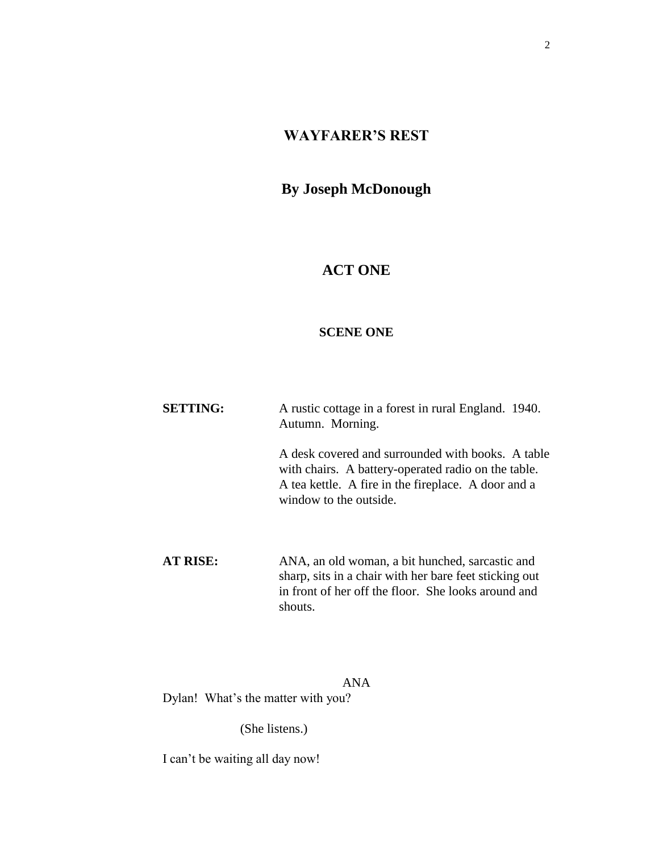# **WAYFARER'S REST**

# **By Joseph McDonough**

# **ACT ONE**

# **SCENE ONE**

| <b>SETTING:</b> | A rustic cottage in a forest in rural England. 1940.<br>Autumn. Morning.                                                                                                                  |
|-----------------|-------------------------------------------------------------------------------------------------------------------------------------------------------------------------------------------|
|                 | A desk covered and surrounded with books. A table<br>with chairs. A battery-operated radio on the table.<br>A tea kettle. A fire in the fireplace. A door and a<br>window to the outside. |
| <b>AT RISE:</b> | ANA, an old woman, a bit hunched, sarcastic and<br>sharp, sits in a chair with her bare feet sticking out<br>in front of her off the floor. She looks around and<br>shouts.               |

ANA Dylan! What's the matter with you?

(She listens.)

I can't be waiting all day now!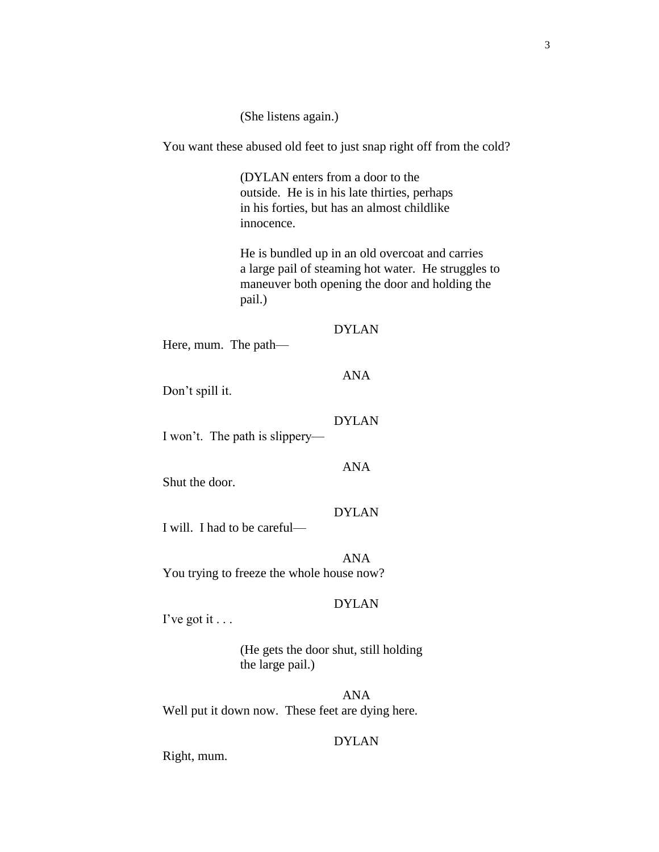(She listens again.)

You want these abused old feet to just snap right off from the cold?

(DYLAN enters from a door to the outside. He is in his late thirties, perhaps in his forties, but has an almost childlike innocence.

He is bundled up in an old overcoat and carries a large pail of steaming hot water. He struggles to maneuver both opening the door and holding the pail.)

#### DYLAN

ANA

ANA

Here, mum. The path—

Don't spill it.

DYLAN I won't. The path is slippery—

Shut the door.

DYLAN

I will. I had to be careful—

ANA You trying to freeze the whole house now?

# DYLAN

I've got it . . .

(He gets the door shut, still holding the large pail.)

ANA Well put it down now. These feet are dying here.

## DYLAN

Right, mum.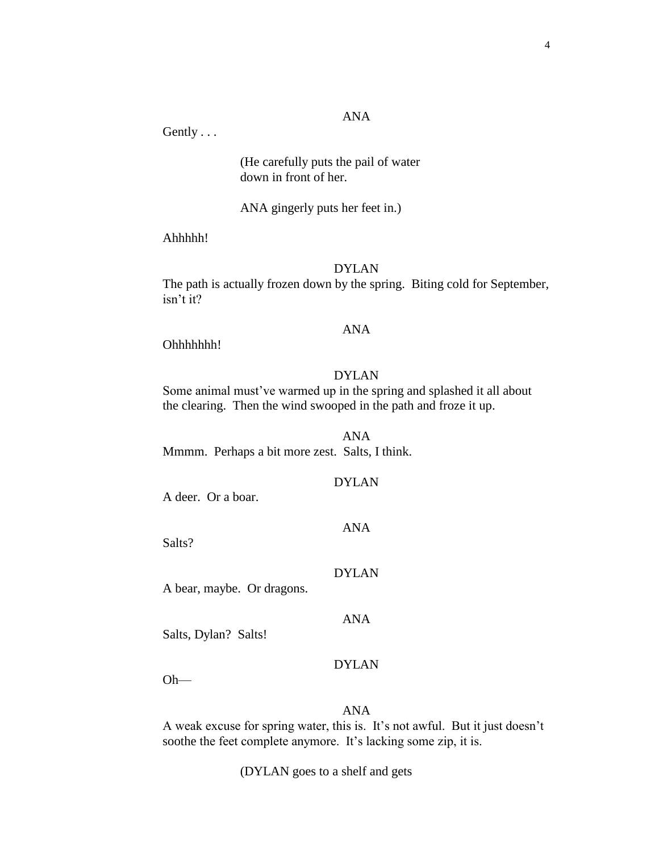Gently . . .

(He carefully puts the pail of water down in front of her.

ANA gingerly puts her feet in.)

Ahhhhh!

#### DYLAN

The path is actually frozen down by the spring. Biting cold for September, isn't it?

#### ANA

Ohhhhhhh!

# DYLAN

Some animal must've warmed up in the spring and splashed it all about the clearing. Then the wind swooped in the path and froze it up.

ANA Mmmm. Perhaps a bit more zest. Salts, I think.

# DYLAN

A deer. Or a boar.

ANA

DYLAN

Salts?

A bear, maybe. Or dragons.

ANA

Salts, Dylan? Salts!

# DYLAN

Oh—

#### ANA

A weak excuse for spring water, this is. It's not awful. But it just doesn't soothe the feet complete anymore. It's lacking some zip, it is.

(DYLAN goes to a shelf and gets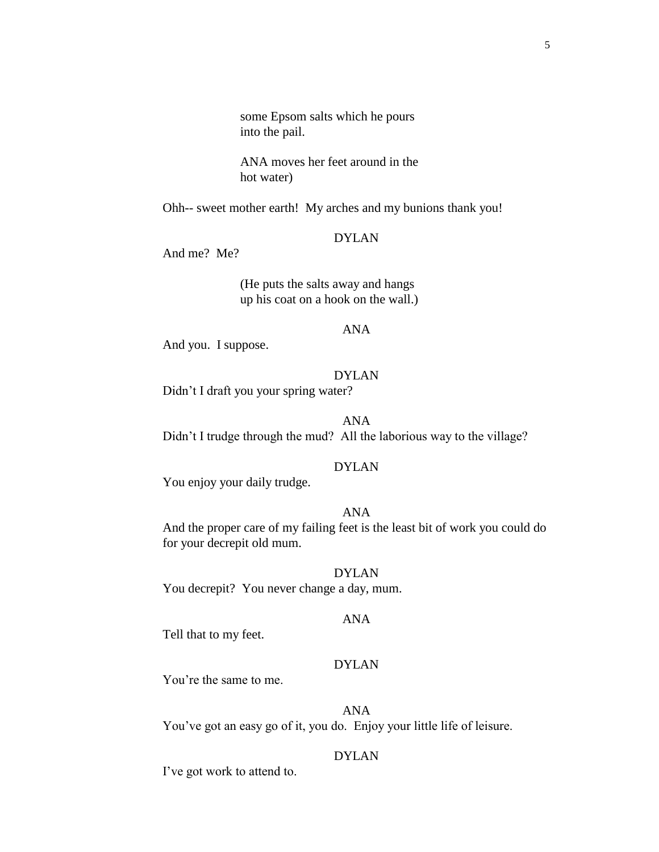some Epsom salts which he pours into the pail.

ANA moves her feet around in the hot water)

Ohh-- sweet mother earth! My arches and my bunions thank you!

# DYLAN

And me? Me?

(He puts the salts away and hangs up his coat on a hook on the wall.)

#### ANA

And you. I suppose.

# DYLAN

ANA

Didn't I draft you your spring water?

Didn't I trudge through the mud? All the laborious way to the village?

#### DYLAN

You enjoy your daily trudge.

# ANA

And the proper care of my failing feet is the least bit of work you could do for your decrepit old mum.

## DYLAN

You decrepit? You never change a day, mum.

#### ANA

Tell that to my feet.

# DYLAN

You're the same to me.

#### ANA

You've got an easy go of it, you do. Enjoy your little life of leisure.

#### DYLAN

I've got work to attend to.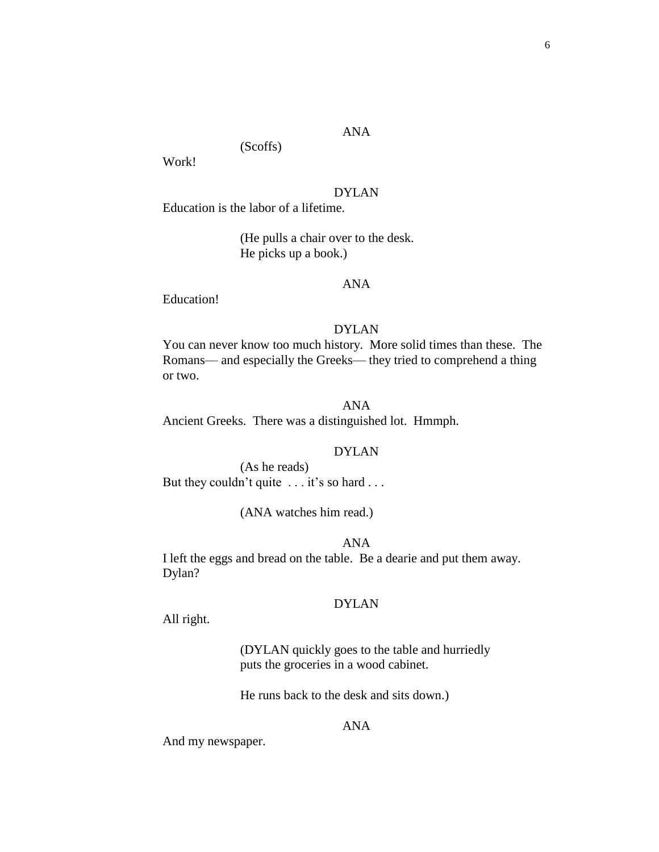# ANA

(Scoffs)

Work!

# DYLAN

Education is the labor of a lifetime.

(He pulls a chair over to the desk. He picks up a book.)

## ANA

Education!

# DYLAN

You can never know too much history. More solid times than these. The Romans— and especially the Greeks— they tried to comprehend a thing or two.

#### ANA

Ancient Greeks. There was a distinguished lot. Hmmph.

## DYLAN

(As he reads) But they couldn't quite ... it's so hard ...

(ANA watches him read.)

ANA

I left the eggs and bread on the table. Be a dearie and put them away. Dylan?

# DYLAN

All right.

(DYLAN quickly goes to the table and hurriedly puts the groceries in a wood cabinet.

He runs back to the desk and sits down.)

# ANA

And my newspaper.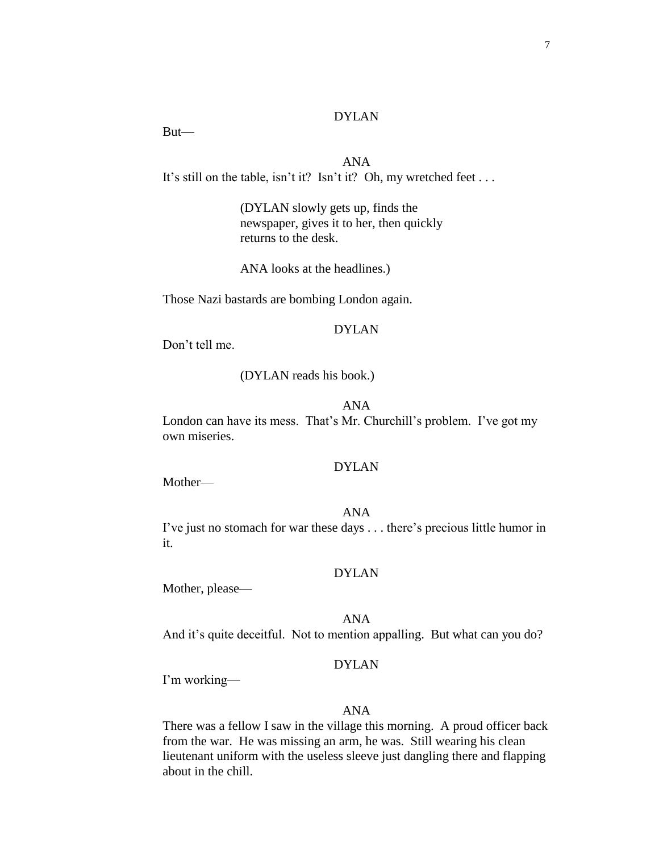But—

#### ANA

It's still on the table, isn't it? Isn't it? Oh, my wretched feet . . .

(DYLAN slowly gets up, finds the newspaper, gives it to her, then quickly returns to the desk.

ANA looks at the headlines.)

Those Nazi bastards are bombing London again.

#### DYLAN

Don't tell me.

#### (DYLAN reads his book.)

#### ANA

London can have its mess. That's Mr. Churchill's problem. I've got my own miseries.

#### DYLAN

Mother—

#### ANA

I've just no stomach for war these days . . . there's precious little humor in it.

# DYLAN

Mother, please—

#### ANA

And it's quite deceitful. Not to mention appalling. But what can you do?

#### DYLAN

I'm working—

# ANA

There was a fellow I saw in the village this morning. A proud officer back from the war. He was missing an arm, he was. Still wearing his clean lieutenant uniform with the useless sleeve just dangling there and flapping about in the chill.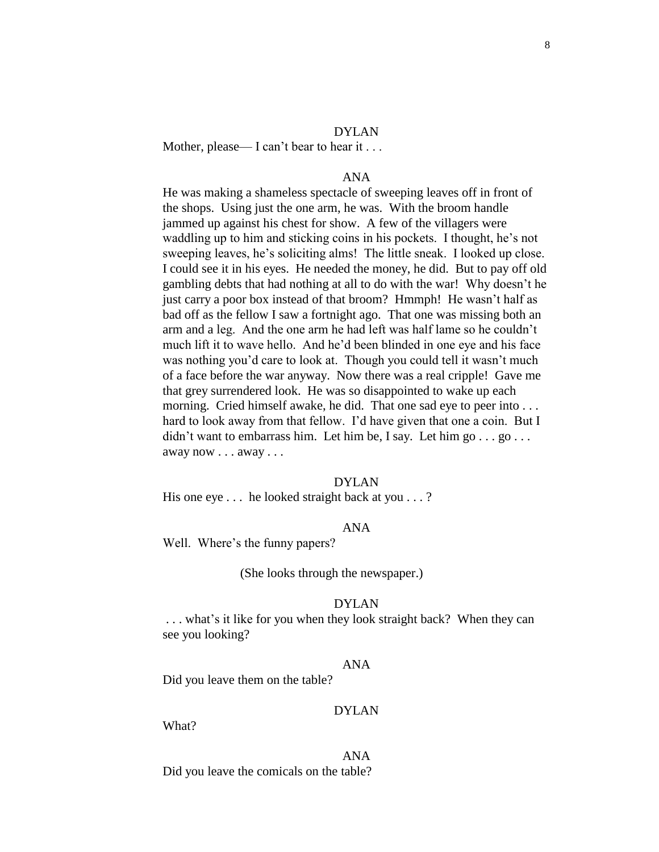Mother, please— I can't bear to hear it . . .

#### ANA

He was making a shameless spectacle of sweeping leaves off in front of the shops. Using just the one arm, he was. With the broom handle jammed up against his chest for show. A few of the villagers were waddling up to him and sticking coins in his pockets. I thought, he's not sweeping leaves, he's soliciting alms! The little sneak. I looked up close. I could see it in his eyes. He needed the money, he did. But to pay off old gambling debts that had nothing at all to do with the war! Why doesn't he just carry a poor box instead of that broom? Hmmph! He wasn't half as bad off as the fellow I saw a fortnight ago. That one was missing both an arm and a leg. And the one arm he had left was half lame so he couldn't much lift it to wave hello. And he'd been blinded in one eye and his face was nothing you'd care to look at. Though you could tell it wasn't much of a face before the war anyway. Now there was a real cripple! Gave me that grey surrendered look. He was so disappointed to wake up each morning. Cried himself awake, he did. That one sad eye to peer into ... hard to look away from that fellow. I'd have given that one a coin. But I didn't want to embarrass him. Let him be, I say. Let him  $go \dots go \dots$ away now . . . away . . .

#### DYLAN

His one eye ... he looked straight back at you ...?

# ANA

Well. Where's the funny papers?

(She looks through the newspaper.)

#### DYLAN

. . . what's it like for you when they look straight back? When they can see you looking?

## ANA

Did you leave them on the table?

#### DYLAN

What?

ANA

Did you leave the comicals on the table?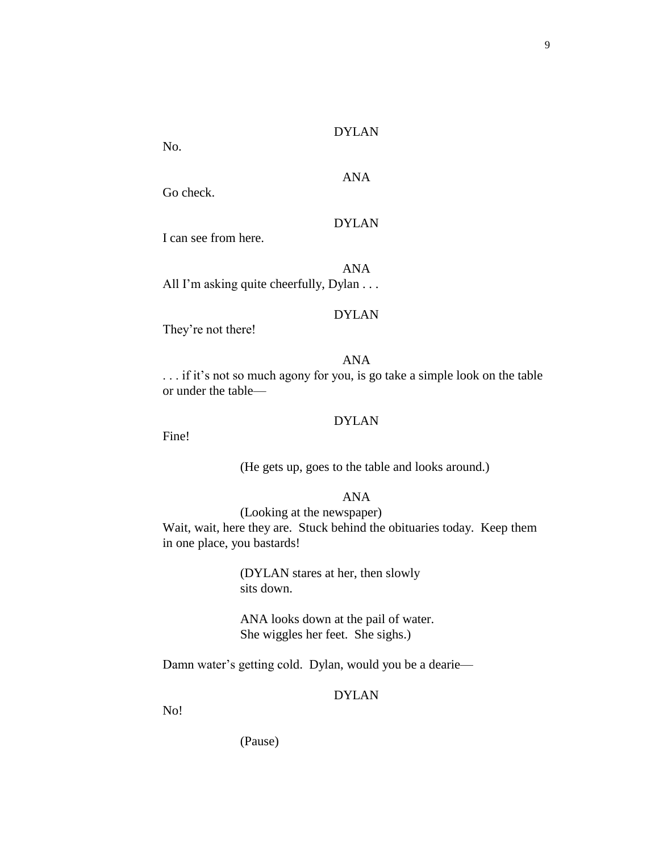No.

# ANA

Go check.

#### DYLAN

I can see from here.

ANA All I'm asking quite cheerfully, Dylan . . .

#### DYLAN

They're not there!

#### ANA

. . . if it's not so much agony for you, is go take a simple look on the table or under the table—

# DYLAN

Fine!

(He gets up, goes to the table and looks around.)

#### ANA

(Looking at the newspaper)

Wait, wait, here they are. Stuck behind the obituaries today. Keep them in one place, you bastards!

> (DYLAN stares at her, then slowly sits down.

ANA looks down at the pail of water. She wiggles her feet. She sighs.)

Damn water's getting cold. Dylan, would you be a dearie—

# DYLAN

No!

(Pause)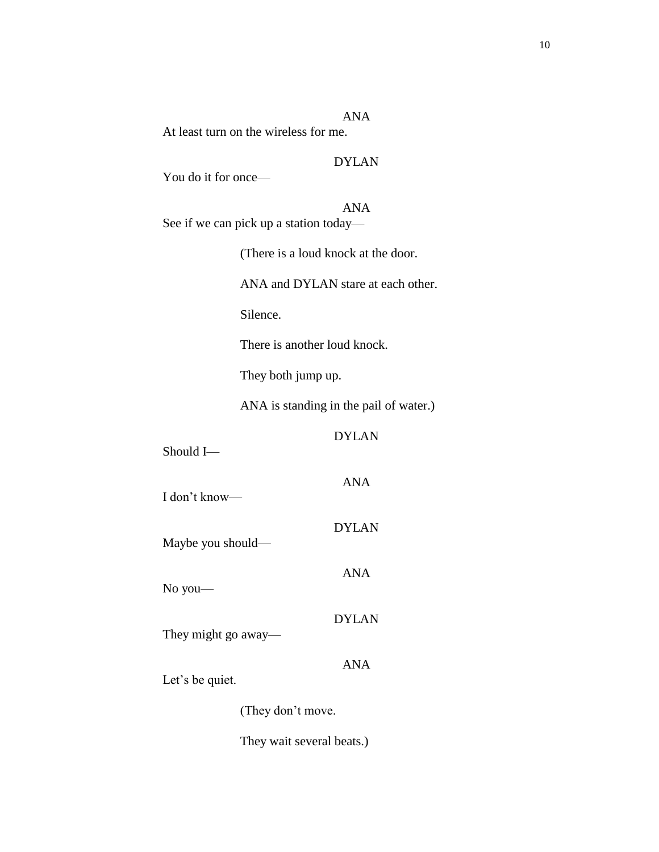ANA

At least turn on the wireless for me.

# DYLAN

You do it for once—

ANA See if we can pick up a station today—

(There is a loud knock at the door.

ANA and DYLAN stare at each other.

Silence.

There is another loud knock.

They both jump up.

ANA is standing in the pail of water.)

# DYLAN

ANA

DYLAN

ANA

DYLAN

ANA

Should I—

I don't know—

Maybe you should—

No you—

They might go away—

Let's be quiet.

(They don't move.

They wait several beats.)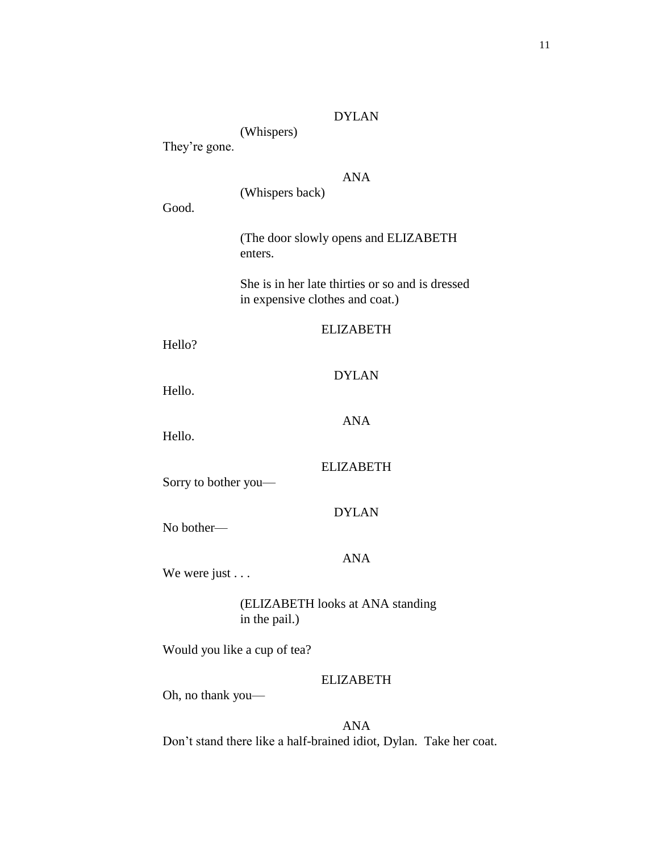(Whispers)

They're gone.

# ANA

(Whispers back)

Good.

(The door slowly opens and ELIZABETH enters.

She is in her late thirties or so and is dressed in expensive clothes and coat.)

#### ELIZABETH

Hello?

# DYLAN

ANA

Hello.

Hello.

ELIZABETH

Sorry to bother you—

No bother—

ANA

DYLAN

We were just . . .

(ELIZABETH looks at ANA standing in the pail.)

Would you like a cup of tea?

#### ELIZABETH

Oh, no thank you—

ANA Don't stand there like a half-brained idiot, Dylan. Take her coat.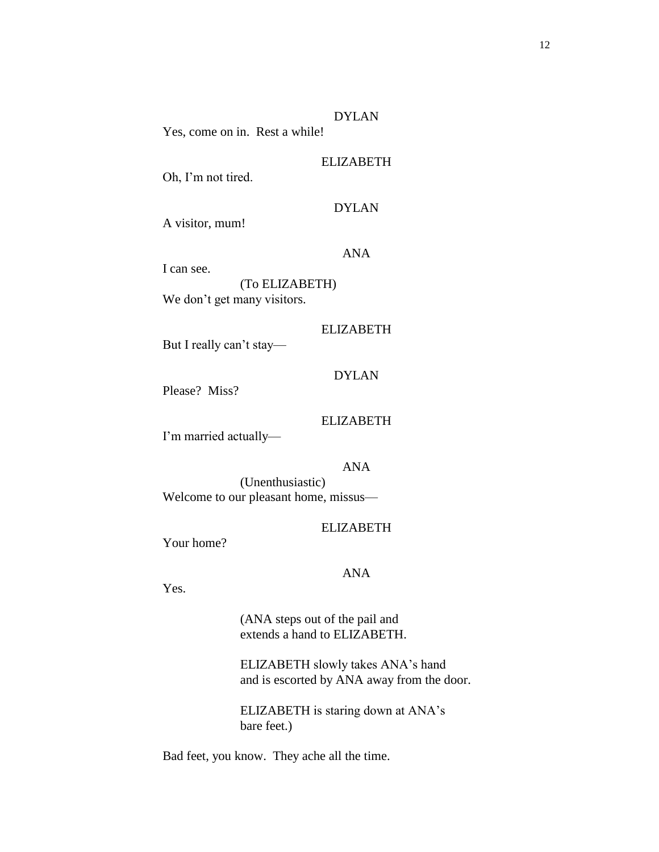Yes, come on in. Rest a while!

## ELIZABETH

Oh, I'm not tired.

# DYLAN

A visitor, mum!

#### ANA

I can see. (To ELIZABETH) We don't get many visitors.

#### ELIZABETH

DYLAN

But I really can't stay—

Please? Miss?

# ELIZABETH

I'm married actually—

#### ANA

(Unenthusiastic) Welcome to our pleasant home, missus—

# ELIZABETH

Your home?

#### ANA

Yes.

(ANA steps out of the pail and extends a hand to ELIZABETH.

ELIZABETH slowly takes ANA's hand and is escorted by ANA away from the door.

ELIZABETH is staring down at ANA's bare feet.)

Bad feet, you know. They ache all the time.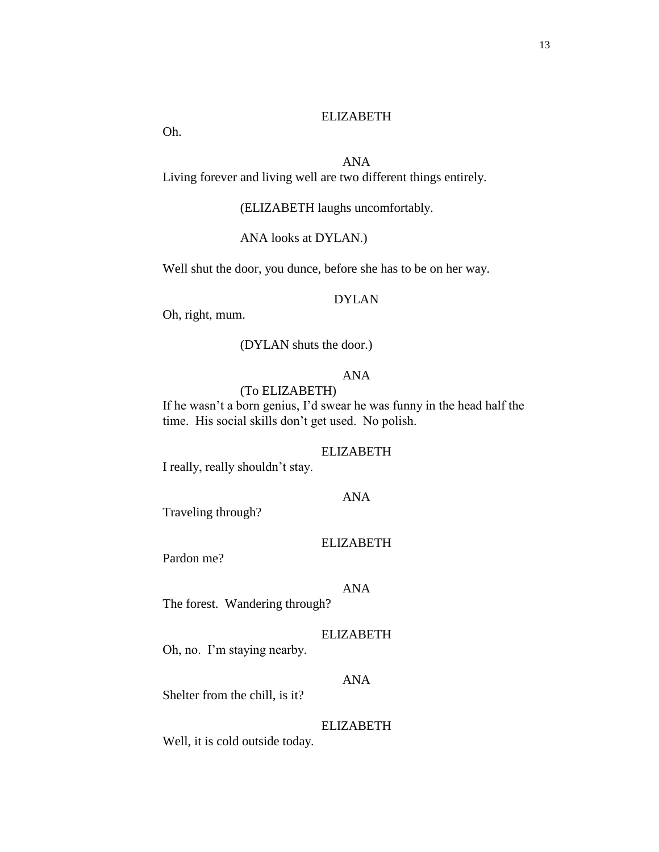#### ELIZABETH

Oh.

# ANA

Living forever and living well are two different things entirely.

(ELIZABETH laughs uncomfortably.

ANA looks at DYLAN.)

Well shut the door, you dunce, before she has to be on her way.

## DYLAN

Oh, right, mum.

# (DYLAN shuts the door.)

# ANA

# (To ELIZABETH)

If he wasn't a born genius, I'd swear he was funny in the head half the time. His social skills don't get used. No polish.

#### ELIZABETH

I really, really shouldn't stay.

#### ANA

Traveling through?

#### ELIZABETH

Pardon me?

# ANA

The forest. Wandering through?

#### ELIZABETH

Oh, no. I'm staying nearby.

ANA

Shelter from the chill, is it?

#### ELIZABETH

Well, it is cold outside today.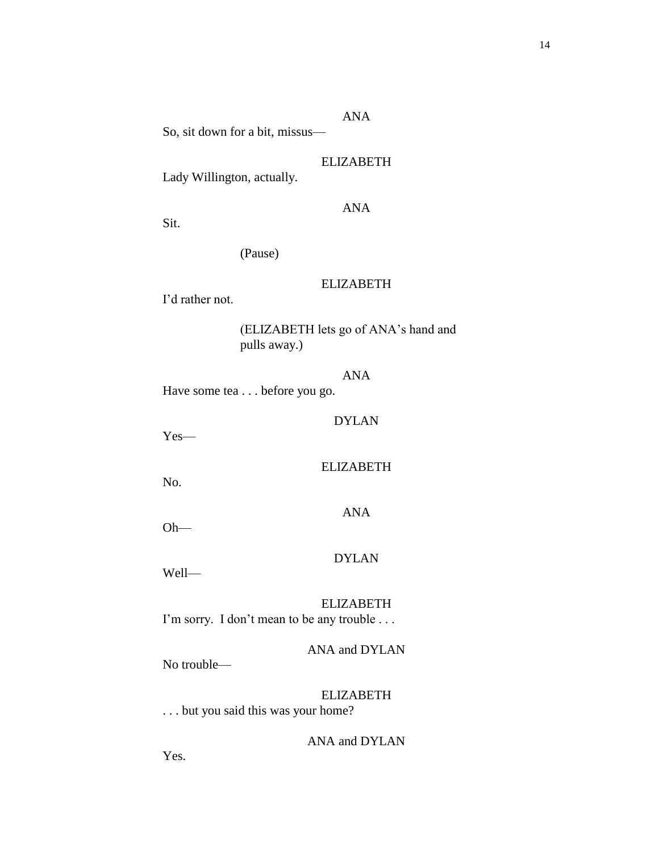So, sit down for a bit, missus—

# ELIZABETH

ANA

Lady Willington, actually.

# ANA

Sit.

(Pause)

# ELIZABETH

I'd rather not.

(ELIZABETH lets go of ANA's hand and pulls away.)

ANA Have some tea . . . before you go.

# DYLAN

Yes—

ELIZABETH

No.

Oh—

# DYLAN

ANA

Well—

ELIZABETH

I'm sorry. I don't mean to be any trouble . . .

ANA and DYLAN

No trouble—

ELIZABETH

. . . but you said this was your home?

ANA and DYLAN

Yes.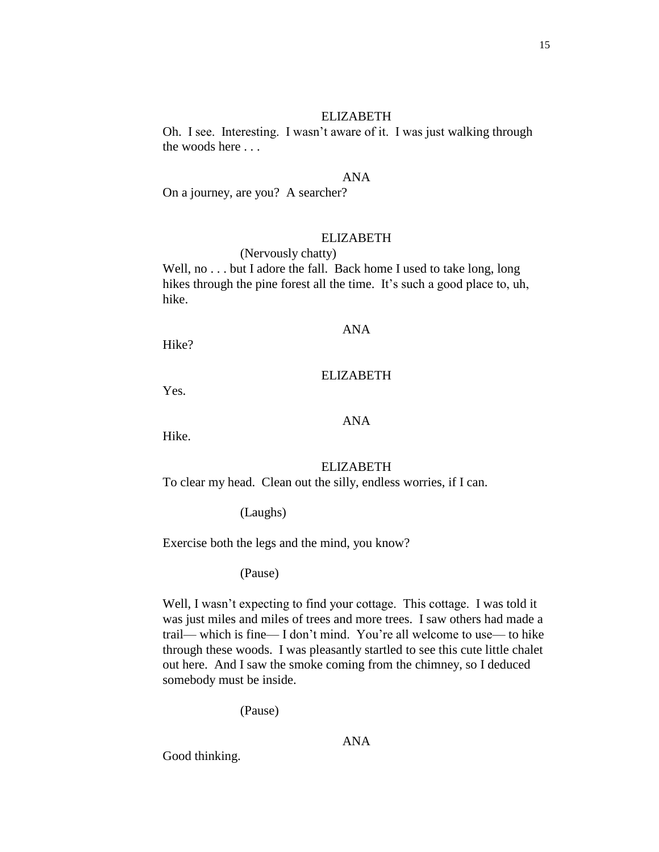15

#### ELIZABETH

Oh. I see. Interesting. I wasn't aware of it. I was just walking through the woods here . . .

#### ANA

On a journey, are you? A searcher?

#### ELIZABETH

#### (Nervously chatty)

Well, no . . . but I adore the fall. Back home I used to take long, long hikes through the pine forest all the time. It's such a good place to, uh, hike.

#### ANA

Hike?

#### ELIZABETH

Yes.

# ANA

Hike.

#### ELIZABETH

To clear my head. Clean out the silly, endless worries, if I can.

(Laughs)

Exercise both the legs and the mind, you know?

(Pause)

Well, I wasn't expecting to find your cottage. This cottage. I was told it was just miles and miles of trees and more trees. I saw others had made a trail— which is fine— I don't mind. You're all welcome to use— to hike through these woods. I was pleasantly startled to see this cute little chalet out here. And I saw the smoke coming from the chimney, so I deduced somebody must be inside.

(Pause)

ANA

Good thinking.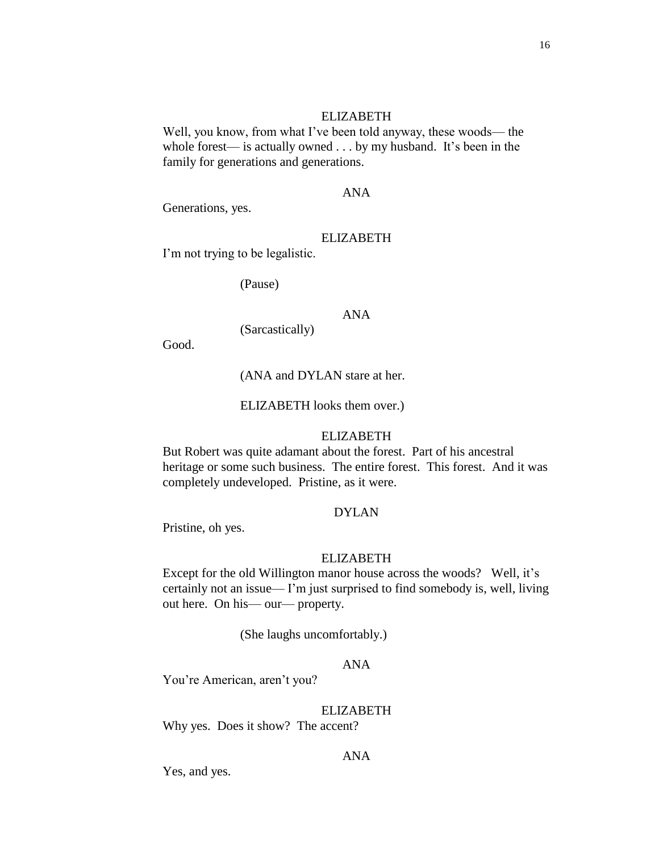#### ELIZABETH

Well, you know, from what I've been told anyway, these woods— the whole forest— is actually owned . . . by my husband. It's been in the family for generations and generations.

## ANA

Generations, yes.

#### ELIZABETH

I'm not trying to be legalistic.

(Pause)

#### ANA

(Sarcastically)

Good.

(ANA and DYLAN stare at her.

ELIZABETH looks them over.)

#### ELIZABETH

But Robert was quite adamant about the forest. Part of his ancestral heritage or some such business. The entire forest. This forest. And it was completely undeveloped. Pristine, as it were.

# DYLAN

Pristine, oh yes.

#### ELIZABETH

Except for the old Willington manor house across the woods? Well, it's certainly not an issue— I'm just surprised to find somebody is, well, living out here. On his— our— property.

(She laughs uncomfortably.)

# ANA

You're American, aren't you?

#### ELIZABETH

Why yes. Does it show? The accent?

#### ANA

Yes, and yes.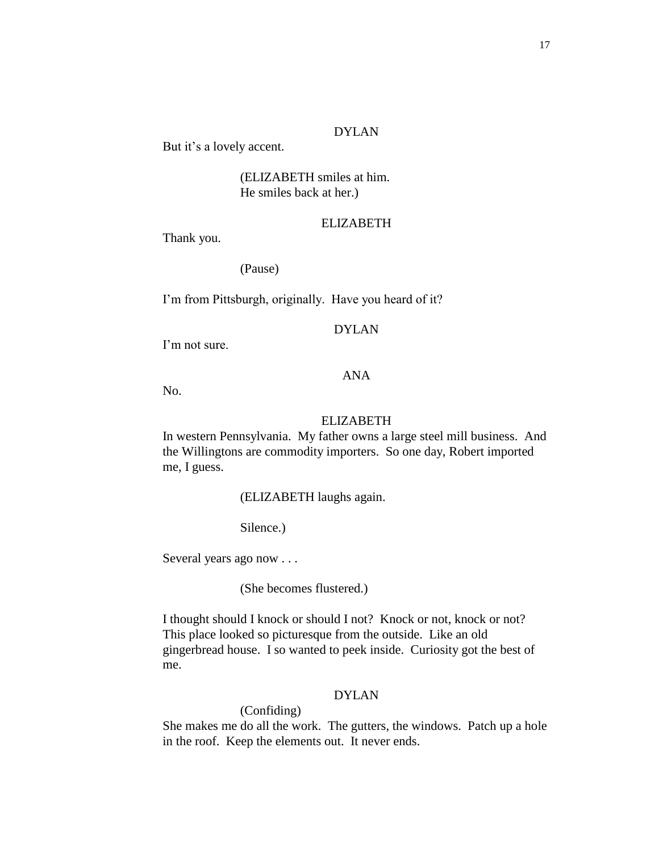But it's a lovely accent.

(ELIZABETH smiles at him. He smiles back at her.)

#### ELIZABETH

Thank you.

(Pause)

I'm from Pittsburgh, originally. Have you heard of it?

#### DYLAN

I'm not sure.

# ANA

No.

# ELIZABETH

In western Pennsylvania. My father owns a large steel mill business. And the Willingtons are commodity importers. So one day, Robert imported me, I guess.

(ELIZABETH laughs again.

Silence.)

Several years ago now . . .

(She becomes flustered.)

I thought should I knock or should I not? Knock or not, knock or not? This place looked so picturesque from the outside. Like an old gingerbread house. I so wanted to peek inside. Curiosity got the best of me.

# DYLAN

(Confiding)

She makes me do all the work. The gutters, the windows. Patch up a hole in the roof. Keep the elements out. It never ends.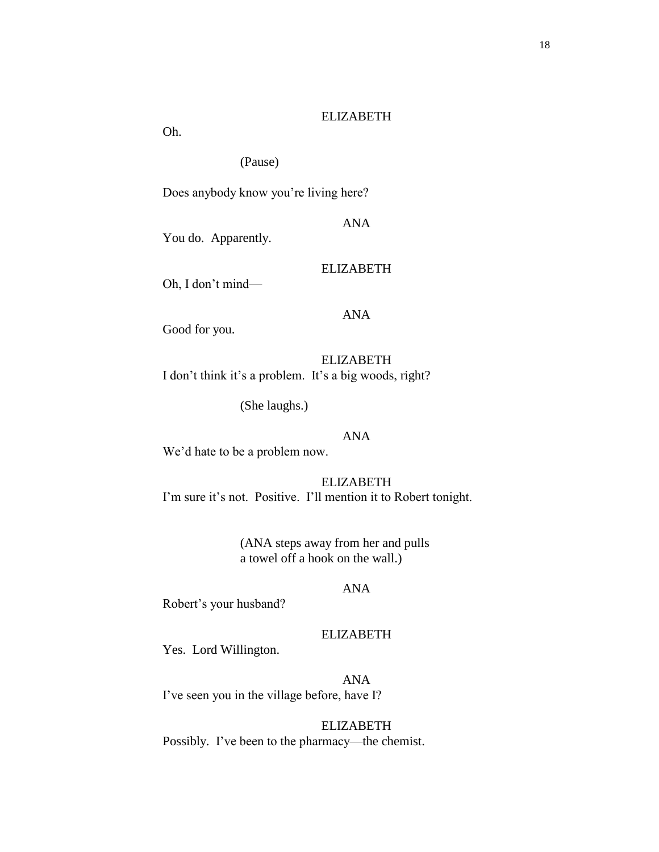#### ELIZABETH

Oh.

(Pause)

Does anybody know you're living here?

#### ANA

You do. Apparently.

# ELIZABETH

Oh, I don't mind—

# ANA

Good for you.

ELIZABETH I don't think it's a problem. It's a big woods, right?

(She laughs.)

# ANA

We'd hate to be a problem now.

ELIZABETH I'm sure it's not. Positive. I'll mention it to Robert tonight.

> (ANA steps away from her and pulls a towel off a hook on the wall.)

# ANA

Robert's your husband?

# ELIZABETH

Yes. Lord Willington.

ANA I've seen you in the village before, have I?

ELIZABETH Possibly. I've been to the pharmacy—the chemist.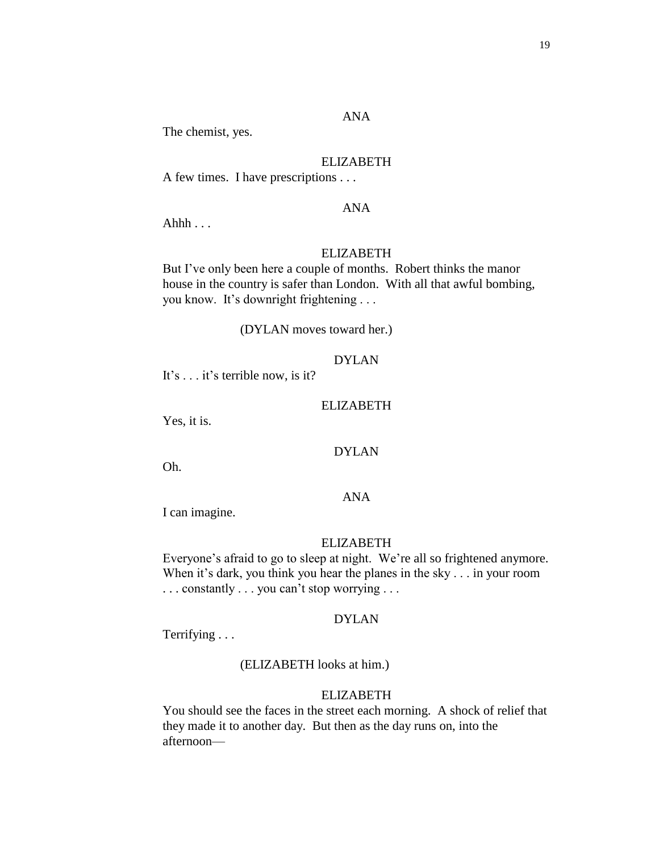# ANA

The chemist, yes.

# ELIZABETH

A few times. I have prescriptions . . .

## ANA

Ahhh . . .

#### ELIZABETH

But I've only been here a couple of months. Robert thinks the manor house in the country is safer than London. With all that awful bombing, you know. It's downright frightening . . .

#### (DYLAN moves toward her.)

#### DYLAN

It's . . . it's terrible now, is it?

#### ELIZABETH

Yes, it is.

#### DYLAN

Oh.

# ANA

I can imagine.

#### ELIZABETH

Everyone's afraid to go to sleep at night. We're all so frightened anymore. When it's dark, you think you hear the planes in the sky . . . in your room . . . constantly . . . you can't stop worrying . . .

#### DYLAN

Terrifying . . .

#### (ELIZABETH looks at him.)

#### ELIZABETH

You should see the faces in the street each morning. A shock of relief that they made it to another day. But then as the day runs on, into the afternoon—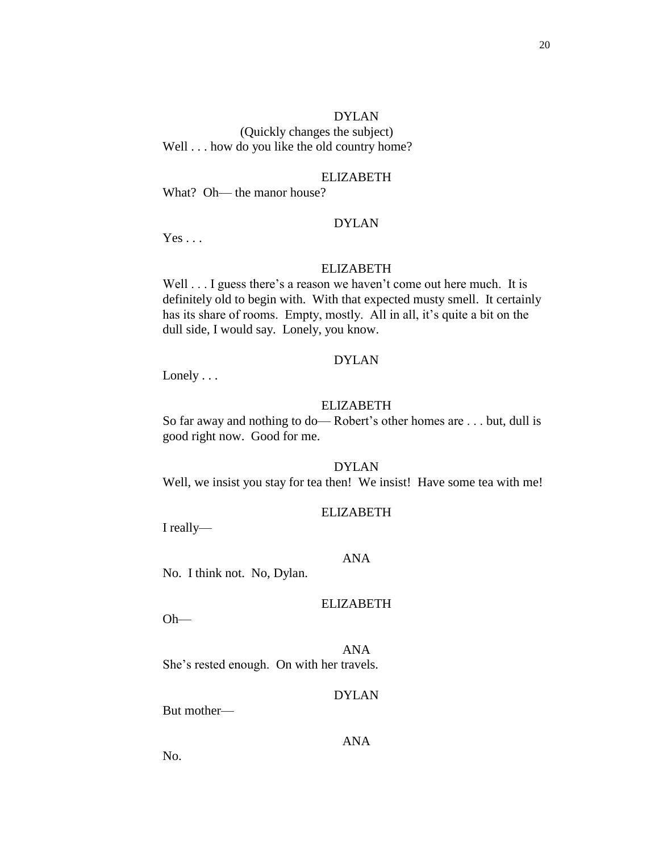(Quickly changes the subject) Well . . . how do you like the old country home?

#### ELIZABETH

What? Oh— the manor house?

#### DYLAN

 $Yes \dots$ 

#### ELIZABETH

Well . . . I guess there's a reason we haven't come out here much. It is definitely old to begin with. With that expected musty smell. It certainly has its share of rooms. Empty, mostly. All in all, it's quite a bit on the dull side, I would say. Lonely, you know.

#### DYLAN

Lonely . . .

#### ELIZABETH

So far away and nothing to do— Robert's other homes are . . . but, dull is good right now. Good for me.

#### DYLAN

Well, we insist you stay for tea then! We insist! Have some tea with me!

#### ELIZABETH

I really—

#### ANA

No. I think not. No, Dylan.

#### ELIZABETH

Oh—

ANA She's rested enough. On with her travels.

# DYLAN

But mother—

#### ANA

No.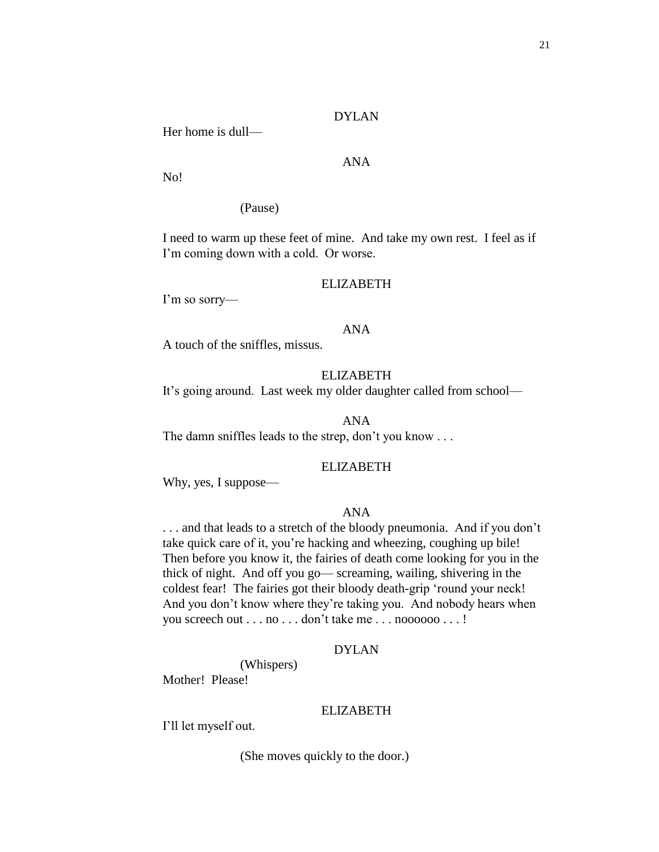# Her home is dull—

# ANA

No!

# (Pause)

I need to warm up these feet of mine. And take my own rest. I feel as if I'm coming down with a cold. Or worse.

#### ELIZABETH

I'm so sorry—

#### ANA

A touch of the sniffles, missus.

# ELIZABETH

It's going around. Last week my older daughter called from school—

## ANA

The damn sniffles leads to the strep, don't you know . . .

#### ELIZABETH

Why, yes, I suppose—

#### ANA

. . . and that leads to a stretch of the bloody pneumonia. And if you don't take quick care of it, you're hacking and wheezing, coughing up bile! Then before you know it, the fairies of death come looking for you in the thick of night. And off you go— screaming, wailing, shivering in the coldest fear! The fairies got their bloody death-grip 'round your neck! And you don't know where they're taking you. And nobody hears when you screech out . . . no . . . don't take me . . . noooooo . . . !

#### DYLAN

(Whispers) Mother! Please!

# ELIZABETH

I'll let myself out.

(She moves quickly to the door.)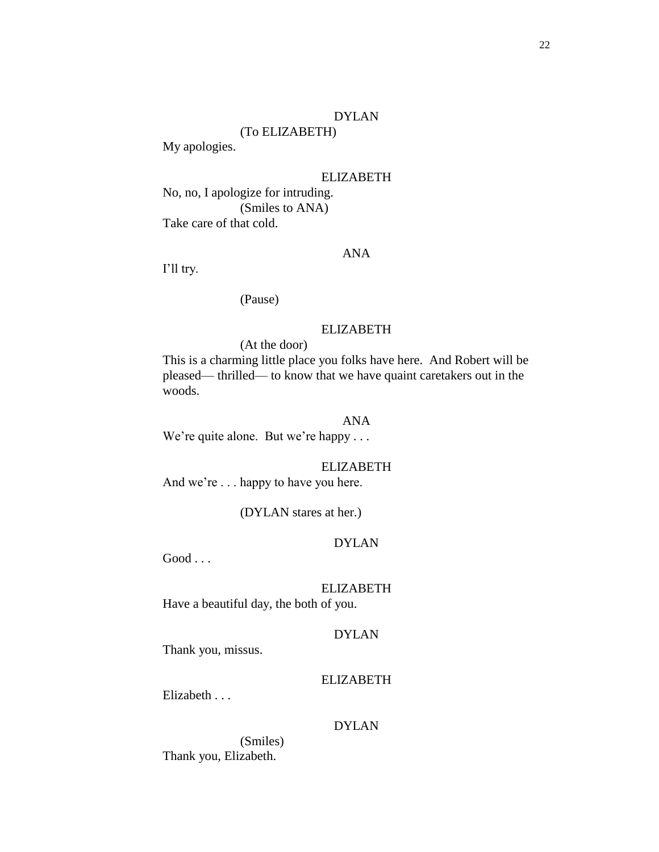#### (To ELIZABETH)

My apologies.

## ELIZABETH

No, no, I apologize for intruding. (Smiles to ANA) Take care of that cold.

#### ANA

I'll try.

(Pause)

#### ELIZABETH

# (At the door)

This is a charming little place you folks have here. And Robert will be pleased— thrilled— to know that we have quaint caretakers out in the woods.

# ANA

We're quite alone. But we're happy . . .

#### ELIZABETH

And we're . . . happy to have you here.

(DYLAN stares at her.)

#### DYLAN

Good . . .

#### ELIZABETH

Have a beautiful day, the both of you.

#### DYLAN

Thank you, missus.

#### ELIZABETH

Elizabeth . . .

# DYLAN

(Smiles) Thank you, Elizabeth.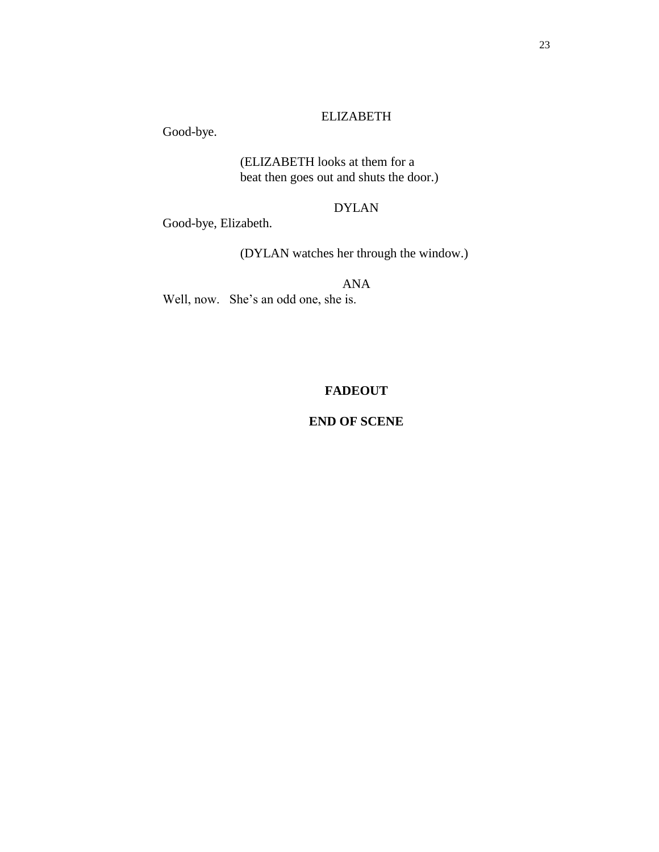# ELIZABETH

Good-bye.

(ELIZABETH looks at them for a beat then goes out and shuts the door.)

# DYLAN

Good-bye, Elizabeth.

(DYLAN watches her through the window.)

ANA Well, now. She's an odd one, she is.

# **FADEOUT**

# **END OF SCENE**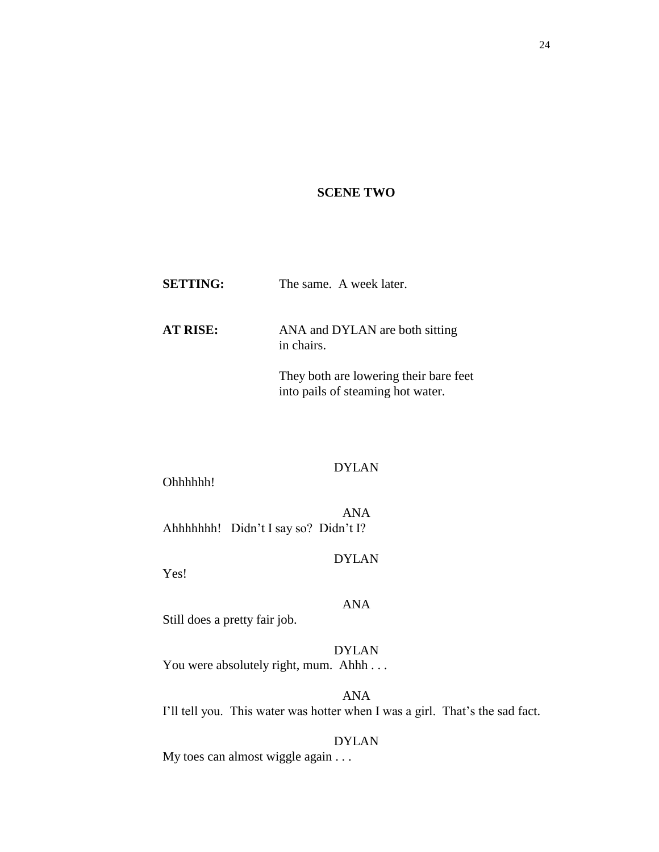# **SCENE TWO**

| <b>SETTING:</b> | The same. A week later.                                                     |
|-----------------|-----------------------------------------------------------------------------|
| <b>AT RISE:</b> | ANA and DYLAN are both sitting<br>in chairs.                                |
|                 | They both are lowering their bare feet<br>into pails of steaming hot water. |

#### DYLAN

Ohhhhhh!

ANA Ahhhhhhh! Didn't I say so? Didn't I?

DYLAN

Yes!

ANA

Still does a pretty fair job.

DYLAN You were absolutely right, mum. Ahhh . . .

ANA I'll tell you. This water was hotter when I was a girl. That's the sad fact.

# DYLAN

My toes can almost wiggle again . . .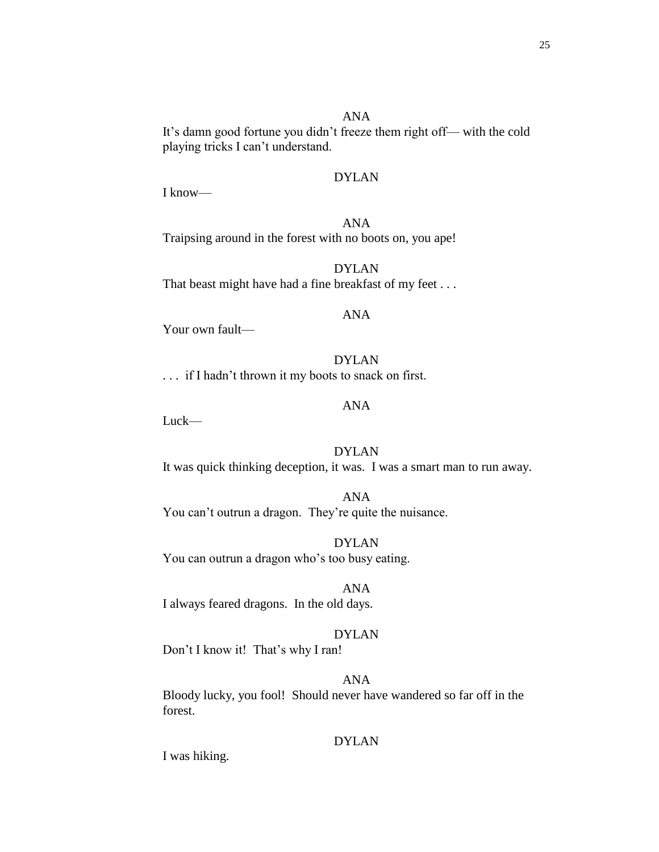# ANA

It's damn good fortune you didn't freeze them right off— with the cold playing tricks I can't understand.

# DYLAN

I know—

ANA Traipsing around in the forest with no boots on, you ape!

DYLAN That beast might have had a fine breakfast of my feet . . .

#### ANA

Your own fault—

DYLAN . . . if I hadn't thrown it my boots to snack on first.

# ANA

Luck—

#### DYLAN

It was quick thinking deception, it was. I was a smart man to run away.

ANA You can't outrun a dragon. They're quite the nuisance.

DYLAN You can outrun a dragon who's too busy eating.

ANA

I always feared dragons. In the old days.

#### DYLAN

Don't I know it! That's why I ran!

## ANA

Bloody lucky, you fool! Should never have wandered so far off in the forest.

# DYLAN

I was hiking.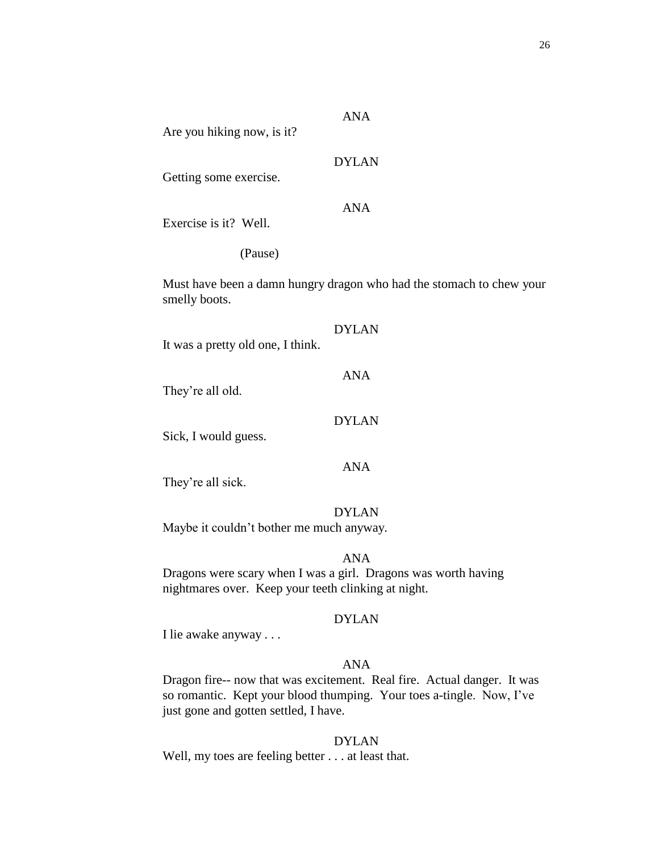Are you hiking now, is it?

Getting some exercise.

Exercise is it? Well.

(Pause)

Must have been a damn hungry dragon who had the stomach to chew your smelly boots.

ANA

DYLAN

ANA

| It was a pretty old one, I think.               | <b>DYLAN</b> |
|-------------------------------------------------|--------------|
| They're all old.                                | ANA          |
| Sick, I would guess.                            | <b>DYLAN</b> |
| They're all sick.                               | <b>ANA</b>   |
| Maybe it couldn't bother me much anyway.        | <b>DYLAN</b> |
| Dragons were scary when I was a girl. Dragons w | ANA          |

gons were scary when I was a girl. Dragons was worth having nightmares over. Keep your teeth clinking at night.

#### DYLAN

I lie awake anyway . . .

# ANA

Dragon fire-- now that was excitement. Real fire. Actual danger. It was so romantic. Kept your blood thumping. Your toes a-tingle. Now, I've just gone and gotten settled, I have.

# DYLAN

Well, my toes are feeling better . . . at least that.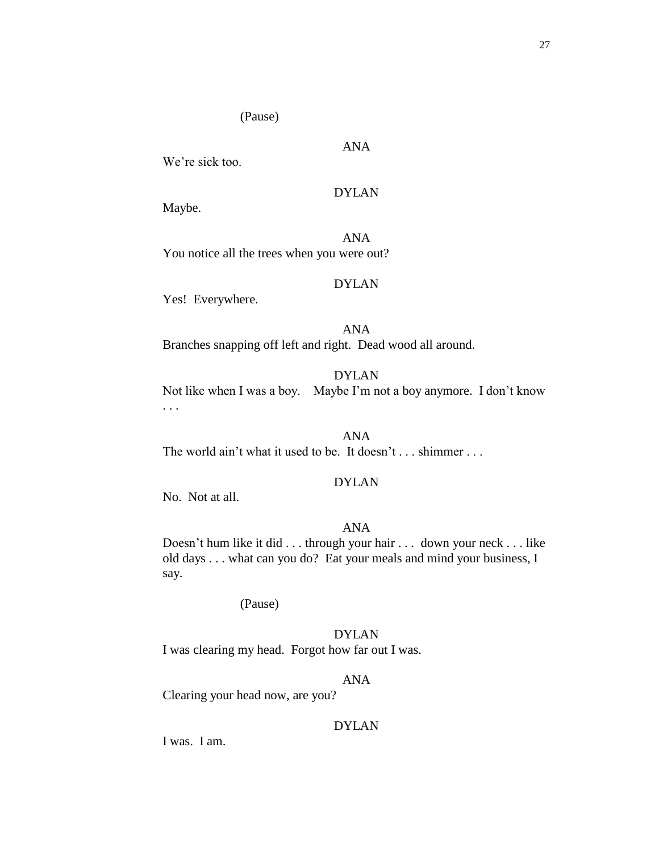(Pause)

# ANA

We're sick too.

# DYLAN

Maybe.

ANA You notice all the trees when you were out?

# DYLAN

Yes! Everywhere.

ANA Branches snapping off left and right. Dead wood all around.

# DYLAN

Not like when I was a boy. Maybe I'm not a boy anymore. I don't know . . .

ANA The world ain't what it used to be. It doesn't . . . shimmer . . .

# DYLAN

No. Not at all.

# ANA

Doesn't hum like it did . . . through your hair . . . down your neck . . . like old days . . . what can you do? Eat your meals and mind your business, I say.

(Pause)

# DYLAN

I was clearing my head. Forgot how far out I was.

# ANA

Clearing your head now, are you?

#### DYLAN

I was. I am.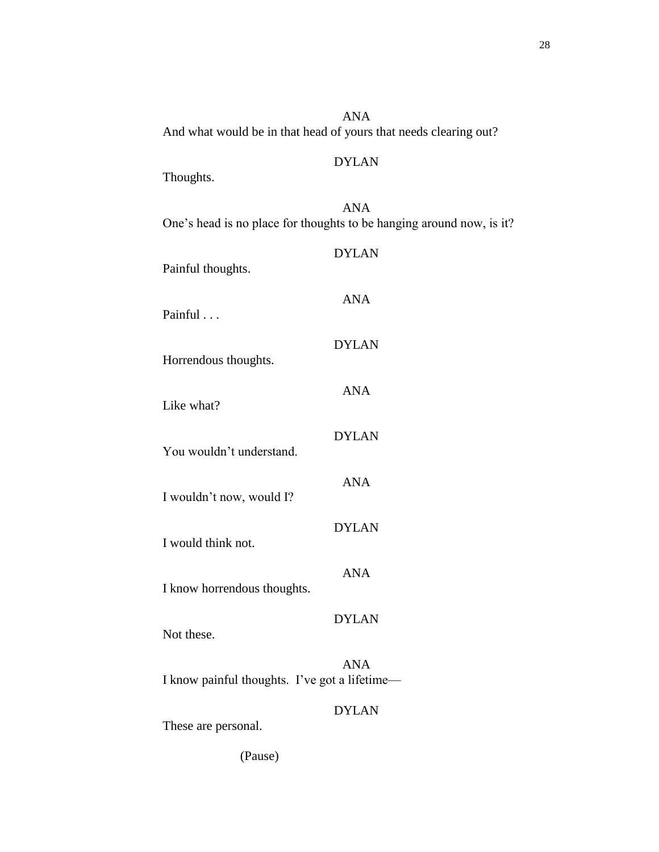ANA And what would be in that head of yours that needs clearing out? DYLAN Thoughts. ANA One's head is no place for thoughts to be hanging around now, is it? DYLAN Painful thoughts. ANA Painful . . . DYLAN Horrendous thoughts. ANA Like what? DYLAN You wouldn't understand. ANA I wouldn't now, would I? DYLAN I would think not. ANA I know horrendous thoughts. DYLAN Not these. ANA I know painful thoughts. I've got a lifetime— DYLAN These are personal. (Pause)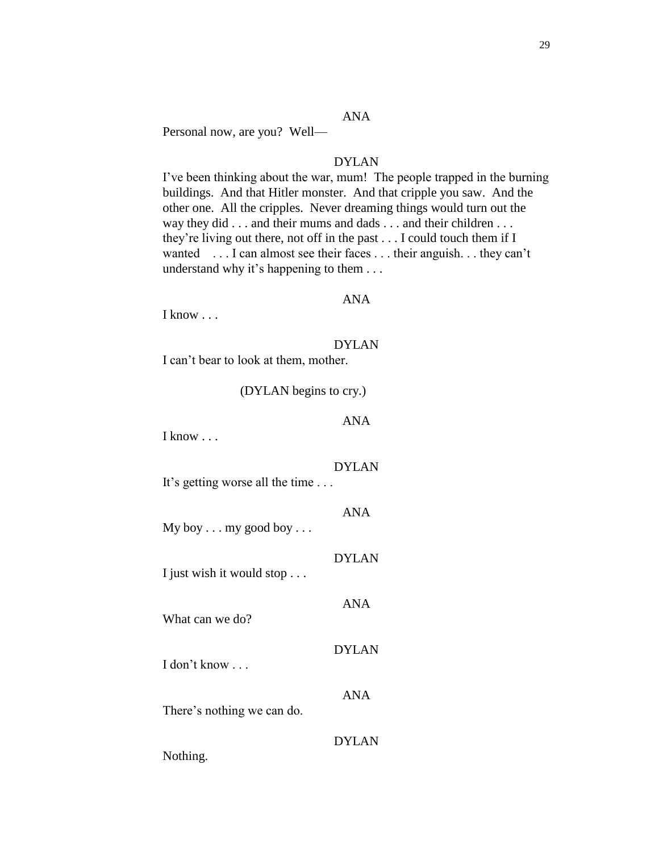## ANA

Personal now, are you? Well—

## DYLAN

I've been thinking about the war, mum! The people trapped in the burning buildings. And that Hitler monster. And that cripple you saw. And the other one. All the cripples. Never dreaming things would turn out the way they did . . . and their mums and dads . . . and their children . . . they're living out there, not off in the past . . . I could touch them if I wanted . . . I can almost see their faces . . . their anguish. . . they can't understand why it's happening to them . . .

# ANA

I know . . .

# DYLAN

I can't bear to look at them, mother.

(DYLAN begins to cry.)

#### ANA

ANA

DYLAN

ANA

DYLAN

ANA

I know . . .

DYLAN

It's getting worse all the time . . .

My boy  $\dots$  my good boy  $\dots$ 

I just wish it would stop . . .

What can we do?

I don't know . . .

Nothing.

There's nothing we can do.

DYLAN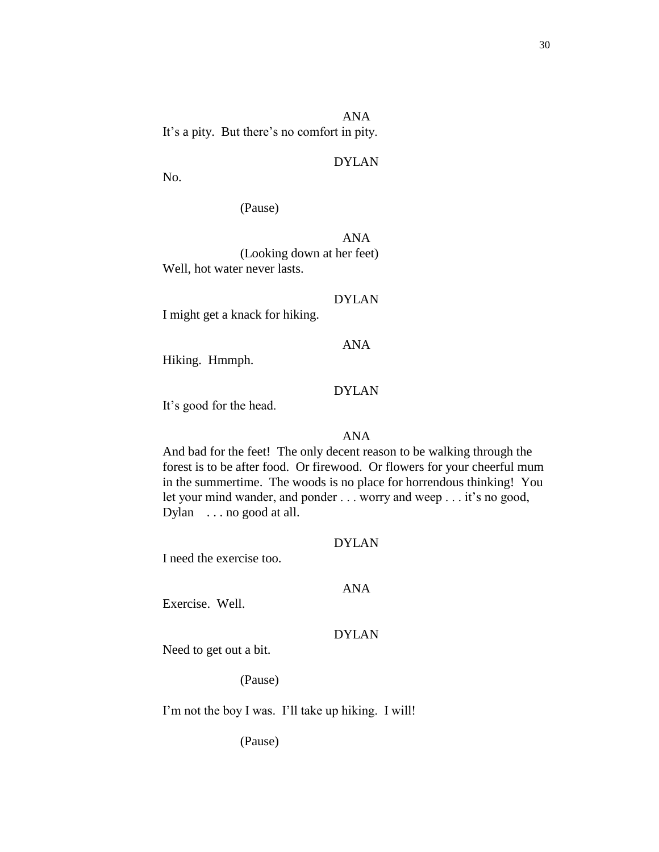ANA It's a pity. But there's no comfort in pity.

# DYLAN

No.

(Pause)

ANA (Looking down at her feet) Well, hot water never lasts.

I might get a knack for hiking.

Hiking. Hmmph.

# DYLAN

DYLAN

ANA

It's good for the head.

#### ANA

And bad for the feet! The only decent reason to be walking through the forest is to be after food. Or firewood. Or flowers for your cheerful mum in the summertime. The woods is no place for horrendous thinking! You let your mind wander, and ponder . . . worry and weep . . . it's no good, Dylan . . . no good at all.

#### DYLAN

I need the exercise too.

# ANA

Exercise. Well.

#### DYLAN

Need to get out a bit.

(Pause)

I'm not the boy I was. I'll take up hiking. I will!

(Pause)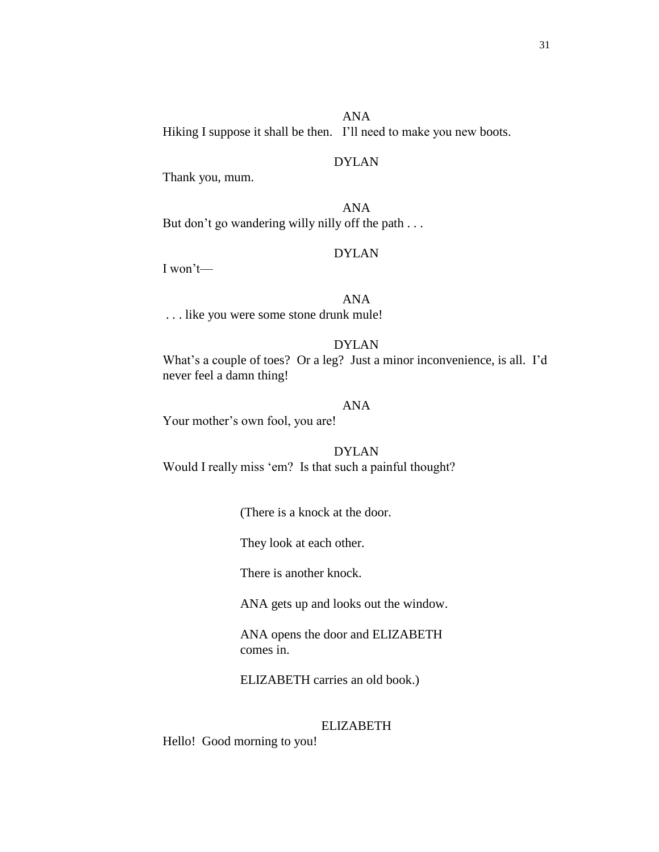31

ANA Hiking I suppose it shall be then. I'll need to make you new boots.

# DYLAN

Thank you, mum.

ANA But don't go wandering willy nilly off the path . . .

#### DYLAN

I won't—

# ANA

. . . like you were some stone drunk mule!

# DYLAN

What's a couple of toes? Or a leg? Just a minor inconvenience, is all. I'd never feel a damn thing!

## ANA

Your mother's own fool, you are!

#### DYLAN

Would I really miss 'em? Is that such a painful thought?

(There is a knock at the door.

They look at each other.

There is another knock.

ANA gets up and looks out the window.

ANA opens the door and ELIZABETH comes in.

ELIZABETH carries an old book.)

#### ELIZABETH

Hello! Good morning to you!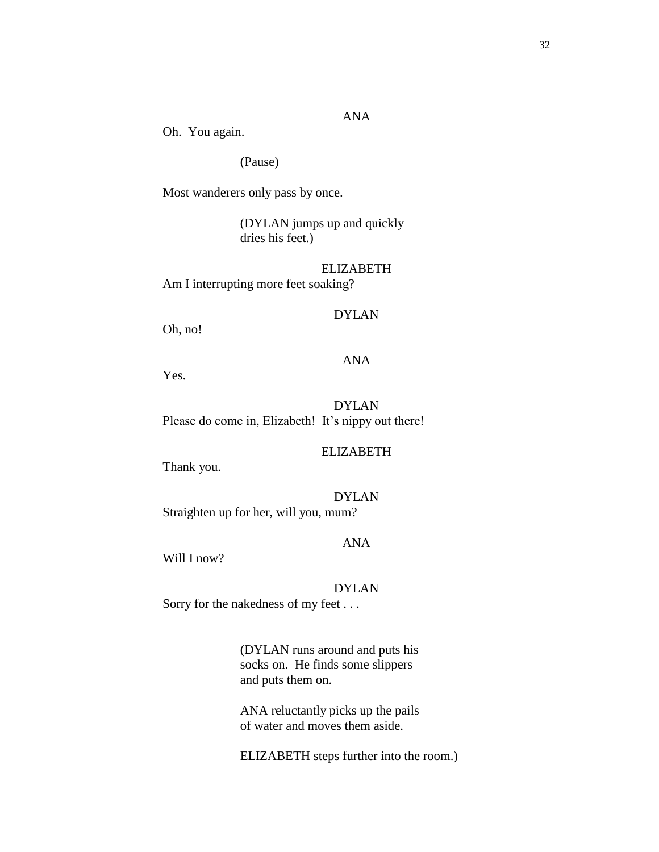# ANA

Oh. You again.

(Pause)

Most wanderers only pass by once.

(DYLAN jumps up and quickly dries his feet.)

ELIZABETH Am I interrupting more feet soaking?

## DYLAN

Oh, no!

## ANA

Yes.

DYLAN Please do come in, Elizabeth! It's nippy out there!

## ELIZABETH

Thank you.

DYLAN Straighten up for her, will you, mum?

## ANA

Will I now?

#### DYLAN

Sorry for the nakedness of my feet . . .

(DYLAN runs around and puts his socks on. He finds some slippers and puts them on.

ANA reluctantly picks up the pails of water and moves them aside.

ELIZABETH steps further into the room.)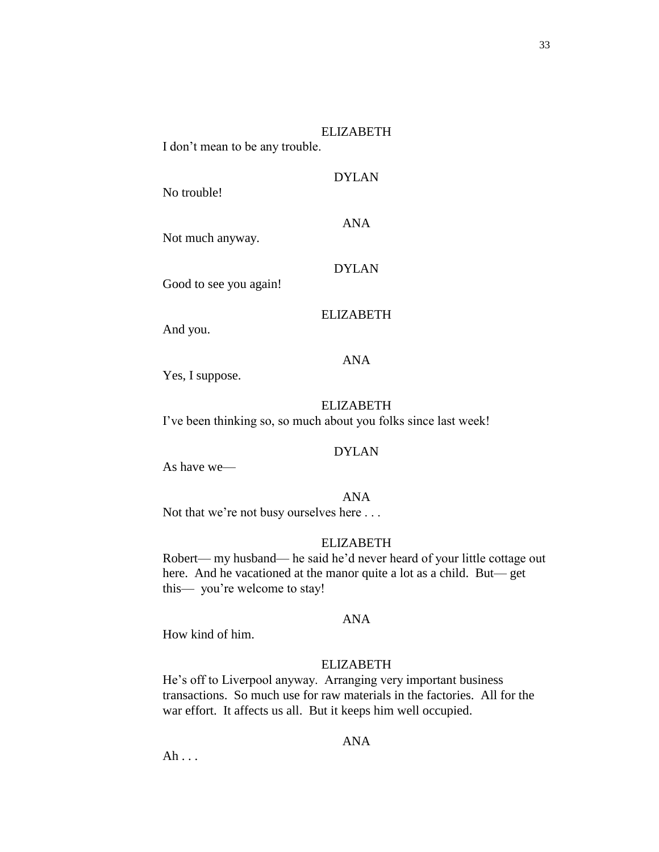#### ELIZABETH

DYLAN

ANA

DYLAN

I don't mean to be any trouble.

No trouble!

Not much anyway.

Good to see you again!

#### ELIZABETH

And you.

## ANA

Yes, I suppose.

#### ELIZABETH

I've been thinking so, so much about you folks since last week!

## DYLAN

As have we—

#### ANA

Not that we're not busy ourselves here ...

#### ELIZABETH

Robert— my husband— he said he'd never heard of your little cottage out here. And he vacationed at the manor quite a lot as a child. But—get this— you're welcome to stay!

#### ANA

How kind of him.

#### ELIZABETH

He's off to Liverpool anyway. Arranging very important business transactions. So much use for raw materials in the factories. All for the war effort. It affects us all. But it keeps him well occupied.

# ANA

Ah . . .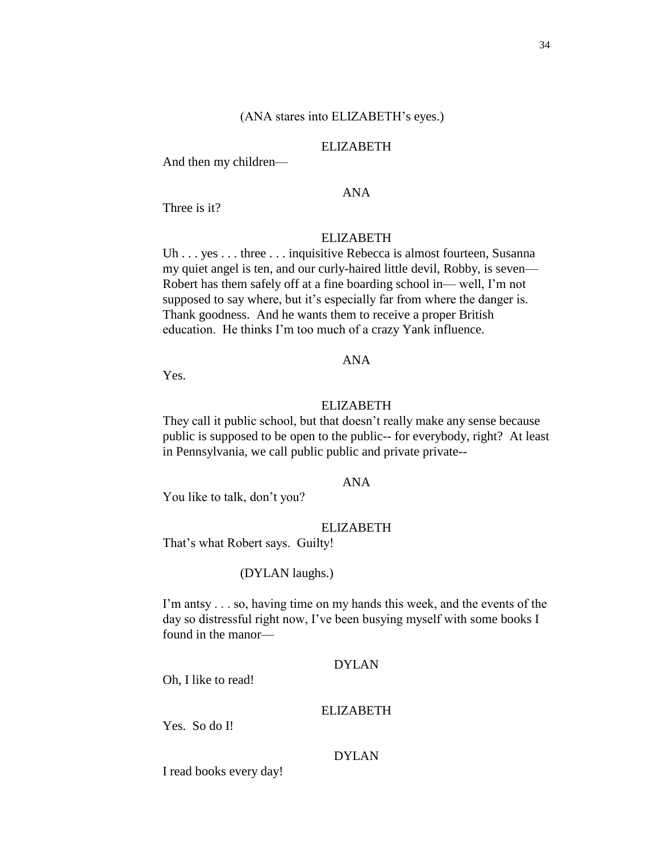#### (ANA stares into ELIZABETH's eyes.)

#### ELIZABETH

And then my children—

# ANA

Three is it?

# ELIZABETH

Uh . . . yes . . . three . . . inquisitive Rebecca is almost fourteen, Susanna my quiet angel is ten, and our curly-haired little devil, Robby, is seven— Robert has them safely off at a fine boarding school in— well, I'm not supposed to say where, but it's especially far from where the danger is. Thank goodness. And he wants them to receive a proper British education. He thinks I'm too much of a crazy Yank influence.

#### ANA

Yes.

#### ELIZABETH

They call it public school, but that doesn't really make any sense because public is supposed to be open to the public-- for everybody, right? At least in Pennsylvania, we call public public and private private--

# ANA

You like to talk, don't you?

# ELIZABETH

That's what Robert says. Guilty!

#### (DYLAN laughs.)

I'm antsy . . . so, having time on my hands this week, and the events of the day so distressful right now, I've been busying myself with some books I found in the manor—

#### DYLAN

Oh, I like to read!

#### ELIZABETH

Yes. So do I!

## DYLAN

I read books every day!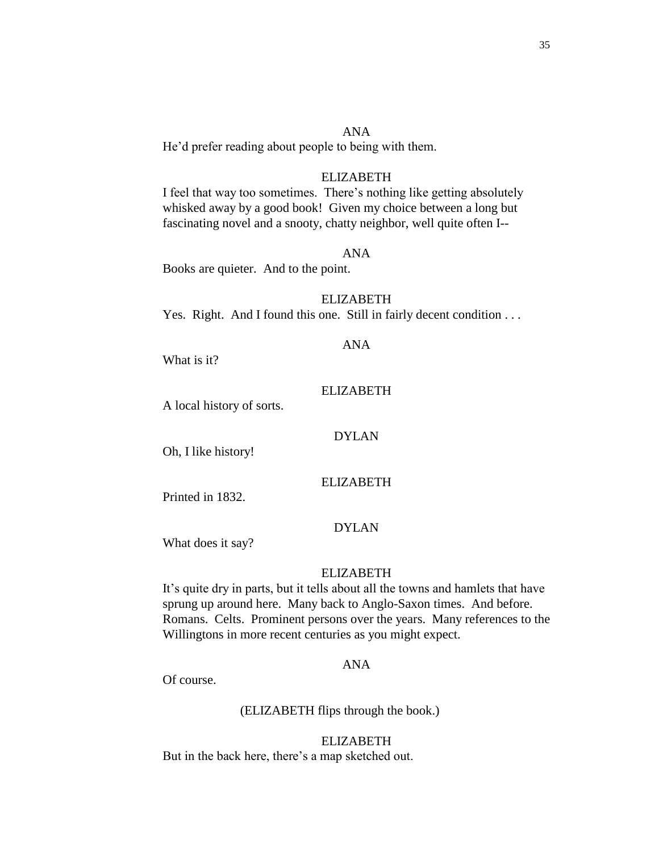He'd prefer reading about people to being with them.

# ELIZABETH

ANA

I feel that way too sometimes. There's nothing like getting absolutely whisked away by a good book! Given my choice between a long but fascinating novel and a snooty, chatty neighbor, well quite often I--

#### ANA

Books are quieter. And to the point.

#### ELIZABETH

ANA

Yes. Right. And I found this one. Still in fairly decent condition . . .

What is it?

# ELIZABETH

A local history of sorts.

#### DYLAN

Oh, I like history!

# ELIZABETH

Printed in 1832.

# DYLAN

What does it say?

#### ELIZABETH

It's quite dry in parts, but it tells about all the towns and hamlets that have sprung up around here. Many back to Anglo-Saxon times. And before. Romans. Celts. Prominent persons over the years. Many references to the Willingtons in more recent centuries as you might expect.

## ANA

Of course.

# (ELIZABETH flips through the book.)

ELIZABETH But in the back here, there's a map sketched out.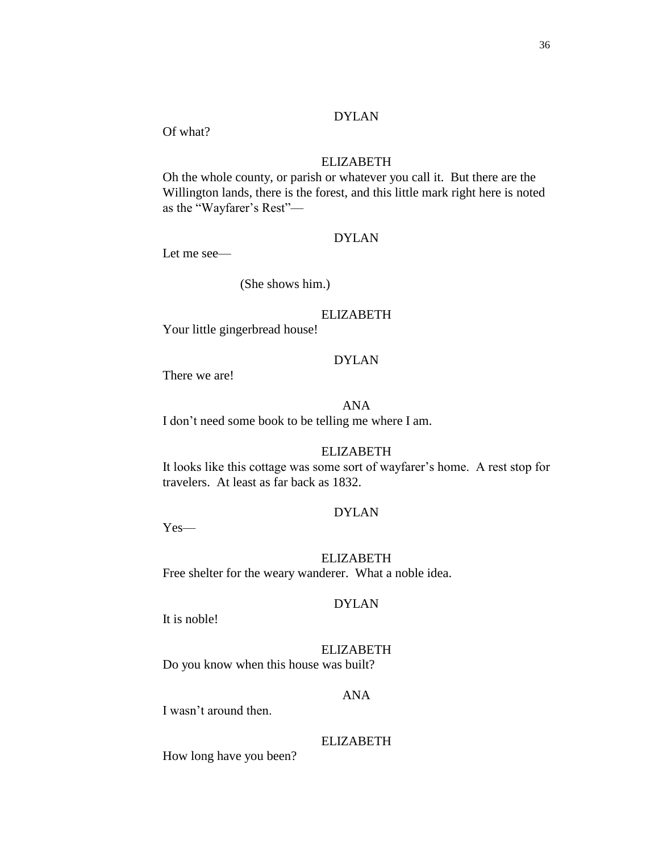Of what?

#### ELIZABETH

Oh the whole county, or parish or whatever you call it. But there are the Willington lands, there is the forest, and this little mark right here is noted as the "Wayfarer's Rest"—

# DYLAN

Let me see—

(She shows him.)

# ELIZABETH

Your little gingerbread house!

### DYLAN

There we are!

#### ANA

I don't need some book to be telling me where I am.

#### ELIZABETH

It looks like this cottage was some sort of wayfarer's home. A rest stop for travelers. At least as far back as 1832.

# DYLAN

Yes—

#### ELIZABETH

Free shelter for the weary wanderer. What a noble idea.

# DYLAN

It is noble!

#### ELIZABETH

Do you know when this house was built?

# ANA

I wasn't around then.

### ELIZABETH

How long have you been?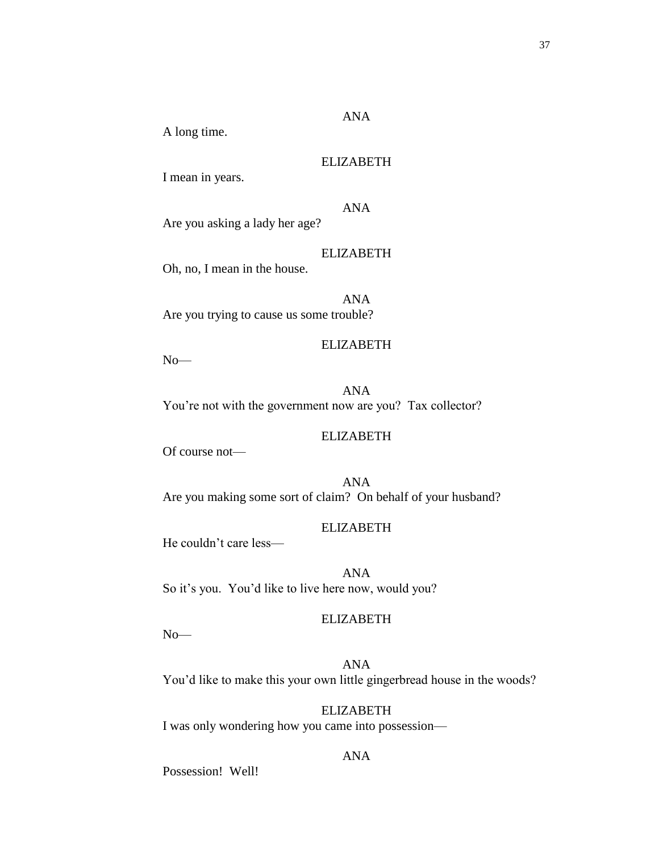# ANA

A long time.

# ELIZABETH

I mean in years.

# ANA

Are you asking a lady her age?

### ELIZABETH

Oh, no, I mean in the house.

ANA Are you trying to cause us some trouble?

### ELIZABETH

No—

ANA You're not with the government now are you? Tax collector?

#### ELIZABETH

Of course not—

ANA Are you making some sort of claim? On behalf of your husband?

### ELIZABETH

He couldn't care less—

ANA So it's you. You'd like to live here now, would you?

#### ELIZABETH

No—

ANA You'd like to make this your own little gingerbread house in the woods?

### ELIZABETH

I was only wondering how you came into possession—

### ANA

Possession! Well!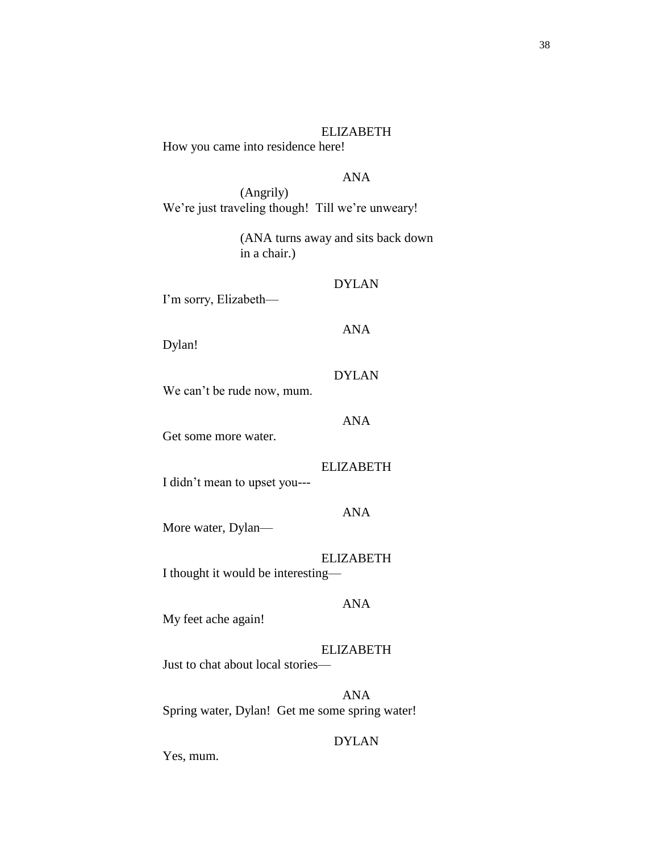How you came into residence here!

# ANA

(Angrily) We're just traveling though! Till we're unweary!

> (ANA turns away and sits back down in a chair.)

I'm sorry, Elizabeth—

ANA

DYLAN

ANA

DYLAN

Dylan!

We can't be rude now, mum.

Get some more water.

ELIZABETH

ANA

I didn't mean to upset you---

More water, Dylan—

ELIZABETH

I thought it would be interesting—

# ANA

My feet ache again!

### ELIZABETH

Just to chat about local stories—

ANA Spring water, Dylan! Get me some spring water!

# DYLAN

Yes, mum.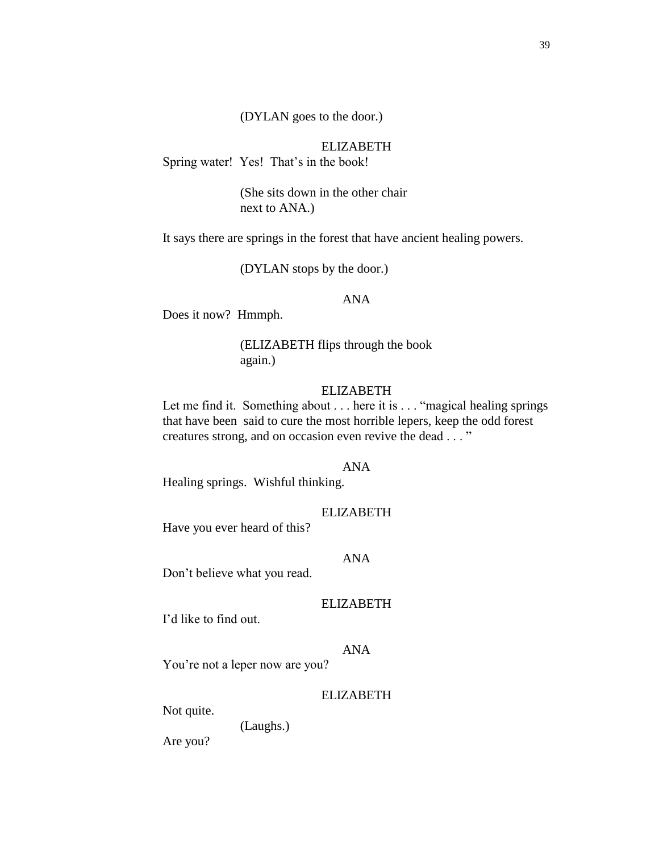Spring water! Yes! That's in the book!

(She sits down in the other chair next to ANA.)

It says there are springs in the forest that have ancient healing powers.

(DYLAN stops by the door.)

# ANA

Does it now? Hmmph.

(ELIZABETH flips through the book again.)

# ELIZABETH

Let me find it. Something about . . . here it is . . . "magical healing springs that have been said to cure the most horrible lepers, keep the odd forest creatures strong, and on occasion even revive the dead . . . "

### ANA

Healing springs. Wishful thinking.

## ELIZABETH

Have you ever heard of this?

# ANA

Don't believe what you read.

# ELIZABETH

I'd like to find out.

#### ANA

You're not a leper now are you?

### ELIZABETH

Not quite.

(Laughs.)

Are you?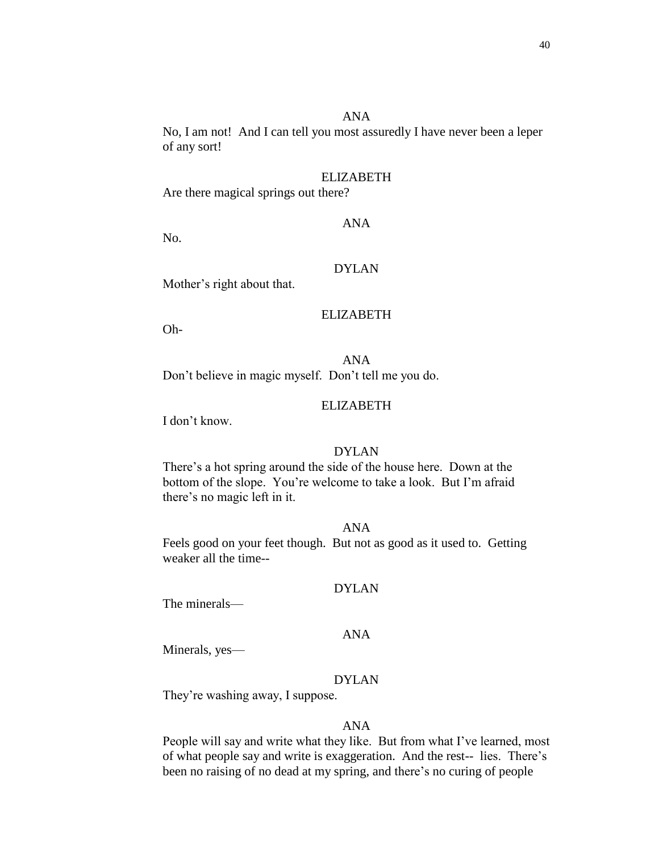# ANA

No, I am not! And I can tell you most assuredly I have never been a leper of any sort!

#### ELIZABETH

Are there magical springs out there?

#### ANA

No.

#### DYLAN

Mother's right about that.

# ELIZABETH

Oh-

ANA Don't believe in magic myself. Don't tell me you do.

### ELIZABETH

I don't know.

### DYLAN

There's a hot spring around the side of the house here. Down at the bottom of the slope. You're welcome to take a look. But I'm afraid there's no magic left in it.

# ANA

Feels good on your feet though. But not as good as it used to. Getting weaker all the time--

# DYLAN

The minerals—

# ANA

Minerals, yes—

#### DYLAN

They're washing away, I suppose.

## ANA

People will say and write what they like. But from what I've learned, most of what people say and write is exaggeration. And the rest-- lies. There's been no raising of no dead at my spring, and there's no curing of people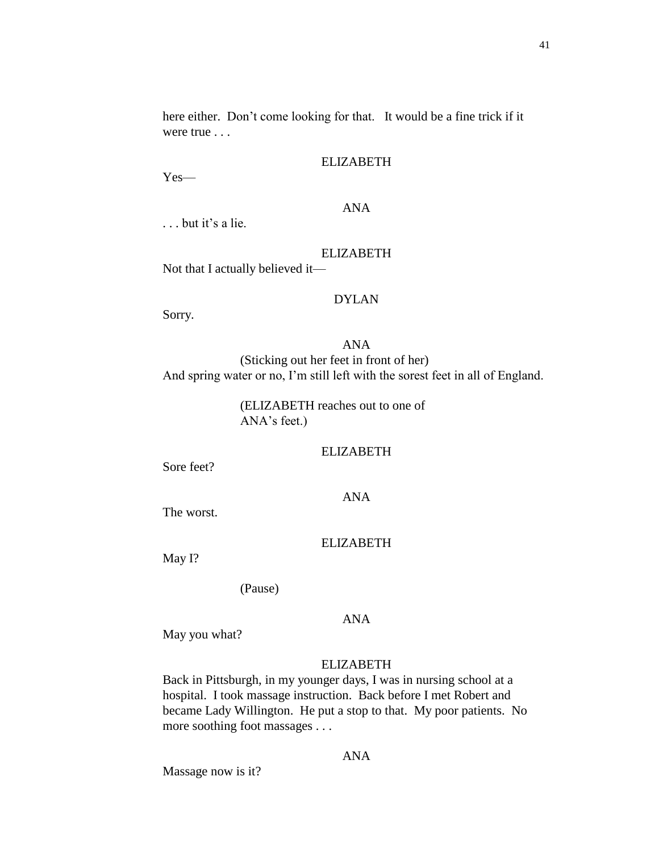here either. Don't come looking for that. It would be a fine trick if it were true . . .

#### ELIZABETH

Yes—

# ANA

. . . but it's a lie.

#### ELIZABETH

Not that I actually believed it—

### DYLAN

Sorry.

ANA (Sticking out her feet in front of her) And spring water or no, I'm still left with the sorest feet in all of England.

> (ELIZABETH reaches out to one of ANA's feet.)

#### ELIZABETH

Sore feet?

ANA

The worst.

#### ELIZABETH

May I?

(Pause)

### ANA

May you what?

# ELIZABETH

Back in Pittsburgh, in my younger days, I was in nursing school at a hospital. I took massage instruction. Back before I met Robert and became Lady Willington. He put a stop to that. My poor patients. No more soothing foot massages . . .

# ANA

Massage now is it?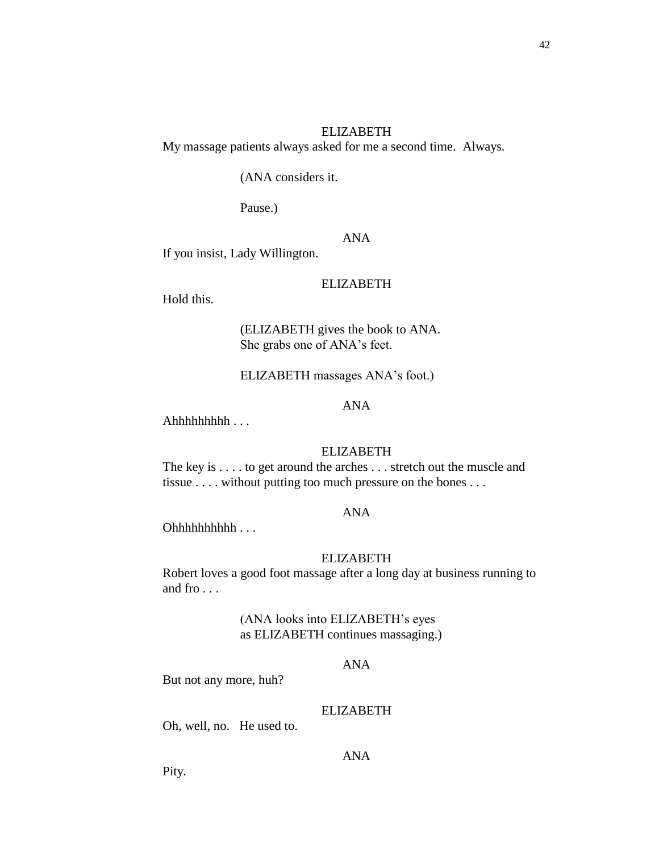My massage patients always asked for me a second time. Always.

# (ANA considers it.

Pause.)

# ANA

If you insist, Lady Willington.

# ELIZABETH

Hold this.

(ELIZABETH gives the book to ANA. She grabs one of ANA's feet.

ELIZABETH massages ANA's foot.)

## ANA

Ahhhhhhhh . . .

#### ELIZABETH

The key is . . . . to get around the arches . . . stretch out the muscle and tissue . . . . without putting too much pressure on the bones . . .

## ANA

Ohhhhhhhhh . . .

### ELIZABETH

Robert loves a good foot massage after a long day at business running to and fro . . .

# (ANA looks into ELIZABETH's eyes as ELIZABETH continues massaging.)

### ANA

But not any more, huh?

# ELIZABETH

Oh, well, no. He used to.

#### ANA

Pity.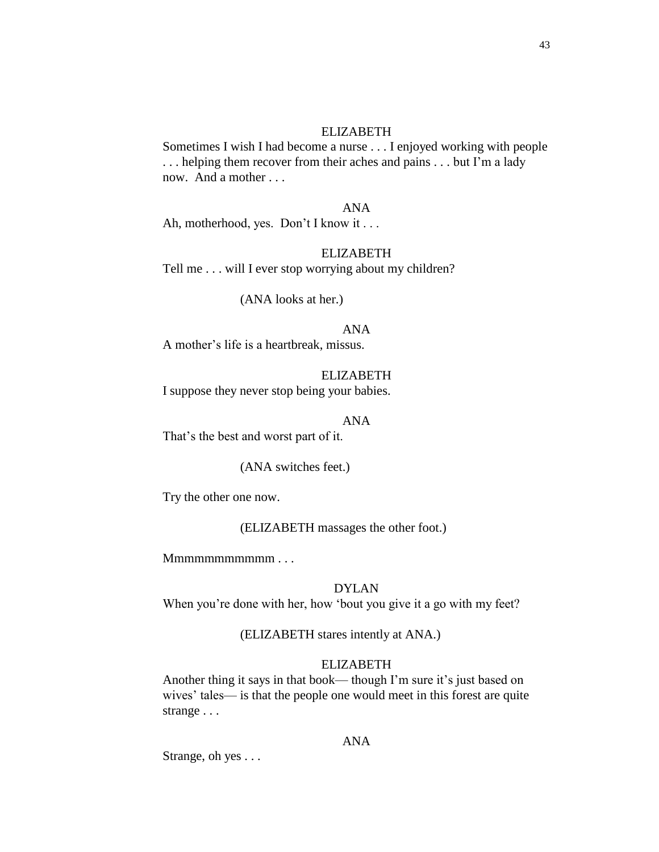Sometimes I wish I had become a nurse . . . I enjoyed working with people . . . helping them recover from their aches and pains . . . but I'm a lady now. And a mother ...

### ANA

Ah, motherhood, yes. Don't I know it . . .

#### ELIZABETH

Tell me . . . will I ever stop worrying about my children?

(ANA looks at her.)

#### ANA

A mother's life is a heartbreak, missus.

# ELIZABETH

I suppose they never stop being your babies.

# ANA

That's the best and worst part of it.

#### (ANA switches feet.)

Try the other one now.

(ELIZABETH massages the other foot.)

Mmmmmmmmmmm . . .

#### DYLAN

When you're done with her, how 'bout you give it a go with my feet?

### (ELIZABETH stares intently at ANA.)

#### ELIZABETH

Another thing it says in that book— though I'm sure it's just based on wives' tales— is that the people one would meet in this forest are quite strange . . .

# ANA

Strange, oh yes . . .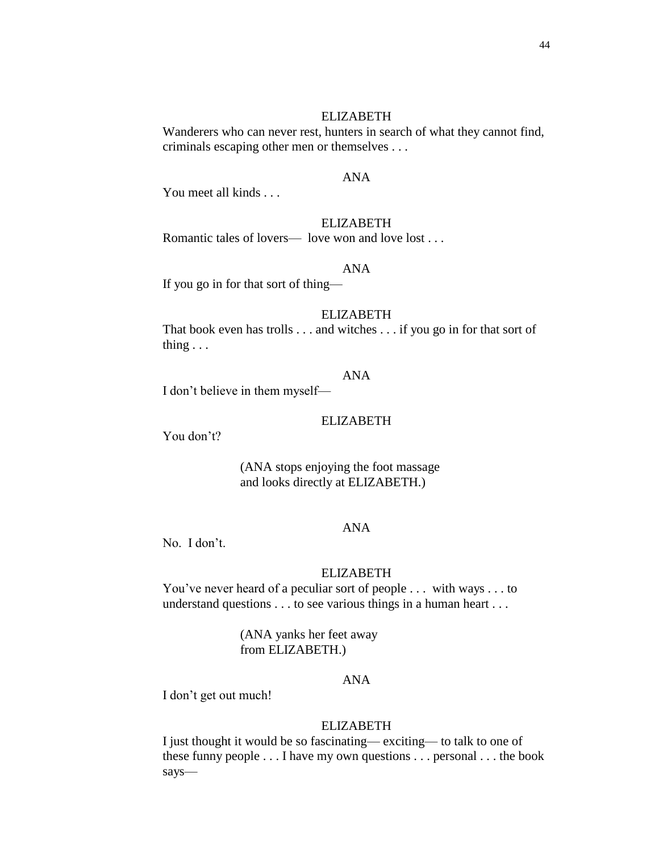Wanderers who can never rest, hunters in search of what they cannot find, criminals escaping other men or themselves . . .

#### ANA

You meet all kinds . . .

#### ELIZABETH

Romantic tales of lovers— love won and love lost . . .

# ANA

If you go in for that sort of thing—

### ELIZABETH

That book even has trolls . . . and witches . . . if you go in for that sort of thing . . .

# ANA

I don't believe in them myself—

### ELIZABETH

You don't?

(ANA stops enjoying the foot massage and looks directly at ELIZABETH.)

### ANA

No. I don't.

#### ELIZABETH

You've never heard of a peculiar sort of people . . . with ways . . . to understand questions . . . to see various things in a human heart . . .

# (ANA yanks her feet away from ELIZABETH.)

# ANA

I don't get out much!

#### ELIZABETH

I just thought it would be so fascinating— exciting— to talk to one of these funny people . . . I have my own questions . . . personal . . . the book says—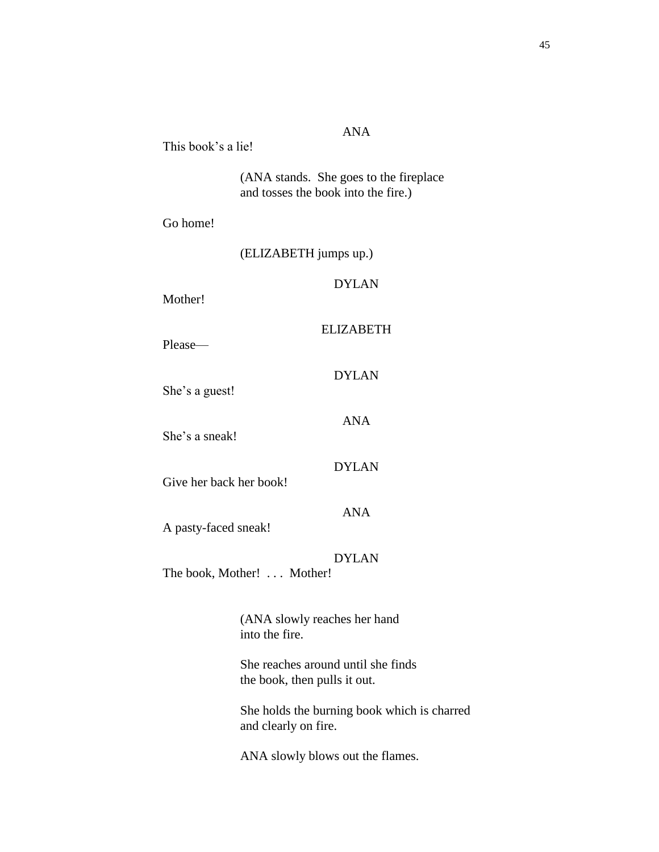# ANA

| This book's a lie!                                                             |  |  |  |
|--------------------------------------------------------------------------------|--|--|--|
| (ANA stands. She goes to the fireplace)<br>and tosses the book into the fire.) |  |  |  |
| Go home!                                                                       |  |  |  |
| (ELIZABETH jumps up.)                                                          |  |  |  |
| <b>DYLAN</b><br>Mother!                                                        |  |  |  |
| <b>ELIZABETH</b><br>Please-                                                    |  |  |  |
| <b>DYLAN</b><br>She's a guest!                                                 |  |  |  |
| <b>ANA</b><br>She's a sneak!                                                   |  |  |  |
| <b>DYLAN</b><br>Give her back her book!                                        |  |  |  |
| <b>ANA</b><br>A pasty-faced sneak!                                             |  |  |  |
| <b>DYLAN</b><br>The book, Mother! Mother!                                      |  |  |  |
| (ANA slowly reaches her hand<br>into the fire.                                 |  |  |  |
| She reaches around until she finds<br>the book, then pulls it out.             |  |  |  |
| She holds the burning book which is charred<br>and clearly on fire.            |  |  |  |

ANA slowly blows out the flames.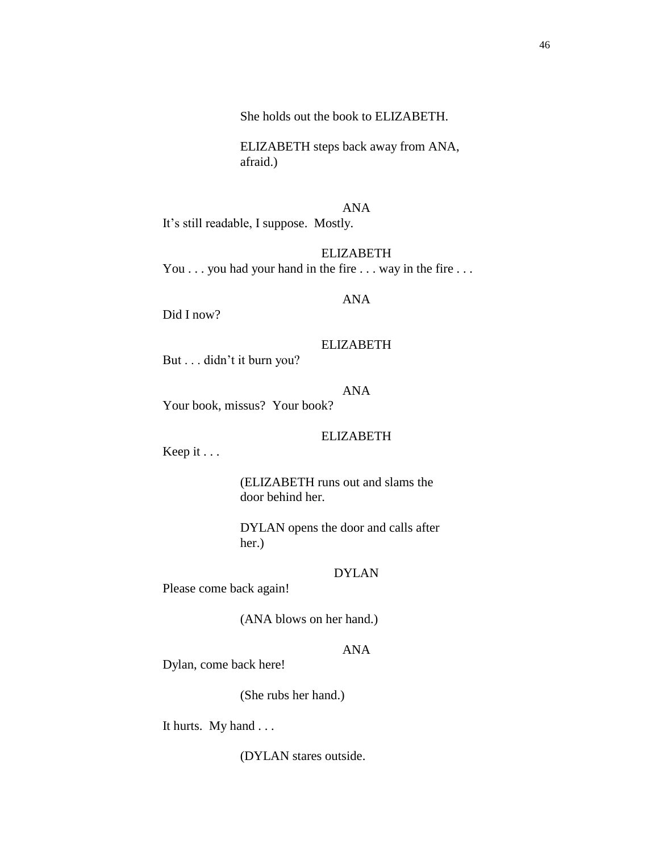She holds out the book to ELIZABETH.

ELIZABETH steps back away from ANA, afraid.)

ANA It's still readable, I suppose. Mostly.

ELIZABETH You . . . you had your hand in the fire . . . way in the fire . . .

# ANA

Did I now?

# ELIZABETH

But . . . didn't it burn you?

# ANA

Your book, missus? Your book?

#### ELIZABETH

Keep it . . .

(ELIZABETH runs out and slams the door behind her.

DYLAN opens the door and calls after her.)

### DYLAN

Please come back again!

(ANA blows on her hand.)

# ANA

Dylan, come back here!

(She rubs her hand.)

It hurts. My hand . . .

(DYLAN stares outside.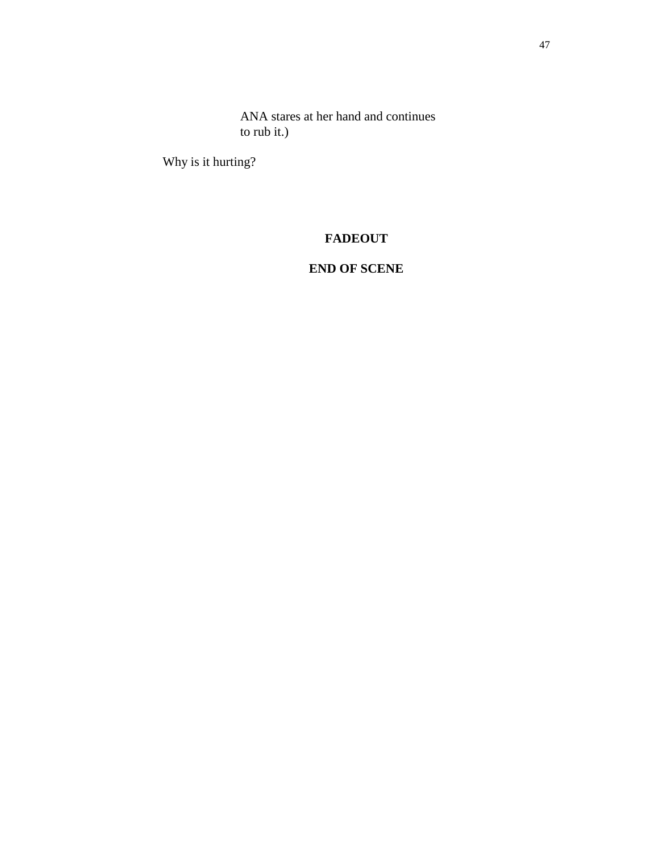ANA stares at her hand and continues to rub it.)

Why is it hurting?

# **FADEOUT**

# **END OF SCENE**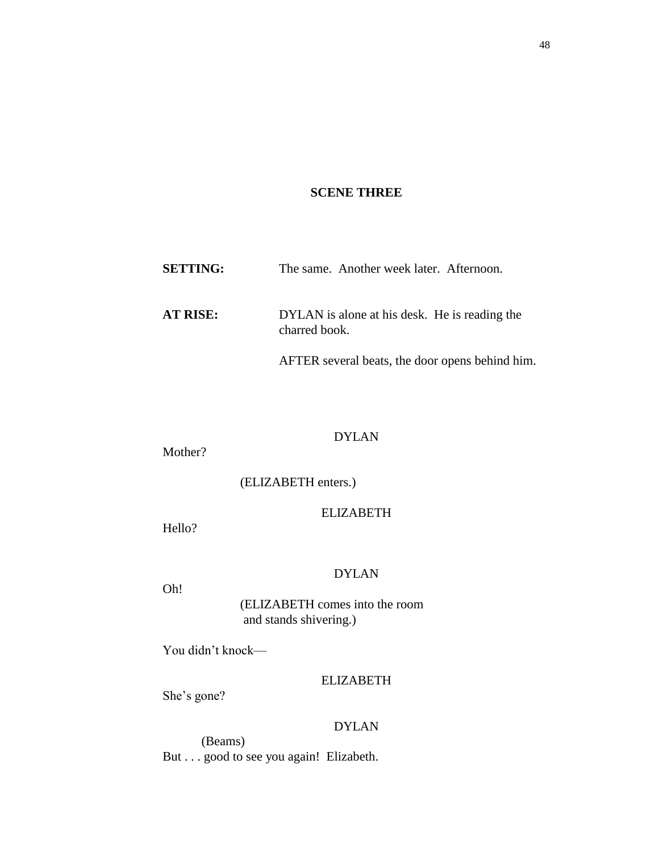# **SCENE THREE**

| <b>SETTING:</b> | The same. Another week later. Afternoon.                       |  |
|-----------------|----------------------------------------------------------------|--|
| AT RISE:        | DYLAN is alone at his desk. He is reading the<br>charred book. |  |
|                 | AFTER several beats, the door opens behind him.                |  |

# DYLAN

Mother?

(ELIZABETH enters.)

ELIZABETH

Hello?

# DYLAN

Oh!

(ELIZABETH comes into the room and stands shivering.)

You didn't knock—

ELIZABETH

She's gone?

# DYLAN

(Beams) But . . . good to see you again! Elizabeth.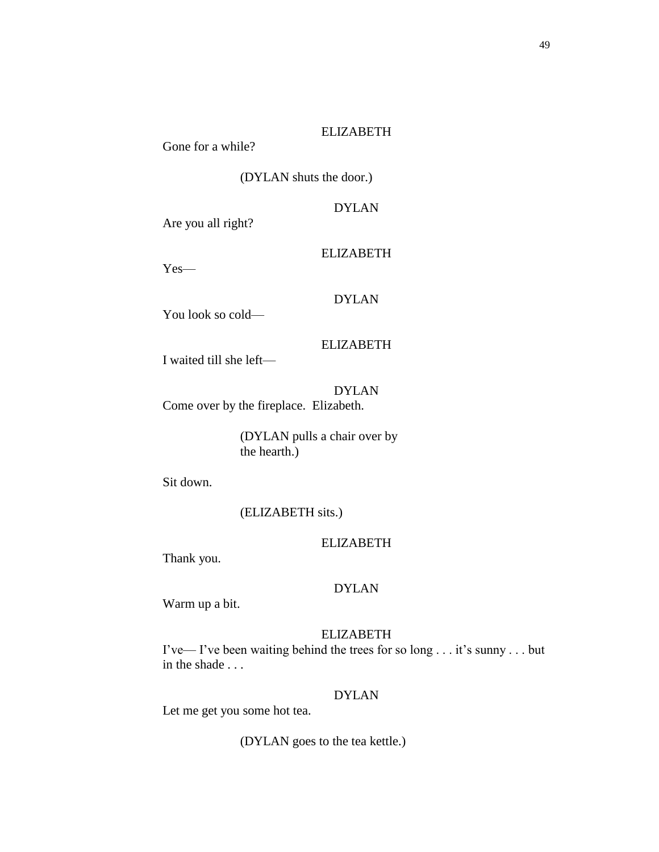Gone for a while?

(DYLAN shuts the door.)

DYLAN

Are you all right?

ELIZABETH

Yes—

# DYLAN

You look so cold—

# ELIZABETH

I waited till she left—

DYLAN Come over by the fireplace. Elizabeth.

> (DYLAN pulls a chair over by the hearth.)

Sit down.

(ELIZABETH sits.)

## ELIZABETH

Thank you.

# DYLAN

Warm up a bit.

# ELIZABETH

I've— I've been waiting behind the trees for so long . . . it's sunny . . . but in the shade . . .

# DYLAN

Let me get you some hot tea.

(DYLAN goes to the tea kettle.)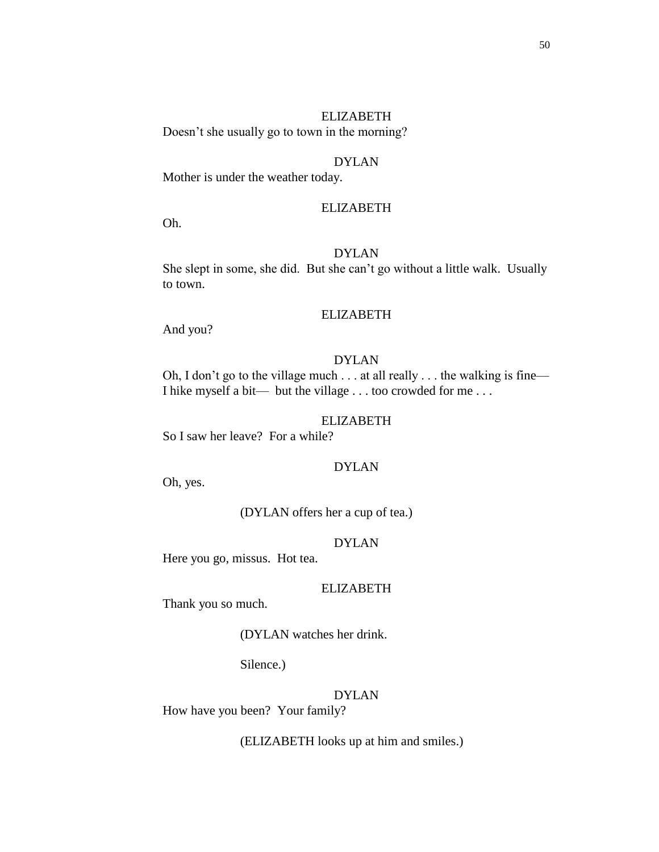Doesn't she usually go to town in the morning?

# DYLAN

Mother is under the weather today.

# ELIZABETH

Oh.

### DYLAN

She slept in some, she did. But she can't go without a little walk. Usually to town.

# ELIZABETH

And you?

## DYLAN

Oh, I don't go to the village much . . . at all really . . . the walking is fine— I hike myself a bit— but the village . . . too crowded for me . . .

# ELIZABETH

So I saw her leave? For a while?

### DYLAN

Oh, yes.

(DYLAN offers her a cup of tea.)

#### DYLAN

Here you go, missus. Hot tea.

#### ELIZABETH

Thank you so much.

(DYLAN watches her drink.

Silence.)

# DYLAN

How have you been? Your family?

(ELIZABETH looks up at him and smiles.)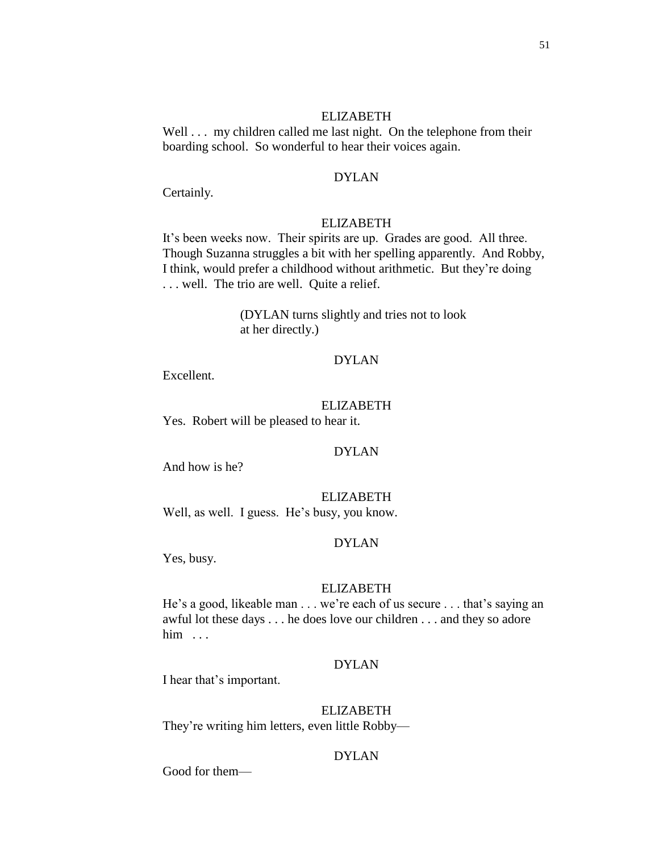Well . . . my children called me last night. On the telephone from their boarding school. So wonderful to hear their voices again.

### DYLAN

Certainly.

#### ELIZABETH

It's been weeks now. Their spirits are up. Grades are good. All three. Though Suzanna struggles a bit with her spelling apparently. And Robby, I think, would prefer a childhood without arithmetic. But they're doing . . . well. The trio are well. Quite a relief.

> (DYLAN turns slightly and tries not to look at her directly.)

### DYLAN

Excellent.

#### ELIZABETH

Yes. Robert will be pleased to hear it.

#### DYLAN

And how is he?

#### ELIZABETH

Well, as well. I guess. He's busy, you know.

#### DYLAN

Yes, busy.

#### ELIZABETH

He's a good, likeable man . . . we're each of us secure . . . that's saying an awful lot these days . . . he does love our children . . . and they so adore him . . .

#### DYLAN

I hear that's important.

#### ELIZABETH

They're writing him letters, even little Robby—

### DYLAN

Good for them—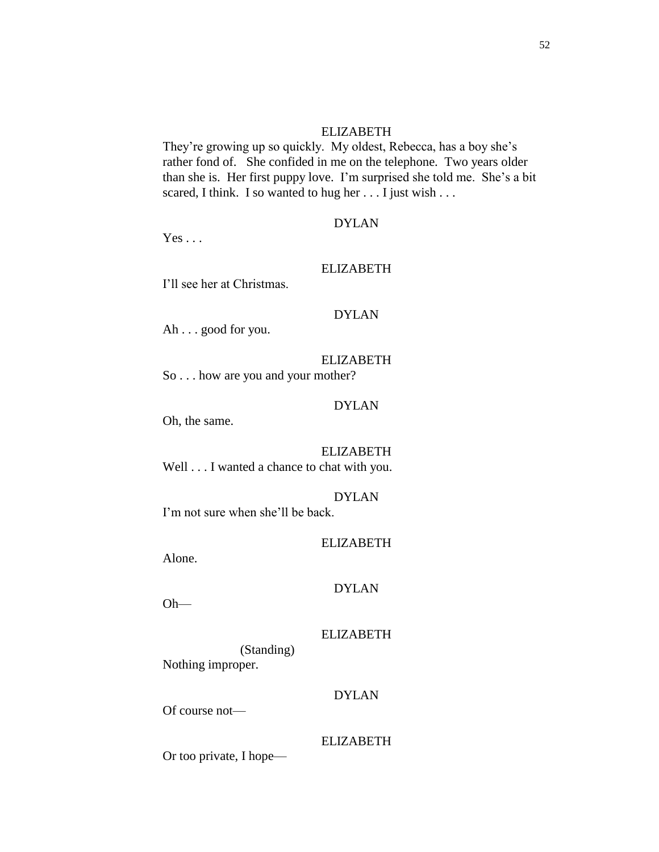They're growing up so quickly. My oldest, Rebecca, has a boy she's rather fond of. She confided in me on the telephone. Two years older than she is. Her first puppy love. I'm surprised she told me. She's a bit scared, I think. I so wanted to hug her . . . I just wish . . .

#### DYLAN

 $Yes \dots$ 

#### ELIZABETH

I'll see her at Christmas.

# DYLAN

Ah . . . good for you.

#### ELIZABETH

So . . . how are you and your mother?

# DYLAN

Oh, the same.

ELIZABETH Well . . . I wanted a chance to chat with you.

#### DYLAN

I'm not sure when she'll be back.

#### ELIZABETH

Alone.

#### DYLAN

Oh—

## ELIZABETH

(Standing) Nothing improper.

# DYLAN

Of course not—

# ELIZABETH

Or too private, I hope—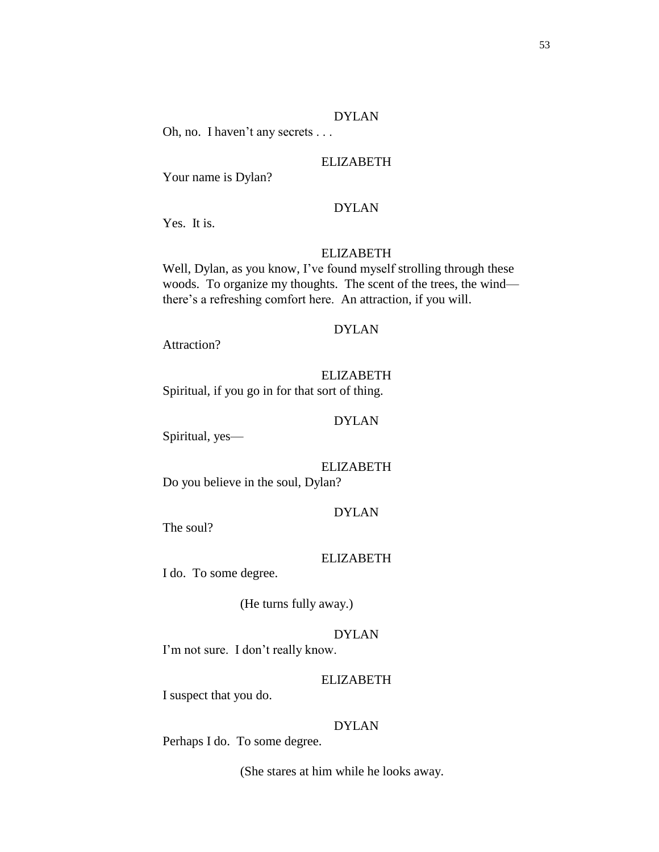Oh, no. I haven't any secrets . . .

### ELIZABETH

Your name is Dylan?

# DYLAN

Yes. It is.

#### ELIZABETH

Well, Dylan, as you know, I've found myself strolling through these woods. To organize my thoughts. The scent of the trees, the wind there's a refreshing comfort here. An attraction, if you will.

#### DYLAN

Attraction?

# ELIZABETH Spiritual, if you go in for that sort of thing.

# DYLAN

Spiritual, yes—

#### ELIZABETH

Do you believe in the soul, Dylan?

# DYLAN

The soul?

### ELIZABETH

I do. To some degree.

(He turns fully away.)

# DYLAN

I'm not sure. I don't really know.

### ELIZABETH

I suspect that you do.

# DYLAN

Perhaps I do. To some degree.

(She stares at him while he looks away.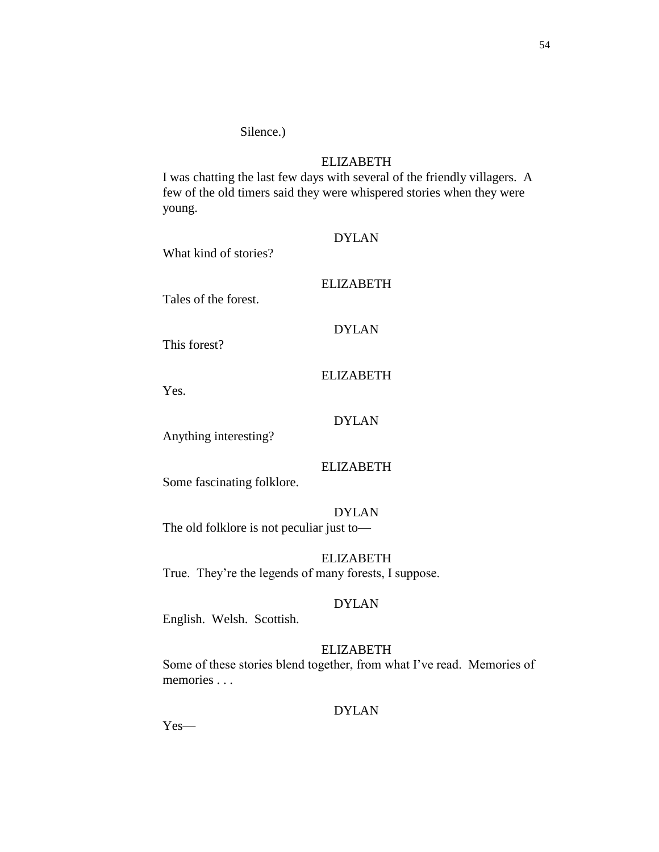# Silence.)

# ELIZABETH

I was chatting the last few days with several of the friendly villagers. A few of the old timers said they were whispered stories when they were young.

| What kind of stories?                     | <b>DYLAN</b>     |
|-------------------------------------------|------------------|
| Tales of the forest.                      | ELIZABETH        |
| This forest?                              | <b>DYLAN</b>     |
|                                           | <b>ELIZABETH</b> |
| Yes.                                      | <b>DYLAN</b>     |
| Anything interesting?                     |                  |
| Some fascinating folklore.                | <b>ELIZABETH</b> |
| The old folklore is not peculiar just to- | <b>DYLAN</b>     |
|                                           | ELIZABETH        |

True. They're the legends of many forests, I suppose.

# DYLAN

English. Welsh. Scottish.

# ELIZABETH

Some of these stories blend together, from what I've read. Memories of memories . . .

# DYLAN

Yes—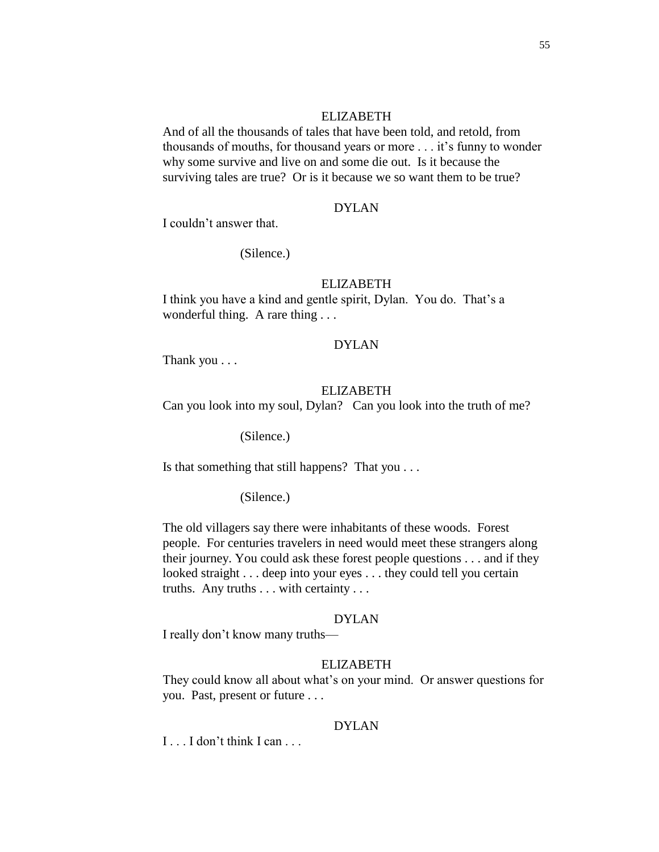And of all the thousands of tales that have been told, and retold, from thousands of mouths, for thousand years or more . . . it's funny to wonder why some survive and live on and some die out. Is it because the surviving tales are true? Or is it because we so want them to be true?

# DYLAN

I couldn't answer that.

(Silence.)

# ELIZABETH

I think you have a kind and gentle spirit, Dylan. You do. That's a wonderful thing. A rare thing ...

# DYLAN

Thank you . . .

### ELIZABETH

Can you look into my soul, Dylan? Can you look into the truth of me?

(Silence.)

Is that something that still happens? That you . . .

(Silence.)

The old villagers say there were inhabitants of these woods. Forest people. For centuries travelers in need would meet these strangers along their journey. You could ask these forest people questions . . . and if they looked straight . . . deep into your eyes . . . they could tell you certain truths. Any truths . . . with certainty . . .

#### DYLAN

I really don't know many truths—

#### ELIZABETH

They could know all about what's on your mind. Or answer questions for you. Past, present or future . . .

## DYLAN

 $I \ldots I$  don't think I can  $\ldots$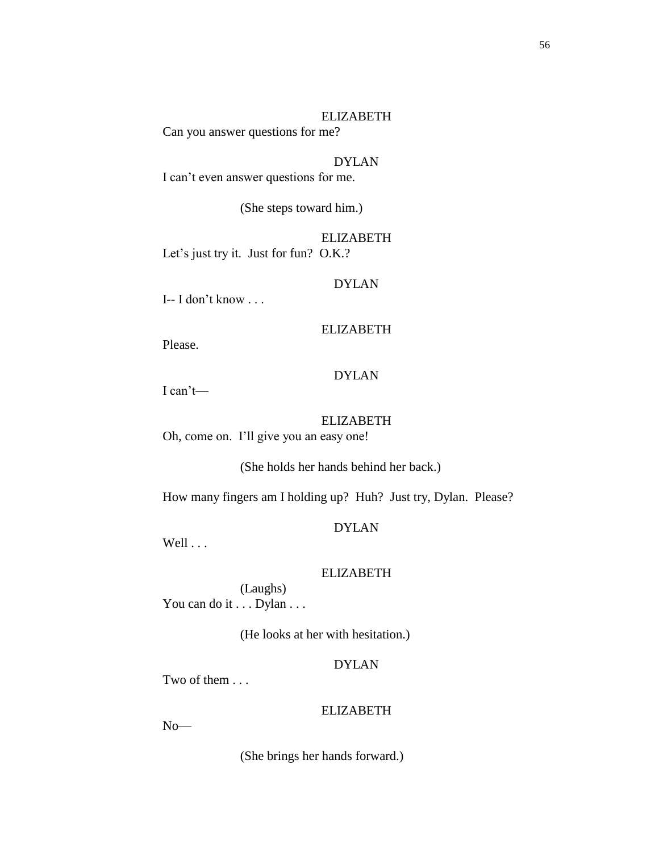Can you answer questions for me?

# DYLAN

I can't even answer questions for me.

(She steps toward him.)

ELIZABETH Let's just try it. Just for fun? O.K.?

# DYLAN

I-- I don't know . . .

#### ELIZABETH

Please.

# DYLAN

I can't—

# ELIZABETH

Oh, come on. I'll give you an easy one!

(She holds her hands behind her back.)

How many fingers am I holding up? Huh? Just try, Dylan. Please?

## DYLAN

Well . . .

#### ELIZABETH

(Laughs) You can do it . . . Dylan . . .

(He looks at her with hesitation.)

# DYLAN

Two of them . . .

# ELIZABETH

No—

(She brings her hands forward.)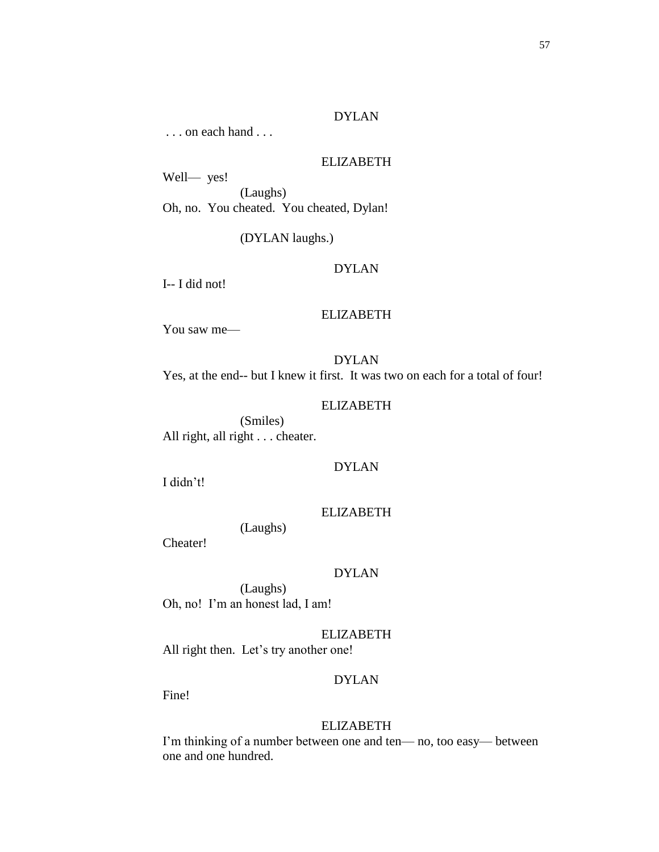. . . on each hand . . .

### ELIZABETH

Well— yes! (Laughs) Oh, no. You cheated. You cheated, Dylan!

(DYLAN laughs.)

# DYLAN

I-- I did not!

### ELIZABETH

You saw me—

DYLAN Yes, at the end-- but I knew it first. It was two on each for a total of four!

# ELIZABETH

(Smiles) All right, all right . . . cheater.

# DYLAN

I didn't!

## ELIZABETH

(Laughs)

Cheater!

### DYLAN

(Laughs) Oh, no! I'm an honest lad, I am!

# ELIZABETH

All right then. Let's try another one!

# DYLAN

Fine!

#### ELIZABETH

I'm thinking of a number between one and ten— no, too easy— between one and one hundred.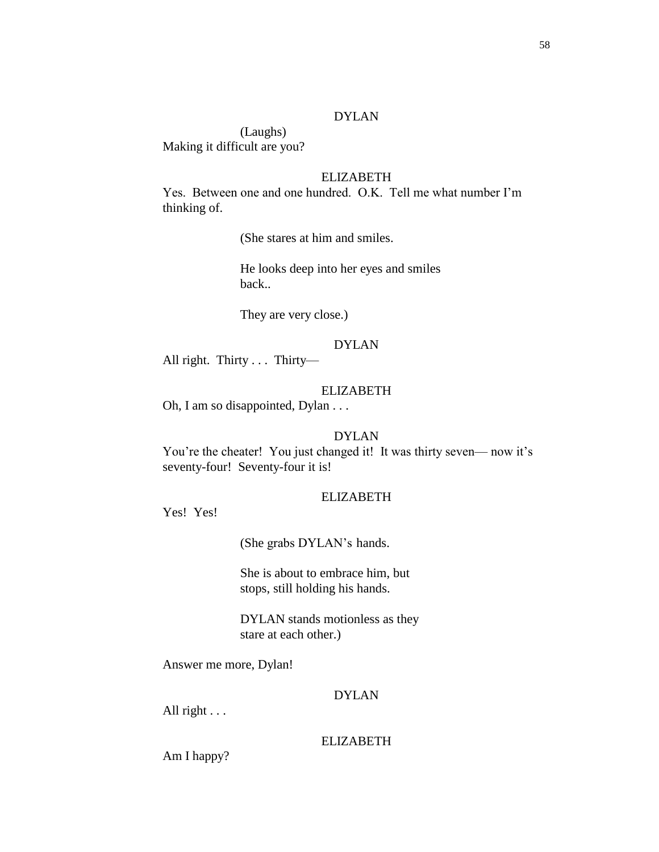(Laughs) Making it difficult are you?

# ELIZABETH

Yes. Between one and one hundred. O.K. Tell me what number I'm thinking of.

(She stares at him and smiles.

He looks deep into her eyes and smiles back..

They are very close.)

# DYLAN

All right. Thirty . . . Thirty—

# ELIZABETH

Oh, I am so disappointed, Dylan . . .

# DYLAN

You're the cheater! You just changed it! It was thirty seven— now it's seventy-four! Seventy-four it is!

#### ELIZABETH

Yes! Yes!

(She grabs DYLAN's hands.

She is about to embrace him, but stops, still holding his hands.

DYLAN stands motionless as they stare at each other.)

Answer me more, Dylan!

# DYLAN

All right . . .

# ELIZABETH

Am I happy?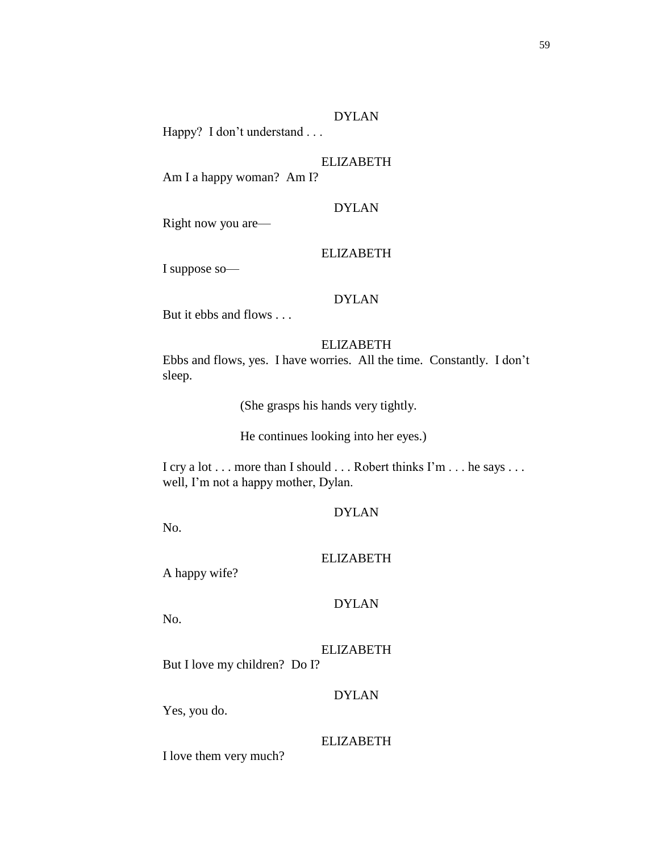DYLAN Happy? I don't understand . . .

#### ELIZABETH

Am I a happy woman? Am I?

# DYLAN

Right now you are—

#### ELIZABETH

I suppose so—

### DYLAN

But it ebbs and flows . . .

# ELIZABETH

Ebbs and flows, yes. I have worries. All the time. Constantly. I don't sleep.

(She grasps his hands very tightly.

He continues looking into her eyes.)

I cry a lot . . . more than I should . . . Robert thinks I'm . . . he says . . . well, I'm not a happy mother, Dylan.

DYLAN

No.

# ELIZABETH

A happy wife?

### DYLAN

No.

# ELIZABETH

But I love my children? Do I?

# DYLAN

Yes, you do.

### ELIZABETH

I love them very much?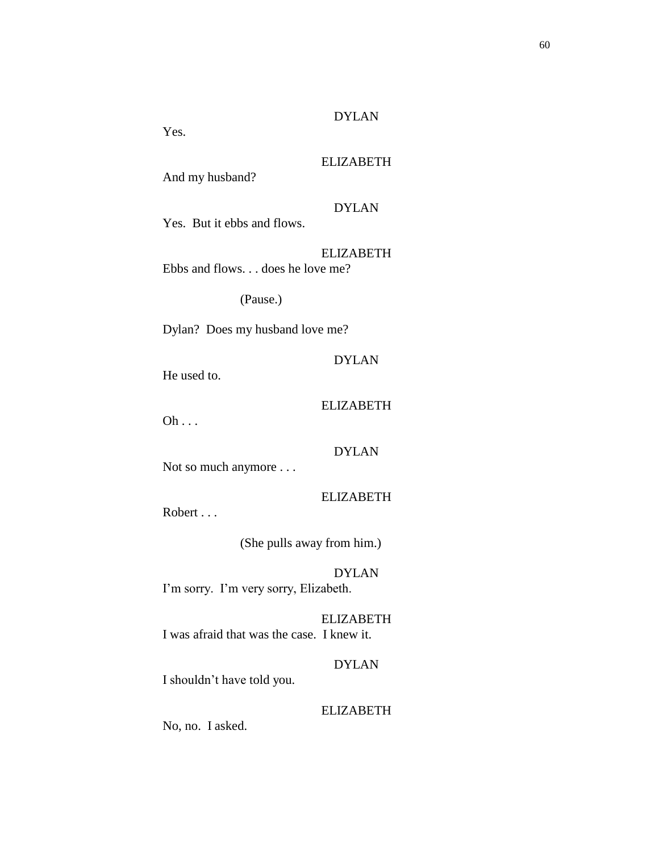Yes.

# ELIZABETH

And my husband?

# DYLAN

Yes. But it ebbs and flows.

ELIZABETH Ebbs and flows. . . does he love me?

(Pause.)

Dylan? Does my husband love me?

# DYLAN

He used to.

# ELIZABETH

 $Oh \ldots$ 

# DYLAN

Not so much anymore . . .

# ELIZABETH

Robert . . .

(She pulls away from him.)

DYLAN I'm sorry. I'm very sorry, Elizabeth.

ELIZABETH I was afraid that was the case. I knew it.

# DYLAN

I shouldn't have told you.

# ELIZABETH

No, no. I asked.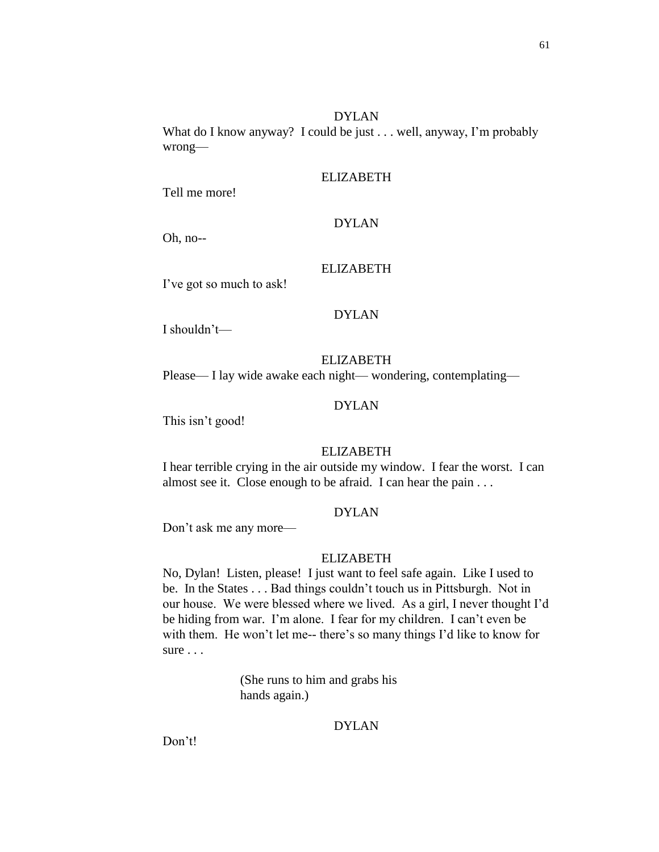DYLAN What do I know anyway? I could be just . . . well, anyway, I'm probably wrong—

# ELIZABETH

Tell me more!

## DYLAN

Oh, no--

# ELIZABETH

I've got so much to ask!

# DYLAN

I shouldn't—

ELIZABETH

Please— I lay wide awake each night— wondering, contemplating—

# DYLAN

This isn't good!

## ELIZABETH

I hear terrible crying in the air outside my window. I fear the worst. I can almost see it. Close enough to be afraid. I can hear the pain . . .

# DYLAN

Don't ask me any more—

# ELIZABETH

No, Dylan! Listen, please! I just want to feel safe again. Like I used to be. In the States . . . Bad things couldn't touch us in Pittsburgh. Not in our house. We were blessed where we lived. As a girl, I never thought I'd be hiding from war. I'm alone. I fear for my children. I can't even be with them. He won't let me-- there's so many things I'd like to know for sure . . .

> (She runs to him and grabs his hands again.)

# DYLAN

Don't!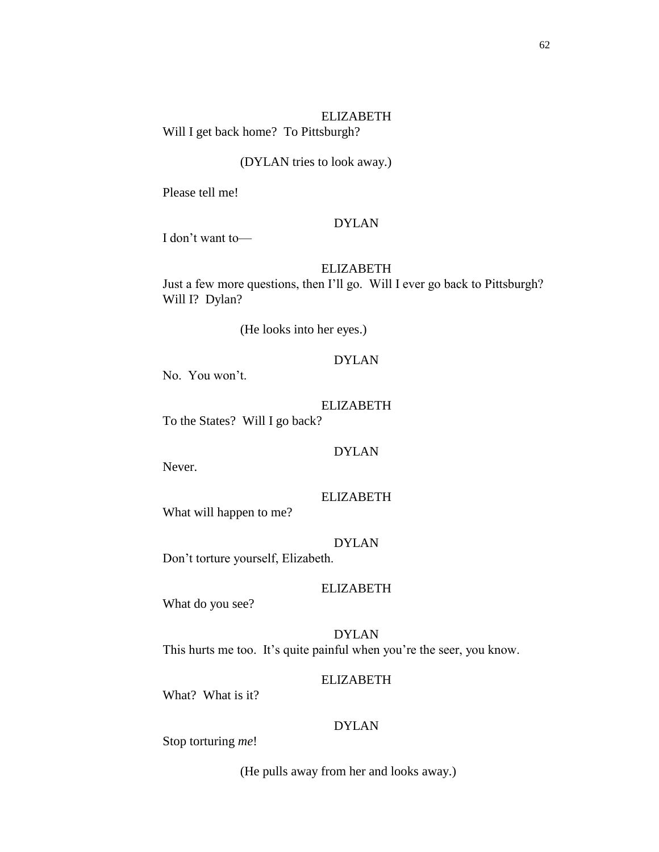# ELIZABETH Will I get back home? To Pittsburgh?

# (DYLAN tries to look away.)

Please tell me!

#### DYLAN

I don't want to—

#### ELIZABETH

Just a few more questions, then I'll go. Will I ever go back to Pittsburgh? Will I? Dylan?

(He looks into her eyes.)

### DYLAN

No. You won't.

# ELIZABETH

To the States? Will I go back?

#### DYLAN

Never.

ELIZABETH

What will happen to me?

## DYLAN

Don't torture yourself, Elizabeth.

### ELIZABETH

What do you see?

DYLAN This hurts me too. It's quite painful when you're the seer, you know.

#### ELIZABETH

What? What is it?

# DYLAN

Stop torturing *me*!

(He pulls away from her and looks away.)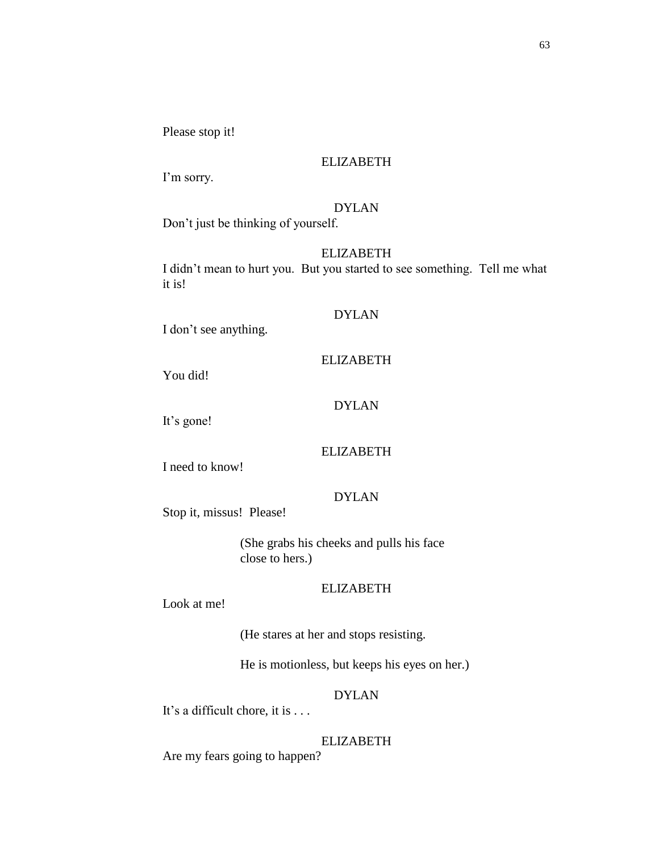Please stop it!

# ELIZABETH

I'm sorry.

# DYLAN

Don't just be thinking of yourself.

#### ELIZABETH

I didn't mean to hurt you. But you started to see something. Tell me what it is!

# DYLAN

I don't see anything.

#### ELIZABETH

You did!

# DYLAN

It's gone!

### ELIZABETH

I need to know!

# DYLAN

Stop it, missus! Please!

(She grabs his cheeks and pulls his face close to hers.)

### ELIZABETH

Look at me!

(He stares at her and stops resisting.

He is motionless, but keeps his eyes on her.)

# DYLAN

It's a difficult chore, it is . . .

ELIZABETH

Are my fears going to happen?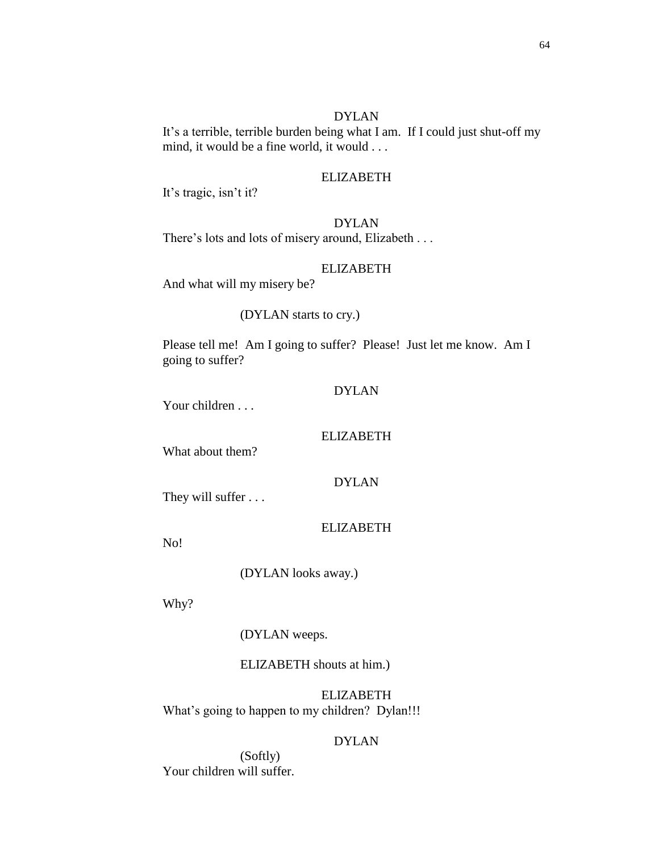It's a terrible, terrible burden being what I am. If I could just shut-off my mind, it would be a fine world, it would . . .

# ELIZABETH

It's tragic, isn't it?

# DYLAN

There's lots and lots of misery around, Elizabeth . . .

# ELIZABETH

And what will my misery be?

# (DYLAN starts to cry.)

Please tell me! Am I going to suffer? Please! Just let me know. Am I going to suffer?

Your children . . .

### ELIZABETH

What about them?

# DYLAN

They will suffer . . .

# ELIZABETH

No!

(DYLAN looks away.)

Why?

(DYLAN weeps.

### ELIZABETH shouts at him.)

ELIZABETH What's going to happen to my children? Dylan!!!

### DYLAN

(Softly) Your children will suffer.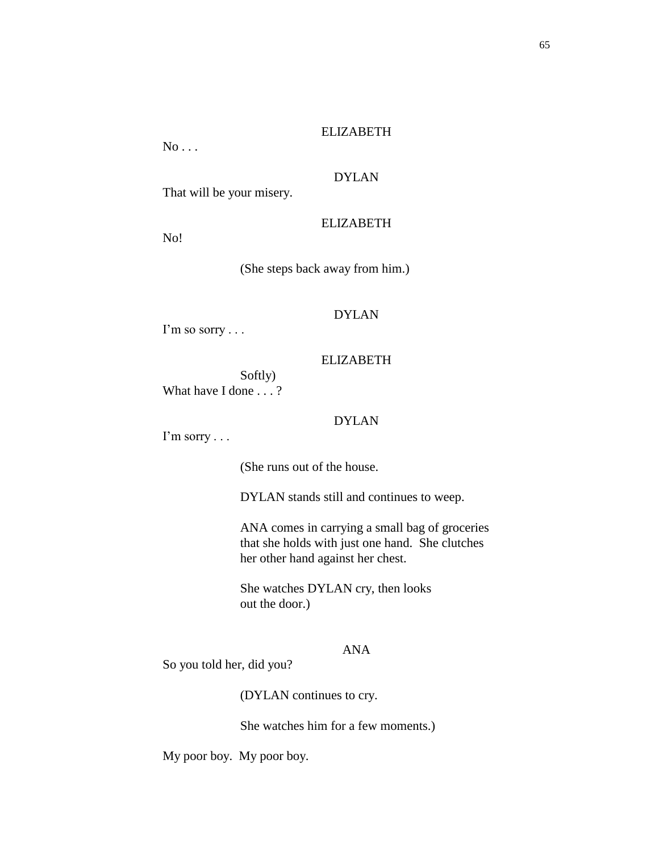No . . .

DYLAN

That will be your misery.

ELIZABETH

No!

(She steps back away from him.)

# DYLAN

I'm so sorry . . .

### ELIZABETH

Softly) What have I done . . . ?

# DYLAN

I'm sorry . . .

(She runs out of the house.

DYLAN stands still and continues to weep.

ANA comes in carrying a small bag of groceries that she holds with just one hand. She clutches her other hand against her chest.

She watches DYLAN cry, then looks out the door.)

# ANA

So you told her, did you?

(DYLAN continues to cry.

She watches him for a few moments.)

My poor boy. My poor boy.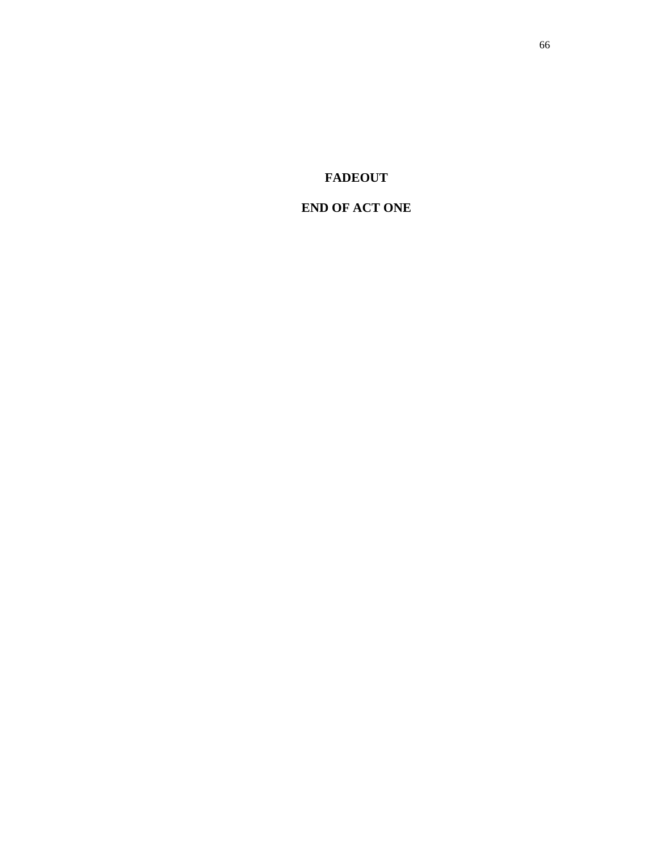**FADEOUT**

# **END OF ACT ONE**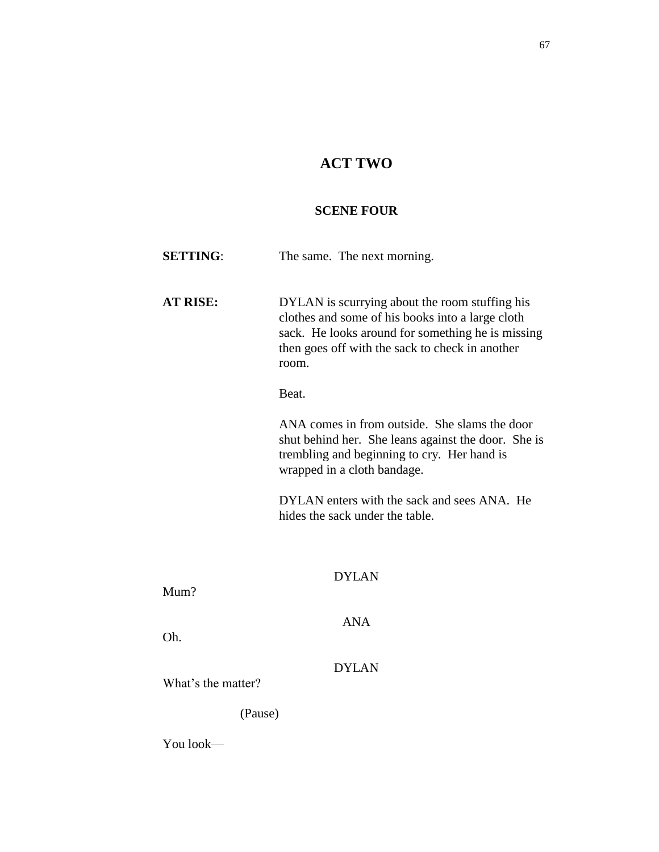# **ACT TWO**

# **SCENE FOUR**

| <b>SETTING:</b>    | The same. The next morning.                                                                                                                                                                                         |  |  |  |
|--------------------|---------------------------------------------------------------------------------------------------------------------------------------------------------------------------------------------------------------------|--|--|--|
| <b>AT RISE:</b>    | DYLAN is scurrying about the room stuffing his<br>clothes and some of his books into a large cloth<br>sack. He looks around for something he is missing<br>then goes off with the sack to check in another<br>room. |  |  |  |
|                    | Beat.                                                                                                                                                                                                               |  |  |  |
|                    | ANA comes in from outside. She slams the door<br>shut behind her. She leans against the door. She is<br>trembling and beginning to cry. Her hand is<br>wrapped in a cloth bandage.                                  |  |  |  |
|                    | DYLAN enters with the sack and sees ANA. He<br>hides the sack under the table.                                                                                                                                      |  |  |  |
|                    |                                                                                                                                                                                                                     |  |  |  |
| Mum?               | <b>DYLAN</b>                                                                                                                                                                                                        |  |  |  |
| Oh.                | <b>ANA</b>                                                                                                                                                                                                          |  |  |  |
| What's the matter? | <b>DYLAN</b>                                                                                                                                                                                                        |  |  |  |
| (Pause)            |                                                                                                                                                                                                                     |  |  |  |
| You look-          |                                                                                                                                                                                                                     |  |  |  |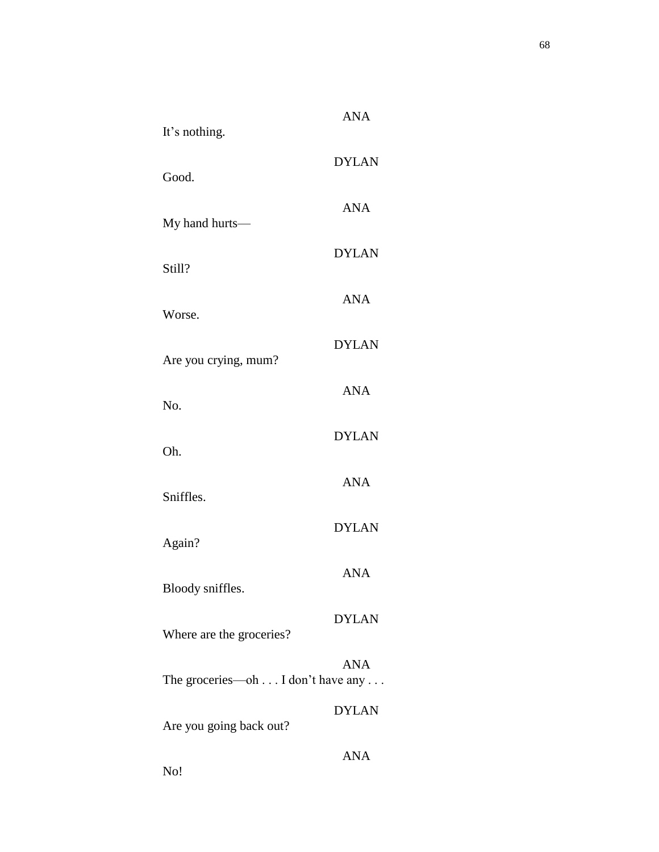| It's nothing.                     | <b>ANA</b>   |
|-----------------------------------|--------------|
| Good.                             | <b>DYLAN</b> |
| My hand hurts-                    | <b>ANA</b>   |
| Still?                            | <b>DYLAN</b> |
| Worse.                            | <b>ANA</b>   |
| Are you crying, mum?              | <b>DYLAN</b> |
| No.                               | <b>ANA</b>   |
| Oh.                               | <b>DYLAN</b> |
| Sniffles.                         | <b>ANA</b>   |
|                                   | <b>DYLAN</b> |
| Again?                            | <b>ANA</b>   |
| Bloody sniffles.                  | <b>DYLAN</b> |
| Where are the groceries?          | <b>ANA</b>   |
| The groceries-oh I don't have any | <b>DYLAN</b> |
| Are you going back out?           | <b>ANA</b>   |
| No!                               |              |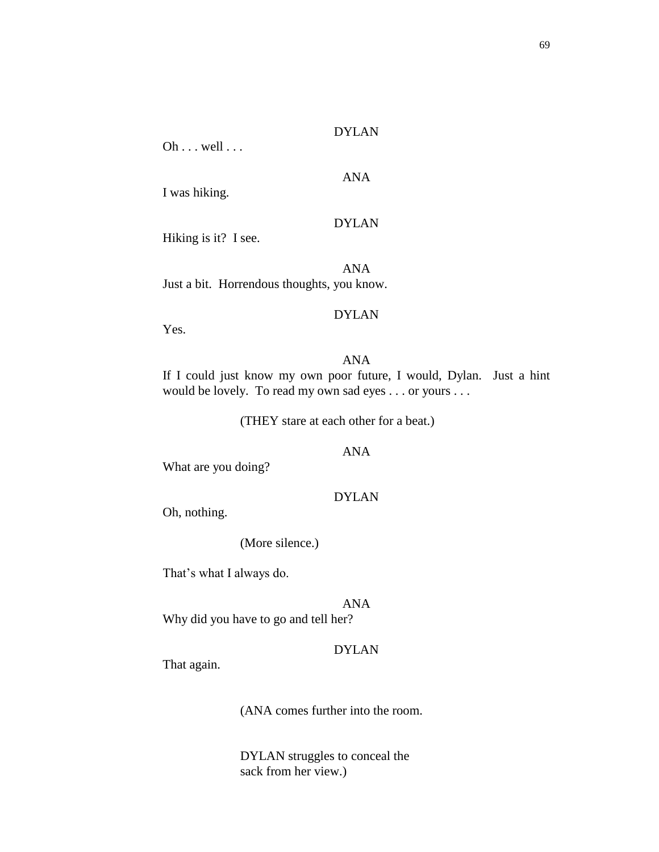Oh . . . well . . .

# ANA

I was hiking.

### DYLAN

Hiking is it? I see.

ANA Just a bit. Horrendous thoughts, you know.

## DYLAN

Yes.

### ANA

If I could just know my own poor future, I would, Dylan. Just a hint would be lovely. To read my own sad eyes . . . or yours . . .

(THEY stare at each other for a beat.)

### ANA

What are you doing?

# DYLAN

Oh, nothing.

(More silence.)

That's what I always do.

### ANA

Why did you have to go and tell her?

# DYLAN

That again.

(ANA comes further into the room.

DYLAN struggles to conceal the sack from her view.)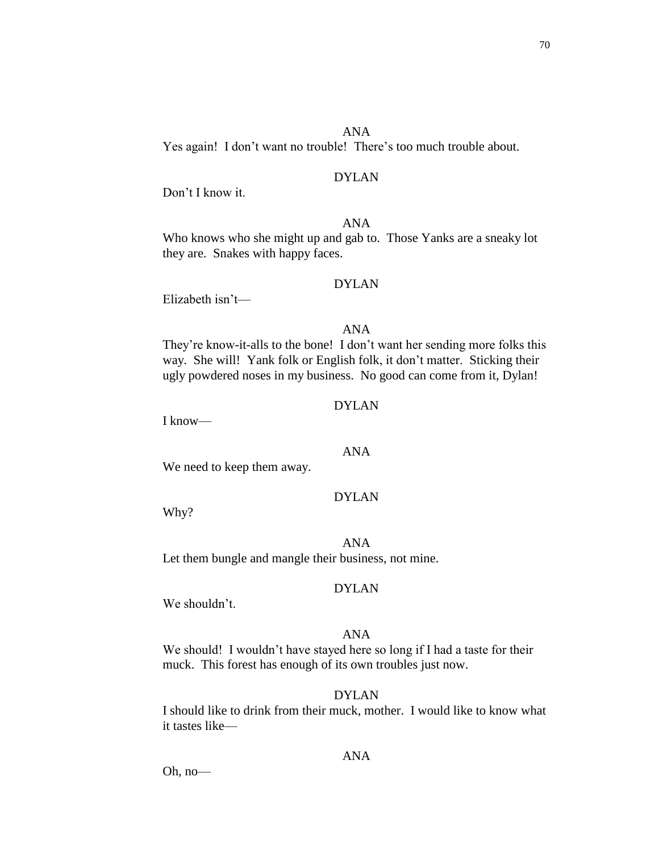# ANA

Yes again! I don't want no trouble! There's too much trouble about.

# DYLAN

Don't I know it.

# ANA

Who knows who she might up and gab to. Those Yanks are a sneaky lot they are. Snakes with happy faces.

# DYLAN

Elizabeth isn't—

# ANA

They're know-it-alls to the bone! I don't want her sending more folks this way. She will! Yank folk or English folk, it don't matter. Sticking their ugly powdered noses in my business. No good can come from it, Dylan!

## DYLAN

I know—

# ANA

We need to keep them away.

# DYLAN

Why?

ANA

Let them bungle and mangle their business, not mine.

## DYLAN

We shouldn't.

# ANA

We should! I wouldn't have stayed here so long if I had a taste for their muck. This forest has enough of its own troubles just now.

# DYLAN

I should like to drink from their muck, mother. I would like to know what it tastes like—

# ANA

Oh, no—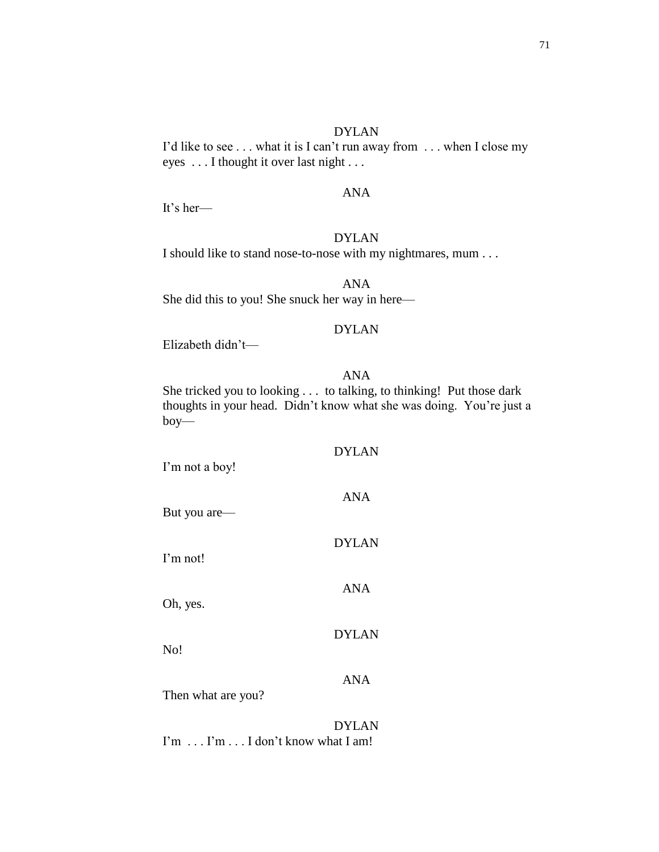I'd like to see . . . what it is I can't run away from . . . when I close my eyes . . . I thought it over last night . . .

# ANA

It's her—

# DYLAN

I should like to stand nose-to-nose with my nightmares, mum . . .

ANA She did this to you! She snuck her way in here—

### DYLAN

Elizabeth didn't—

# ANA

She tricked you to looking . . . to talking, to thinking! Put those dark thoughts in your head. Didn't know what she was doing. You're just a boy—

| I'm not a boy!     | <b>DYLAN</b> |
|--------------------|--------------|
| But you are—       | <b>ANA</b>   |
| I'm not!           | <b>DYLAN</b> |
| Oh, yes.           | <b>ANA</b>   |
| No!                | <b>DYLAN</b> |
|                    | <b>ANA</b>   |
| Then what are you? | DYLAN        |

I'm . . . I'm . . . I don't know what I am!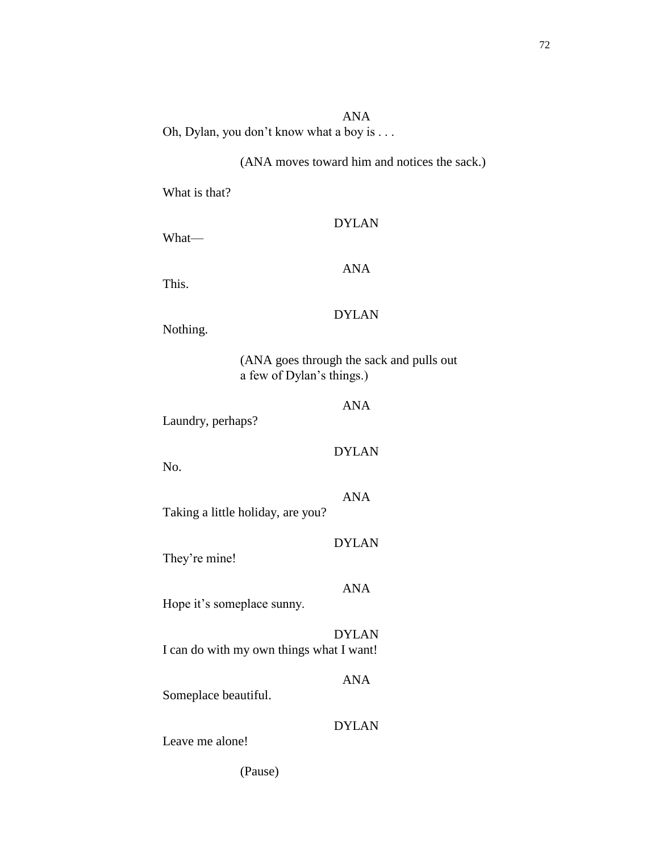ANA Oh, Dylan, you don't know what a boy is . . .

### (ANA moves toward him and notices the sack.)

What is that?

#### DYLAN

What—

ANA

This.

### DYLAN

Nothing.

(ANA goes through the sack and pulls out a few of Dylan's things.)

Laundry, perhaps?

DYLAN

ANA

No.

Taking a little holiday, are you?

They're mine!

Hope it's someplace sunny.

DYLAN I can do with my own things what I want!

Someplace beautiful.

### DYLAN

ANA

Leave me alone!

ANA

DYLAN

ANA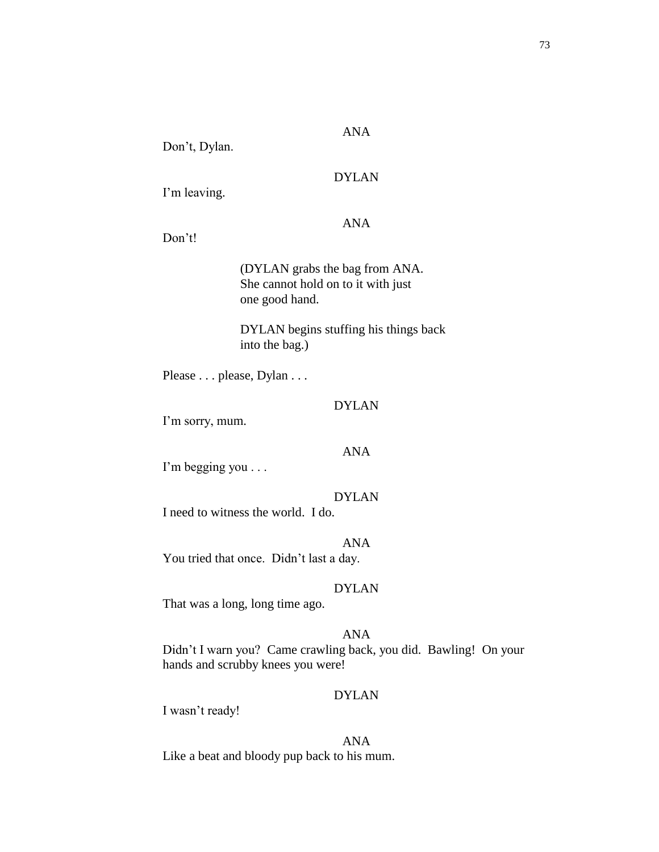# ANA

Don't, Dylan.

# DYLAN

I'm leaving.

### ANA

Don't!

(DYLAN grabs the bag from ANA. She cannot hold on to it with just one good hand.

DYLAN begins stuffing his things back into the bag.)

Please . . . please, Dylan . . .

### DYLAN

I'm sorry, mum.

### ANA

I'm begging you . . .

### DYLAN

I need to witness the world. I do.

#### ANA

You tried that once. Didn't last a day.

### DYLAN

That was a long, long time ago.

### ANA

Didn't I warn you? Came crawling back, you did. Bawling! On your hands and scrubby knees you were!

## DYLAN

I wasn't ready!

#### ANA

Like a beat and bloody pup back to his mum.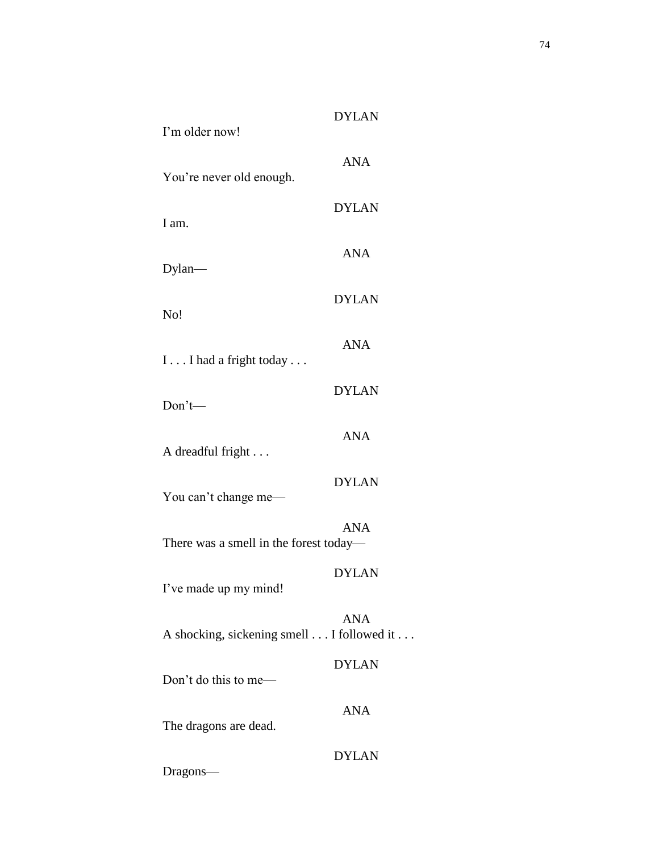| I'm older now!                            | <b>DYLAN</b> |
|-------------------------------------------|--------------|
| You're never old enough.                  | <b>ANA</b>   |
| I am.                                     | <b>DYLAN</b> |
| $D$ ylan—                                 | <b>ANA</b>   |
|                                           | <b>DYLAN</b> |
| No!                                       | <b>ANA</b>   |
| I I had a fright today                    | <b>DYLAN</b> |
| $Don't$ —                                 | <b>ANA</b>   |
| A dreadful fright                         | <b>DYLAN</b> |
| You can't change me-                      |              |
| There was a smell in the forest today—    | <b>ANA</b>   |
| I've made up my mind!                     | <b>DYLAN</b> |
| A shocking, sickening smell I followed it | <b>ANA</b>   |
| Don't do this to me—                      | <b>DYLAN</b> |
| The dragons are dead.                     | <b>ANA</b>   |
| Dragons-                                  | <b>DYLAN</b> |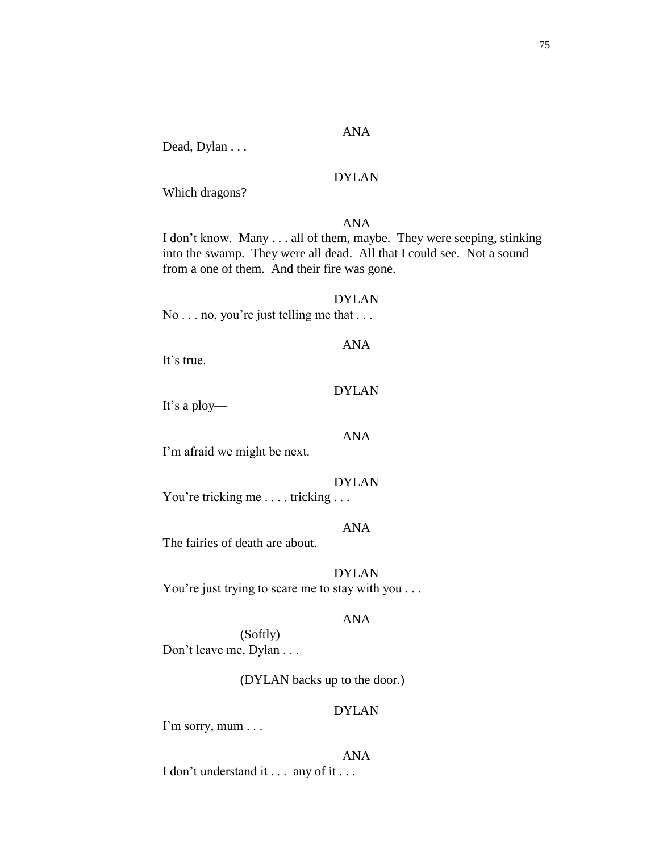### ANA

Dead, Dylan . . .

# DYLAN

Which dragons?

#### ANA

I don't know. Many . . . all of them, maybe. They were seeping, stinking into the swamp. They were all dead. All that I could see. Not a sound from a one of them. And their fire was gone.

### DYLAN

ANA

No . . . no, you're just telling me that . . .

It's true.

### DYLAN

It's a ploy—

#### ANA

I'm afraid we might be next.

### DYLAN

You're tricking me . . . . tricking . . .

### ANA

The fairies of death are about.

### DYLAN

You're just trying to scare me to stay with you . . .

#### ANA

(Softly) Don't leave me, Dylan . . .

#### (DYLAN backs up to the door.)

### DYLAN

I'm sorry, mum . . .

#### ANA

I don't understand it . . . any of it . . .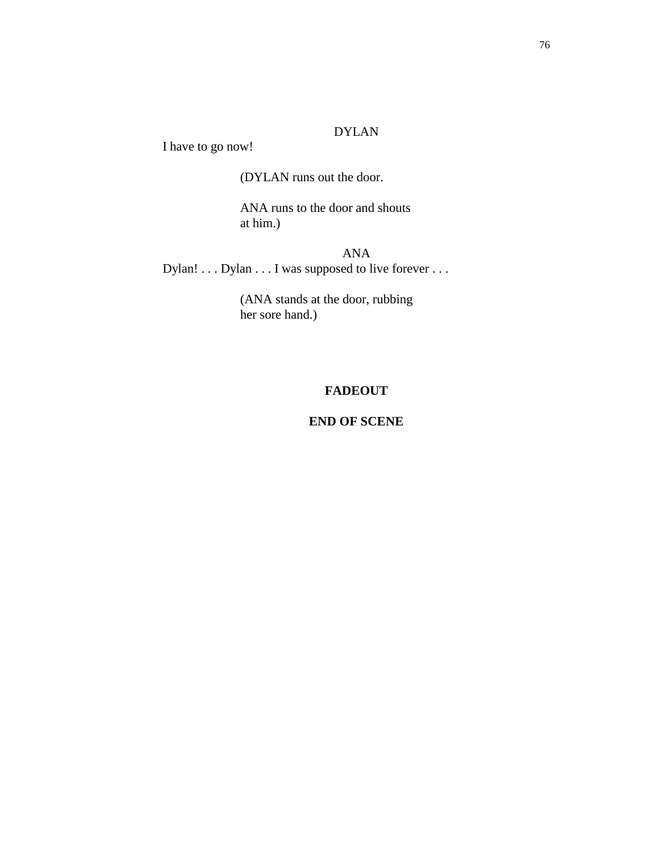## DYLAN

I have to go now!

(DYLAN runs out the door.

ANA runs to the door and shouts at him.)

ANA Dylan! . . . Dylan . . . I was supposed to live forever . . .

> (ANA stands at the door, rubbing her sore hand.)

### **FADEOUT**

### **END OF SCENE**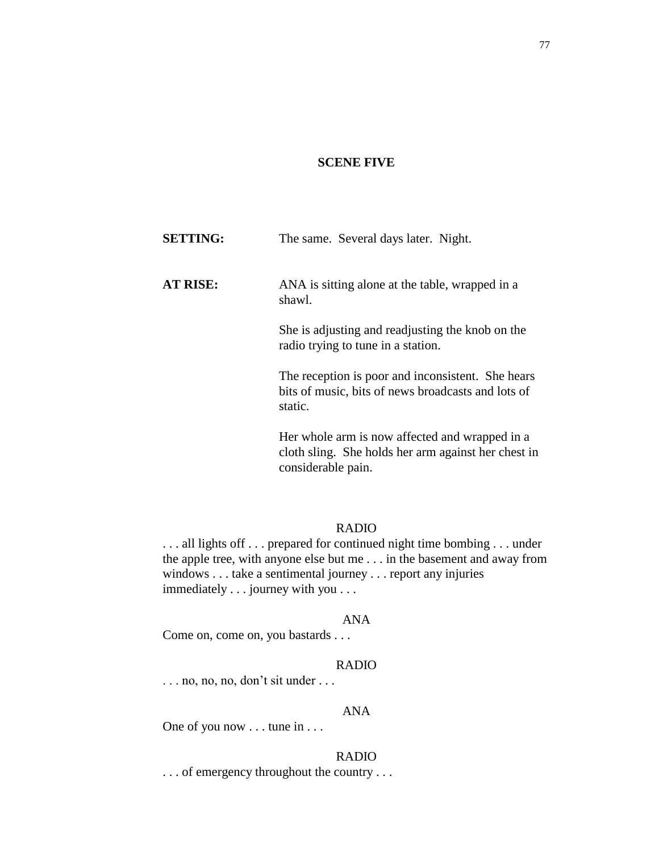### **SCENE FIVE**

| <b>SETTING:</b> | The same. Several days later. Night.                                                                               |
|-----------------|--------------------------------------------------------------------------------------------------------------------|
| <b>AT RISE:</b> | ANA is sitting alone at the table, wrapped in a<br>shawl.                                                          |
|                 | She is adjusting and readjusting the knob on the<br>radio trying to tune in a station.                             |
|                 | The reception is poor and inconsistent. She hears<br>bits of music, bits of news broadcasts and lots of<br>static. |
|                 | Her whole arm is now affected and wrapped in a<br>cloth sling. She holds her arm against her chest in              |

considerable pain.

### RADIO

. . . all lights off . . . prepared for continued night time bombing . . . under the apple tree, with anyone else but me . . . in the basement and away from windows . . . take a sentimental journey . . . report any injuries immediately . . . journey with you . . .

#### ANA

Come on, come on, you bastards . . .

### RADIO

. . . no, no, no, don't sit under . . .

#### ANA

One of you now . . . tune in . . .

#### RADIO

. . . of emergency throughout the country . . .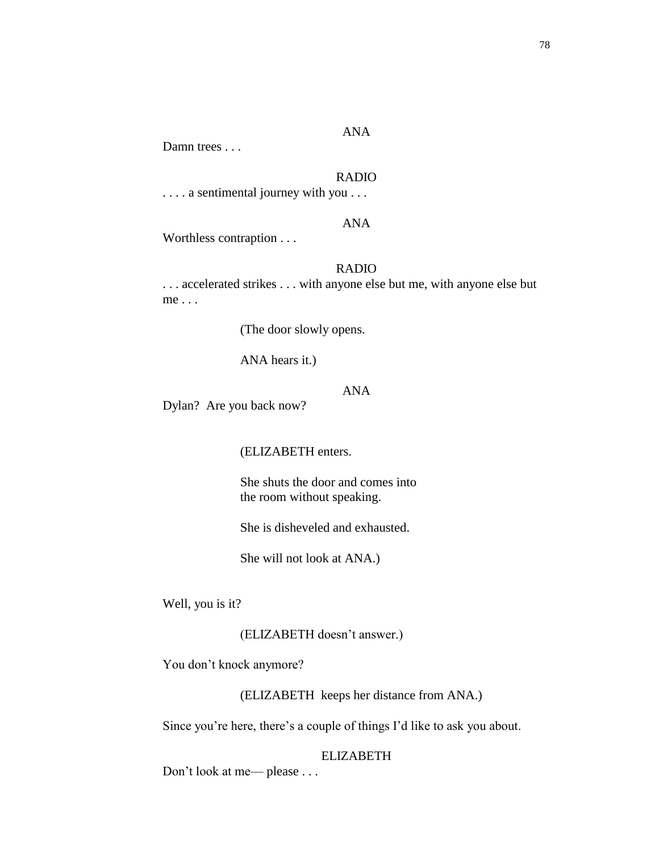Damn trees . . .

#### RADIO

. . . . a sentimental journey with you . . .

#### ANA

Worthless contraption . . .

### RADIO

. . . accelerated strikes . . . with anyone else but me, with anyone else but me . . .

(The door slowly opens.

ANA hears it.)

## ANA

Dylan? Are you back now?

#### (ELIZABETH enters.

She shuts the door and comes into the room without speaking.

She is disheveled and exhausted.

She will not look at ANA.)

Well, you is it?

(ELIZABETH doesn't answer.)

You don't knock anymore?

(ELIZABETH keeps her distance from ANA.)

Since you're here, there's a couple of things I'd like to ask you about.

### ELIZABETH

Don't look at me— please . . .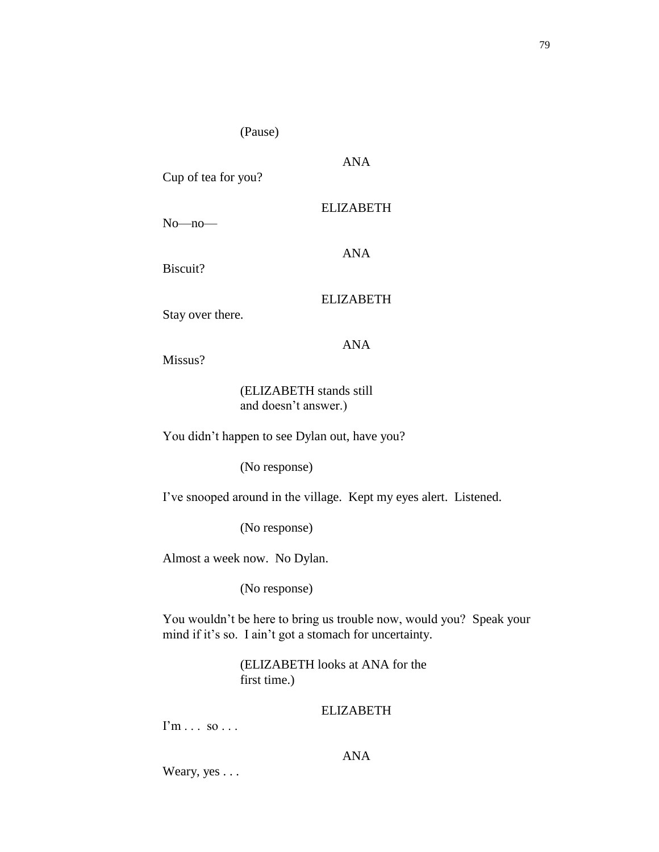(Pause)

Cup of tea for you?

ELIZABETH

ANA

No—no—

Biscuit?

ANA

ELIZABETH

Stay over there.

ANA

Missus?

(ELIZABETH stands still and doesn't answer.)

You didn't happen to see Dylan out, have you?

(No response)

I've snooped around in the village. Kept my eyes alert. Listened.

(No response)

Almost a week now. No Dylan.

(No response)

You wouldn't be here to bring us trouble now, would you? Speak your mind if it's so. I ain't got a stomach for uncertainty.

> (ELIZABETH looks at ANA for the first time.)

### ELIZABETH

I'm . . . so . . .

## ANA

Weary, yes . . .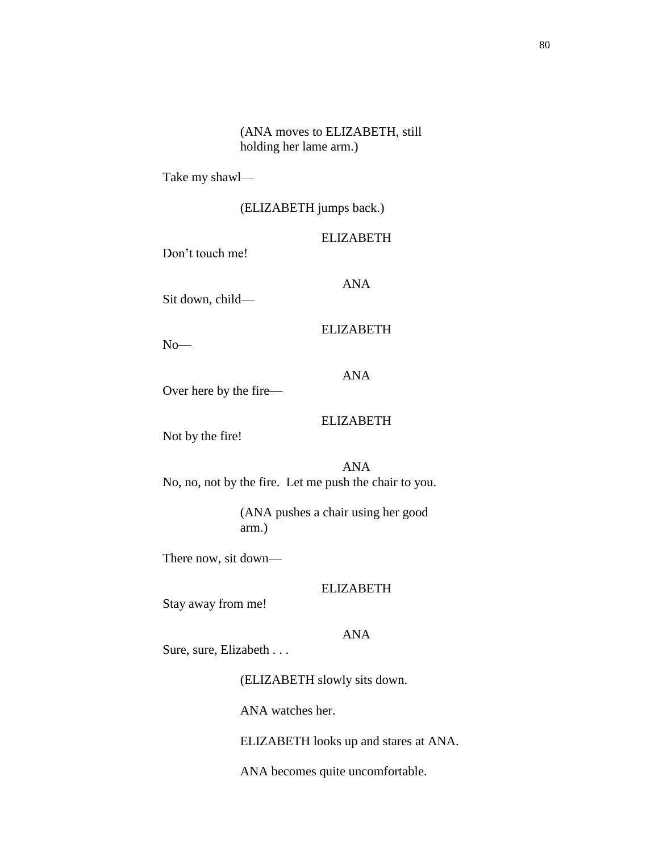### (ANA moves to ELIZABETH, still holding her lame arm.)

Take my shawl—

(ELIZABETH jumps back.)

ELIZABETH

Don't touch me!

ANA

Sit down, child—

#### ELIZABETH

ANA

No—

Over here by the fire—

### ELIZABETH

Not by the fire!

ANA No, no, not by the fire. Let me push the chair to you.

> (ANA pushes a chair using her good arm.)

There now, sit down—

#### ELIZABETH

Stay away from me!

### ANA

Sure, sure, Elizabeth . . .

(ELIZABETH slowly sits down.

ANA watches her.

ELIZABETH looks up and stares at ANA.

ANA becomes quite uncomfortable.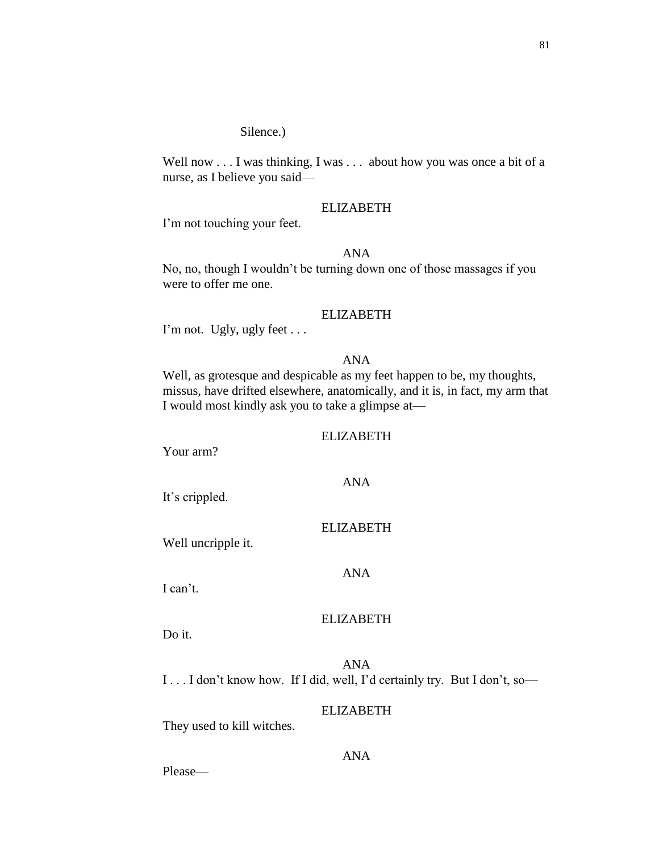#### Silence.)

Well now . . . I was thinking, I was . . . about how you was once a bit of a nurse, as I believe you said—

### ELIZABETH

I'm not touching your feet.

#### ANA

No, no, though I wouldn't be turning down one of those massages if you were to offer me one.

#### ELIZABETH

I'm not. Ugly, ugly feet . . .

#### ANA

Well, as grotesque and despicable as my feet happen to be, my thoughts, missus, have drifted elsewhere, anatomically, and it is, in fact, my arm that I would most kindly ask you to take a glimpse at—

#### ELIZABETH

Your arm?

ANA

It's crippled.

#### ELIZABETH

Well uncripple it.

#### ANA

I can't.

### ELIZABETH

Do it.

ANA I . . . I don't know how. If I did, well, I'd certainly try. But I don't, so—

#### ELIZABETH

They used to kill witches.

#### ANA

Please—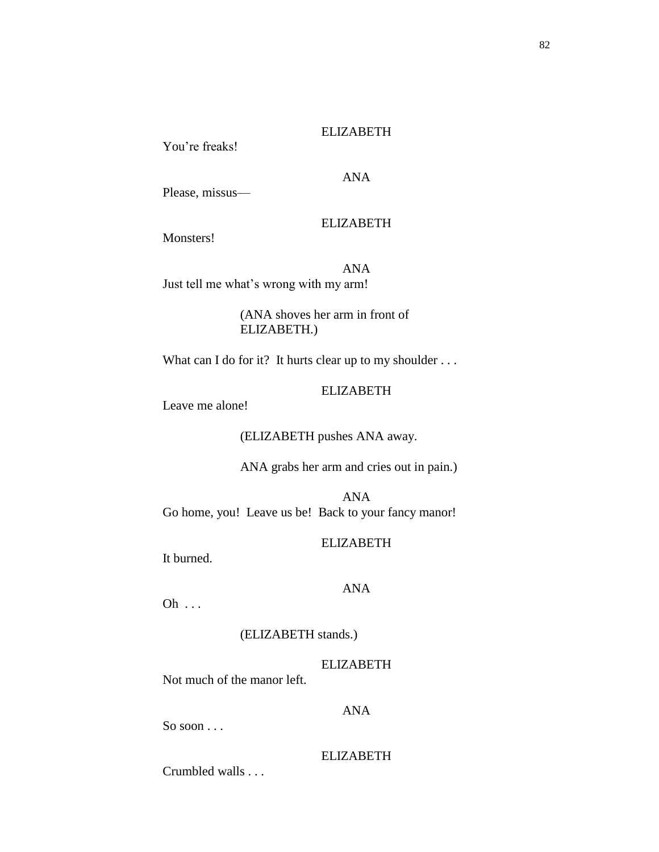You're freaks!

### ANA

Please, missus—

#### ELIZABETH

Monsters!

ANA Just tell me what's wrong with my arm!

> (ANA shoves her arm in front of ELIZABETH.)

What can I do for it? It hurts clear up to my shoulder . . .

### ELIZABETH

Leave me alone!

(ELIZABETH pushes ANA away.

ANA grabs her arm and cries out in pain.)

ANA Go home, you! Leave us be! Back to your fancy manor!

#### ELIZABETH

It burned.

#### ANA

Oh . . .

(ELIZABETH stands.)

### ELIZABETH

Not much of the manor left.

#### ANA

So soon . . .

#### ELIZABETH

Crumbled walls . . .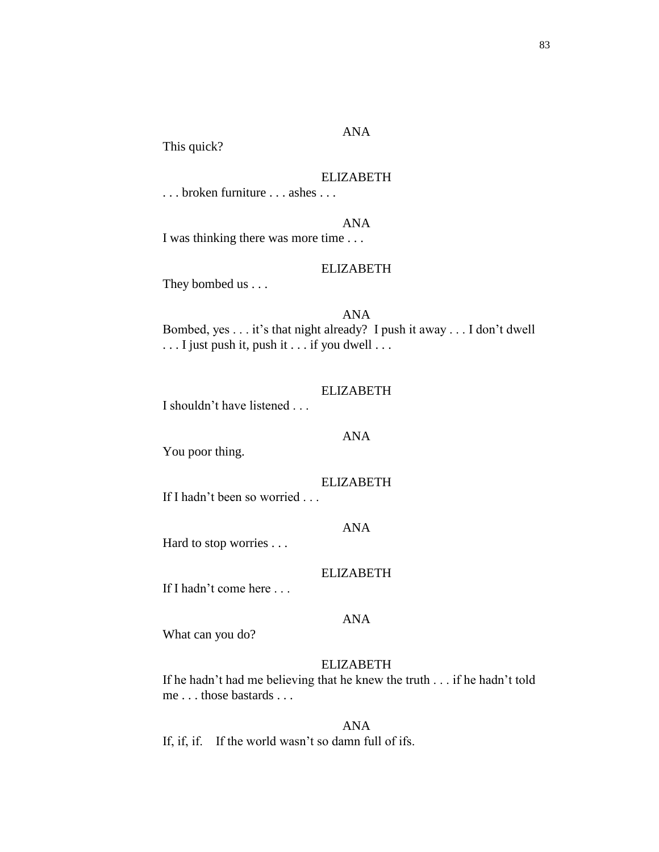### ANA

This quick?

### ELIZABETH

. . . broken furniture . . . ashes . . .

#### ANA

I was thinking there was more time . . .

#### ELIZABETH

They bombed us . . .

# ANA Bombed, yes . . . it's that night already? I push it away . . . I don't dwell . . . I just push it, push it . . . if you dwell . . .

ELIZABETH I shouldn't have listened . . .

You poor thing.

ELIZABETH

If I hadn't been so worried . . .

ANA

ANA

Hard to stop worries . . .

#### ELIZABETH

If I hadn't come here . . .

ANA

What can you do?

### ELIZABETH

If he hadn't had me believing that he knew the truth . . . if he hadn't told me . . . those bastards . . .

ANA If, if, if. If the world wasn't so damn full of ifs.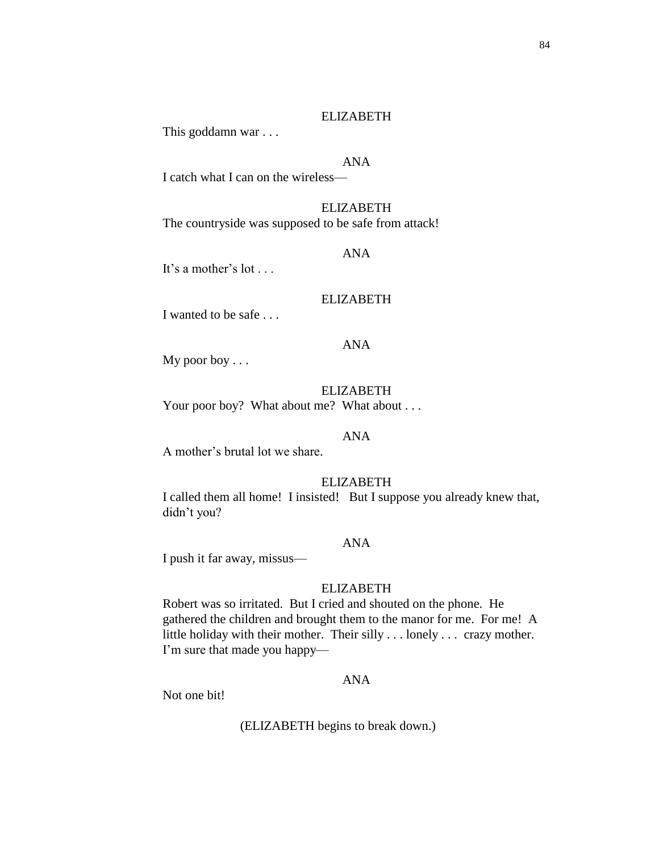This goddamn war . . .

### ANA

I catch what I can on the wireless—

### ELIZABETH

The countryside was supposed to be safe from attack!

#### ANA

It's a mother's lot ...

#### ELIZABETH

I wanted to be safe . . .

### ANA

My poor boy . . .

### ELIZABETH

Your poor boy? What about me? What about . . .

#### ANA

A mother's brutal lot we share.

### ELIZABETH

I called them all home! I insisted! But I suppose you already knew that, didn't you?

#### ANA

I push it far away, missus—

#### ELIZABETH

Robert was so irritated. But I cried and shouted on the phone. He gathered the children and brought them to the manor for me. For me! A little holiday with their mother. Their silly . . . lonely . . . crazy mother. I'm sure that made you happy—

### ANA

Not one bit!

(ELIZABETH begins to break down.)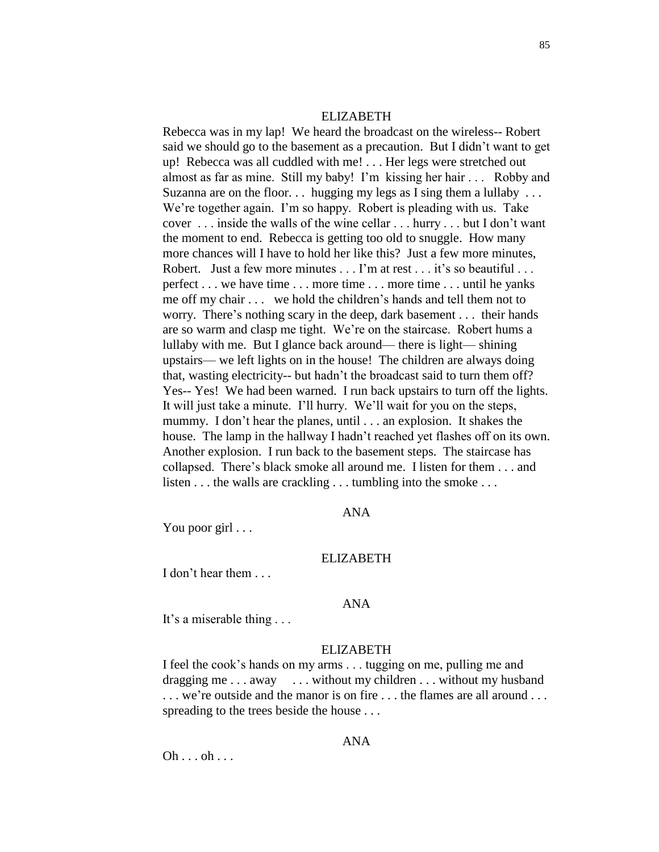Rebecca was in my lap! We heard the broadcast on the wireless-- Robert said we should go to the basement as a precaution. But I didn't want to get up! Rebecca was all cuddled with me! . . . Her legs were stretched out almost as far as mine. Still my baby! I'm kissing her hair . . . Robby and Suzanna are on the floor... hugging my legs as I sing them a lullaby  $\dots$ We're together again. I'm so happy. Robert is pleading with us. Take cover . . . inside the walls of the wine cellar . . . hurry . . . but I don't want the moment to end. Rebecca is getting too old to snuggle. How many more chances will I have to hold her like this? Just a few more minutes, Robert. Just a few more minutes . . . I'm at rest . . . it's so beautiful . . . perfect . . . we have time . . . more time . . . more time . . . until he yanks me off my chair . . . we hold the children's hands and tell them not to worry. There's nothing scary in the deep, dark basement . . . their hands are so warm and clasp me tight. We're on the staircase. Robert hums a lullaby with me. But I glance back around— there is light— shining upstairs— we left lights on in the house! The children are always doing that, wasting electricity-- but hadn't the broadcast said to turn them off? Yes-- Yes! We had been warned. I run back upstairs to turn off the lights. It will just take a minute. I'll hurry. We'll wait for you on the steps, mummy. I don't hear the planes, until . . . an explosion. It shakes the house. The lamp in the hallway I hadn't reached yet flashes off on its own. Another explosion. I run back to the basement steps. The staircase has collapsed. There's black smoke all around me. I listen for them . . . and listen . . . the walls are crackling . . . tumbling into the smoke . . .

ANA

You poor girl . . .

#### ELIZABETH

I don't hear them . . .

#### ANA

It's a miserable thing . . .

#### ELIZABETH

I feel the cook's hands on my arms . . . tugging on me, pulling me and dragging me . . . away . . . without my children . . . without my husband . . . we're outside and the manor is on fire . . . the flames are all around . . . spreading to the trees beside the house . . .

#### ANA

Oh . . . oh . . .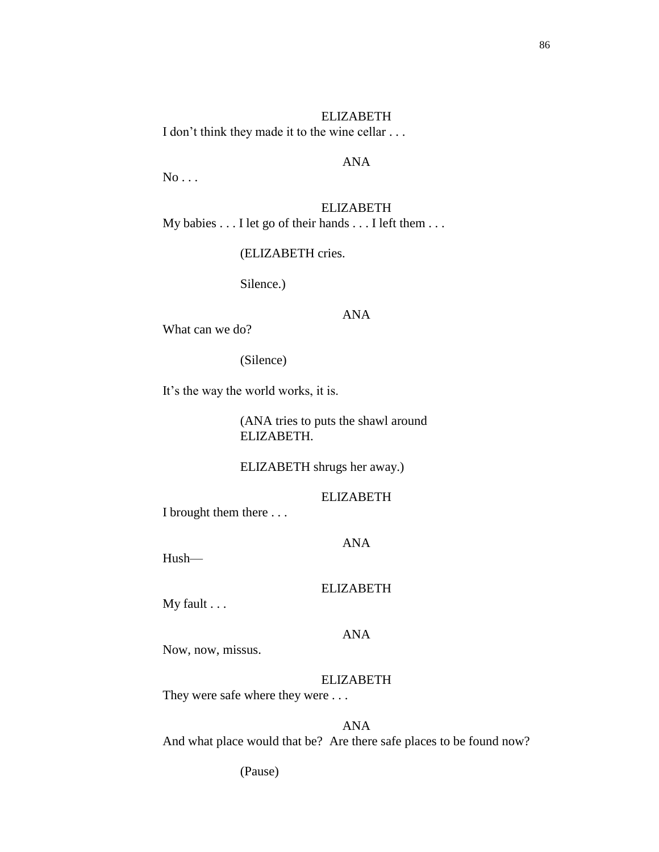ELIZABETH I don't think they made it to the wine cellar . . .

### ANA

No . . .

ELIZABETH My babies . . . I let go of their hands . . . I left them . . .

#### (ELIZABETH cries.

Silence.)

### ANA

What can we do?

(Silence)

It's the way the world works, it is.

(ANA tries to puts the shawl around ELIZABETH.

ELIZABETH shrugs her away.)

ELIZABETH

I brought them there . . .

ANA

Hush—

#### ELIZABETH

My fault . . .

### ANA

Now, now, missus.

#### ELIZABETH

They were safe where they were . . .

#### ANA

And what place would that be? Are there safe places to be found now?

(Pause)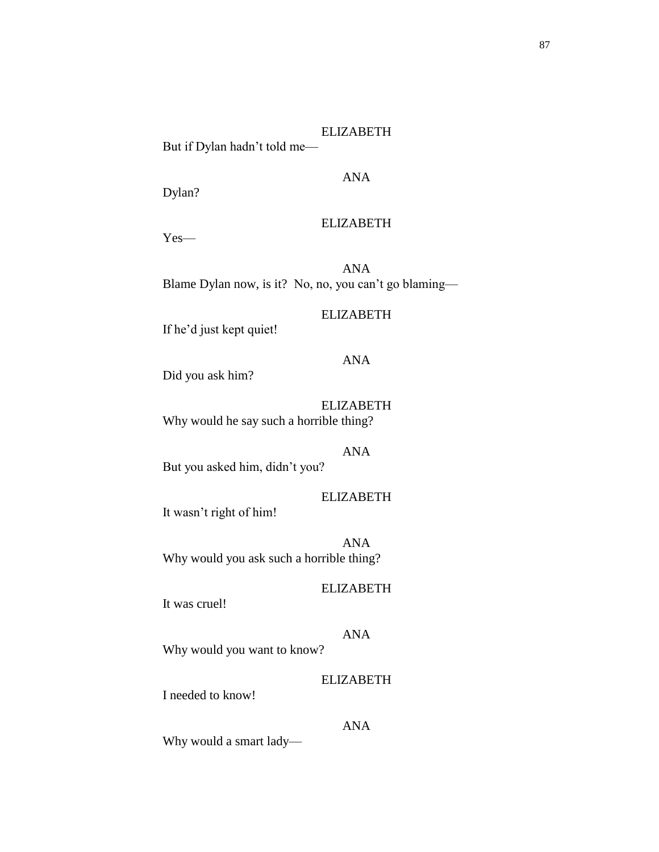But if Dylan hadn't told me—

### ANA

Dylan?

#### ELIZABETH

Yes—

ANA Blame Dylan now, is it? No, no, you can't go blaming—

#### ELIZABETH

If he'd just kept quiet!

### ANA

Did you ask him?

ELIZABETH Why would he say such a horrible thing?

#### ANA

But you asked him, didn't you?

### ELIZABETH

It wasn't right of him!

ANA Why would you ask such a horrible thing?

#### ELIZABETH

It was cruel!

### ANA

Why would you want to know?

#### ELIZABETH

I needed to know!

### ANA

Why would a smart lady—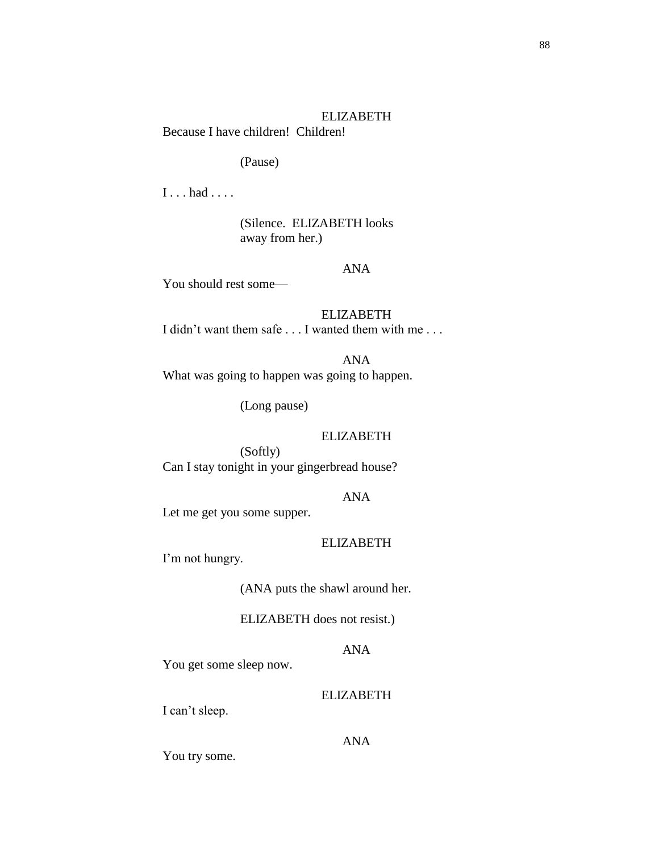Because I have children! Children!

(Pause)

I . . . had . . . .

(Silence. ELIZABETH looks away from her.)

# ANA

You should rest some—

ELIZABETH I didn't want them safe . . . I wanted them with me . . .

ANA What was going to happen was going to happen.

(Long pause)

### ELIZABETH

(Softly) Can I stay tonight in your gingerbread house?

### ANA

Let me get you some supper.

### ELIZABETH

I'm not hungry.

(ANA puts the shawl around her.

ELIZABETH does not resist.)

#### ANA

You get some sleep now.

### ELIZABETH

I can't sleep.

### ANA

You try some.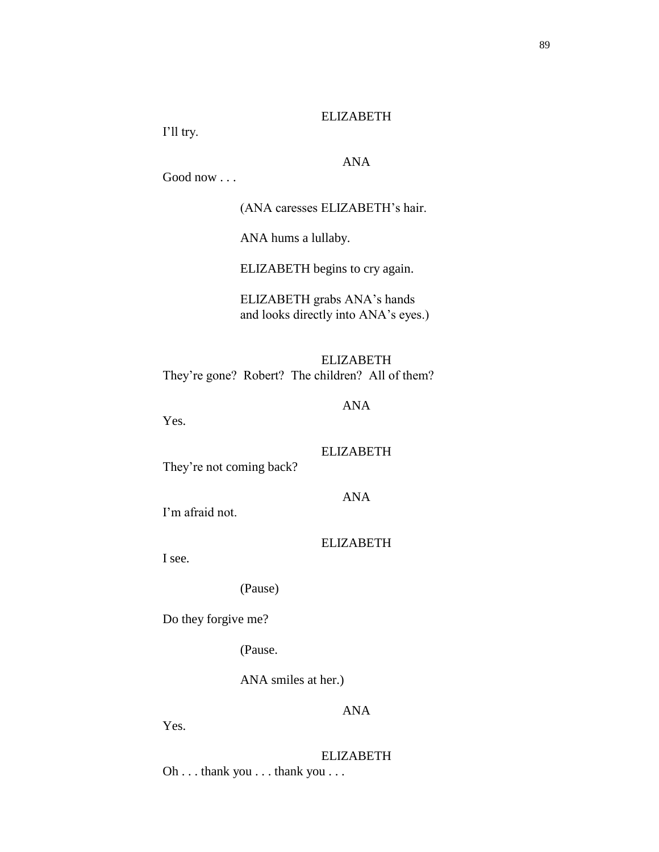I'll try.

### ANA

Good now . . .

(ANA caresses ELIZABETH's hair.

ANA hums a lullaby.

ELIZABETH begins to cry again.

ELIZABETH grabs ANA's hands and looks directly into ANA's eyes.)

ELIZABETH They're gone? Robert? The children? All of them?

ANA

Yes.

#### ELIZABETH

ANA

They're not coming back?

I'm afraid not.

#### ELIZABETH

I see.

(Pause)

Do they forgive me?

(Pause.

ANA smiles at her.)

ANA

Yes.

#### ELIZABETH

Oh . . . thank you . . . thank you . . .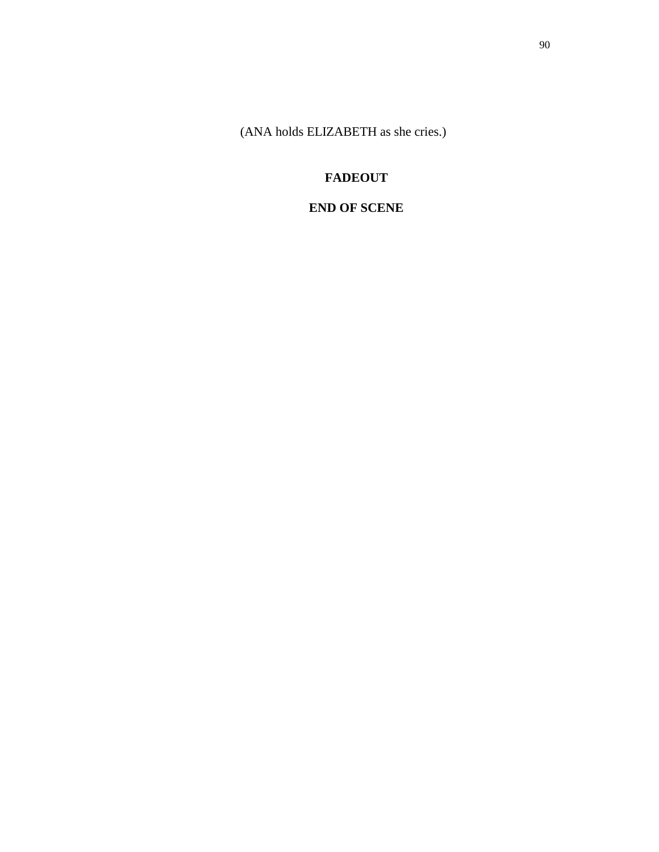(ANA holds ELIZABETH as she cries.)

# **FADEOUT**

# **END OF SCENE**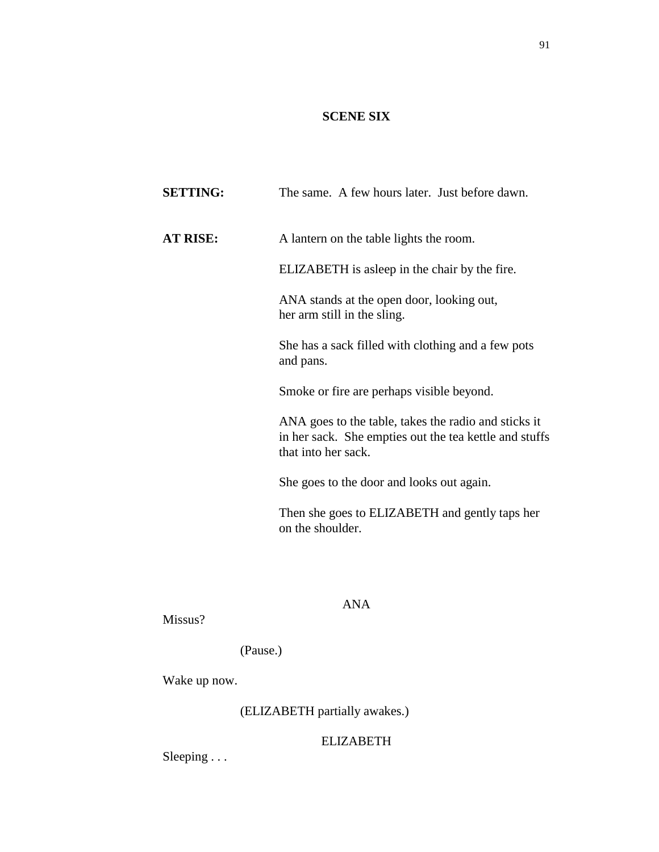# **SCENE SIX**

| <b>SETTING:</b> | The same. A few hours later. Just before dawn.                                                                                        |  |
|-----------------|---------------------------------------------------------------------------------------------------------------------------------------|--|
| AT RISE:        | A lantern on the table lights the room.                                                                                               |  |
|                 | ELIZABETH is asleep in the chair by the fire.                                                                                         |  |
|                 | ANA stands at the open door, looking out,<br>her arm still in the sling.                                                              |  |
|                 | She has a sack filled with clothing and a few pots<br>and pans.                                                                       |  |
|                 | Smoke or fire are perhaps visible beyond.                                                                                             |  |
|                 | ANA goes to the table, takes the radio and sticks it<br>in her sack. She empties out the tea kettle and stuffs<br>that into her sack. |  |
|                 | She goes to the door and looks out again.                                                                                             |  |
|                 | Then she goes to ELIZABETH and gently taps her<br>on the shoulder.                                                                    |  |

# ANA

Missus?

(Pause.)

Wake up now.

(ELIZABETH partially awakes.)

# ELIZABETH

Sleeping . . .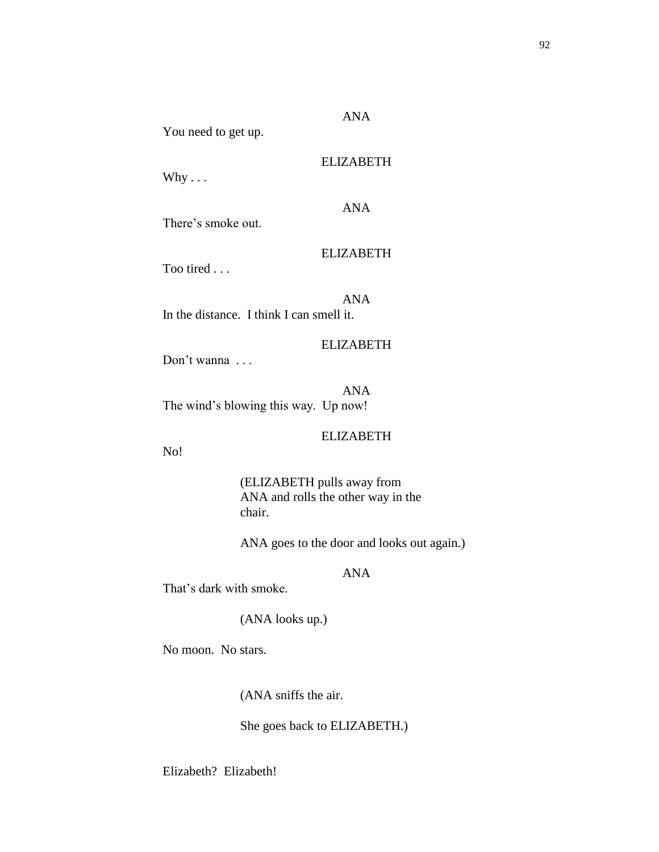You need to get up.

### ELIZABETH

ANA

Why . . .

ANA

There's smoke out.

#### ELIZABETH

Too tired . . .

ANA In the distance. I think I can smell it.

#### ELIZABETH

Don't wanna ...

ANA The wind's blowing this way. Up now!

#### ELIZABETH

No!

(ELIZABETH pulls away from ANA and rolls the other way in the chair.

ANA goes to the door and looks out again.)

### ANA

That's dark with smoke.

### (ANA looks up.)

No moon. No stars.

(ANA sniffs the air.

She goes back to ELIZABETH.)

Elizabeth? Elizabeth!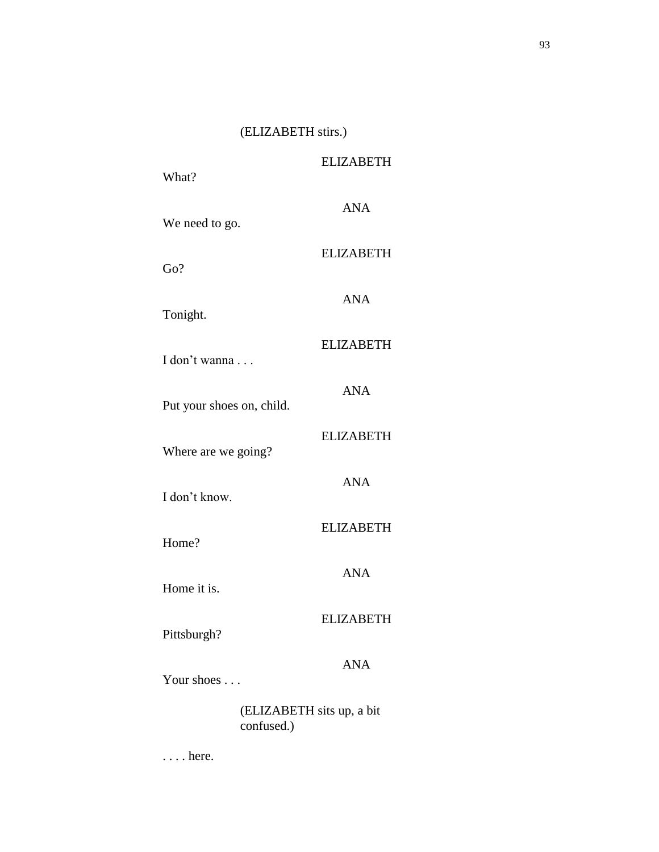# (ELIZABETH stirs.)

| What?                                   | <b>ELIZABETH</b> |  |
|-----------------------------------------|------------------|--|
| We need to go.                          | <b>ANA</b>       |  |
| Go?                                     | <b>ELIZABETH</b> |  |
| Tonight.                                | <b>ANA</b>       |  |
| I don't wanna                           | <b>ELIZABETH</b> |  |
|                                         | <b>ANA</b>       |  |
| Put your shoes on, child.               | <b>ELIZABETH</b> |  |
| Where are we going?                     | <b>ANA</b>       |  |
| I don't know.                           | <b>ELIZABETH</b> |  |
| Home?                                   | <b>ANA</b>       |  |
| Home it is.                             |                  |  |
| Pittsburgh?                             | <b>ELIZABETH</b> |  |
| Your shoes                              | <b>ANA</b>       |  |
| (ELIZABETH sits up, a bit<br>confused.) |                  |  |

. . . . here.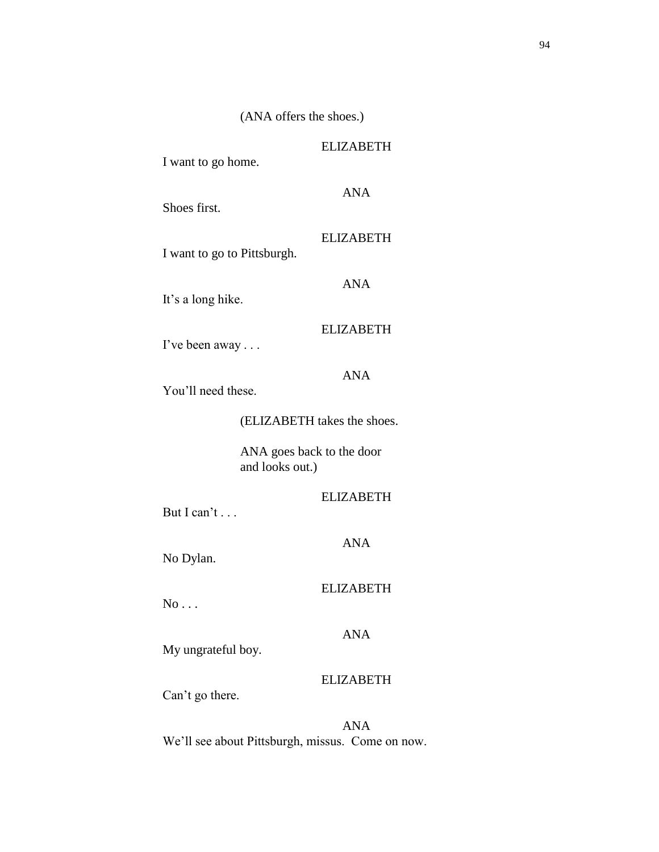I want to go home.

ANA

Shoes first.

ELIZABETH

ANA

I want to go to Pittsburgh.

It's a long hike.

#### ELIZABETH

I've been away . . .

ANA

You'll need these.

(ELIZABETH takes the shoes.

ANA goes back to the door and looks out.)

ELIZABETH

But I can't . . .

#### ANA

No Dylan.

### ELIZABETH

No . . .

### ANA

My ungrateful boy.

### ELIZABETH

Can't go there.

ANA We'll see about Pittsburgh, missus. Come on now.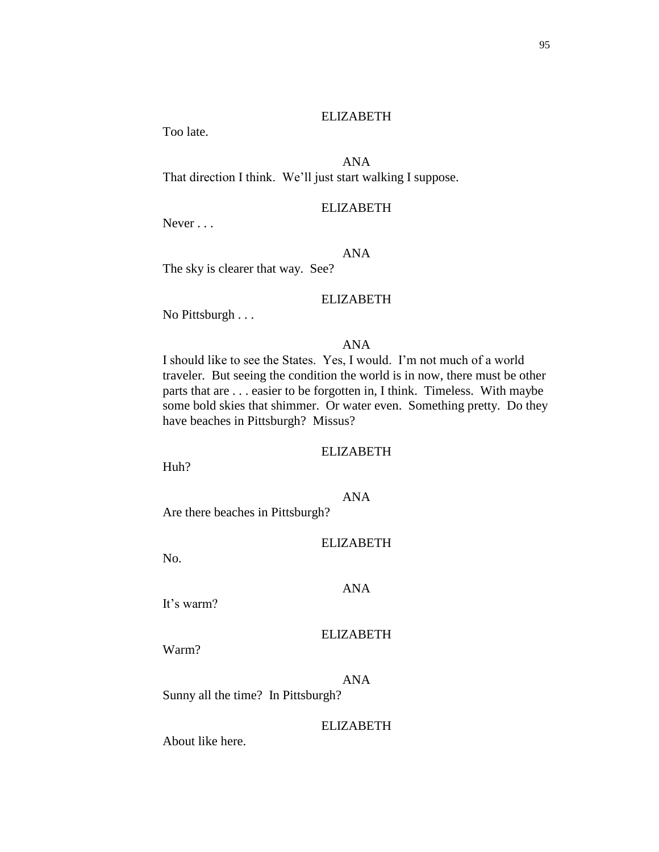Too late.

### ANA

That direction I think. We'll just start walking I suppose.

### ELIZABETH

Never . . .

#### ANA

The sky is clearer that way. See?

#### ELIZABETH

No Pittsburgh . . .

### ANA

I should like to see the States. Yes, I would. I'm not much of a world traveler. But seeing the condition the world is in now, there must be other parts that are . . . easier to be forgotten in, I think. Timeless. With maybe some bold skies that shimmer. Or water even. Something pretty. Do they have beaches in Pittsburgh? Missus?

#### ELIZABETH

Huh?

#### ANA

Are there beaches in Pittsburgh?

#### ELIZABETH

No.

#### ANA

It's warm?

#### ELIZABETH

Warm?

ANA Sunny all the time? In Pittsburgh?

#### ELIZABETH

About like here.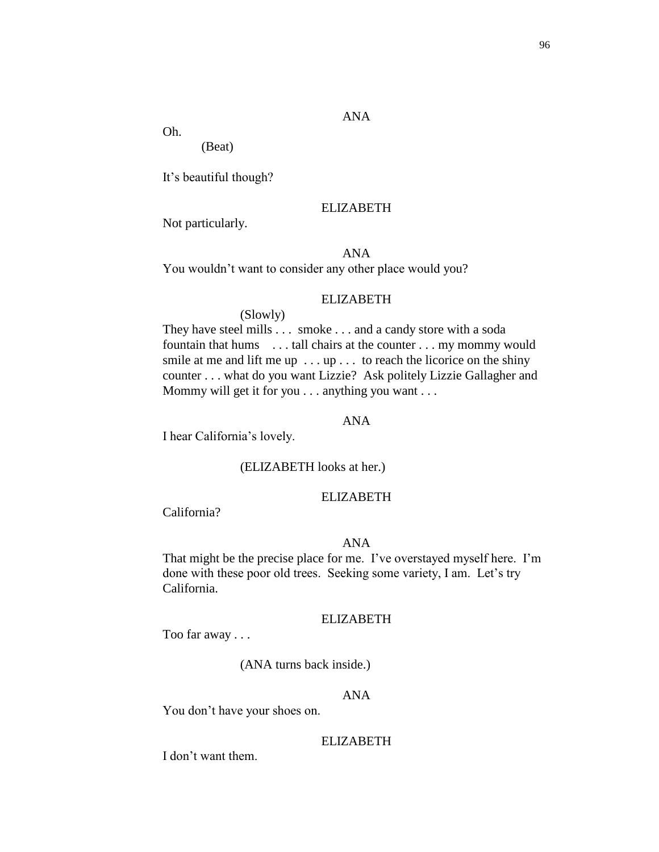#### ANA

Oh.

(Beat)

It's beautiful though?

### ELIZABETH

Not particularly.

# ANA

You wouldn't want to consider any other place would you?

#### ELIZABETH

(Slowly)

They have steel mills . . . smoke . . . and a candy store with a soda fountain that hums . . . tall chairs at the counter . . . my mommy would smile at me and lift me up  $\dots$  up  $\dots$  to reach the licorice on the shiny counter . . . what do you want Lizzie? Ask politely Lizzie Gallagher and Mommy will get it for you . . . anything you want . . .

### ANA

I hear California's lovely.

### (ELIZABETH looks at her.)

### ELIZABETH

California?

#### ANA

That might be the precise place for me. I've overstayed myself here. I'm done with these poor old trees. Seeking some variety, I am. Let's try California.

#### ELIZABETH

Too far away . . .

(ANA turns back inside.)

# ANA

You don't have your shoes on.

### ELIZABETH

I don't want them.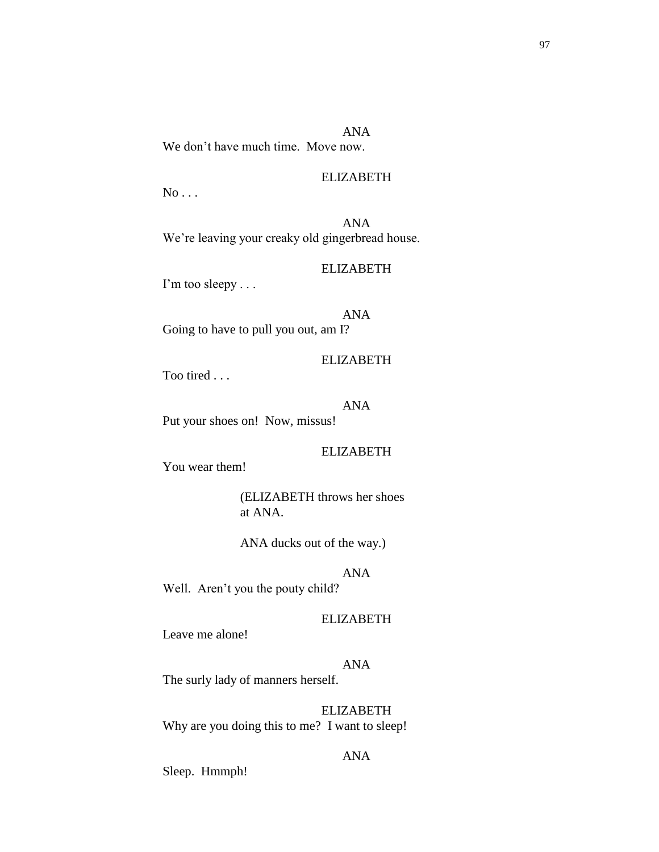ANA We don't have much time. Move now.

### ELIZABETH

 $No...$ 

ANA We're leaving your creaky old gingerbread house.

### ELIZABETH

I'm too sleepy . . .

#### ANA

Going to have to pull you out, am I?

#### ELIZABETH

Too tired . . .

#### ANA

Put your shoes on! Now, missus!

### ELIZABETH

You wear them!

(ELIZABETH throws her shoes at ANA.

ANA ducks out of the way.)

#### ANA

Well. Aren't you the pouty child?

#### ELIZABETH

Leave me alone!

### ANA

The surly lady of manners herself.

### ELIZABETH

Why are you doing this to me? I want to sleep!

#### ANA

Sleep. Hmmph!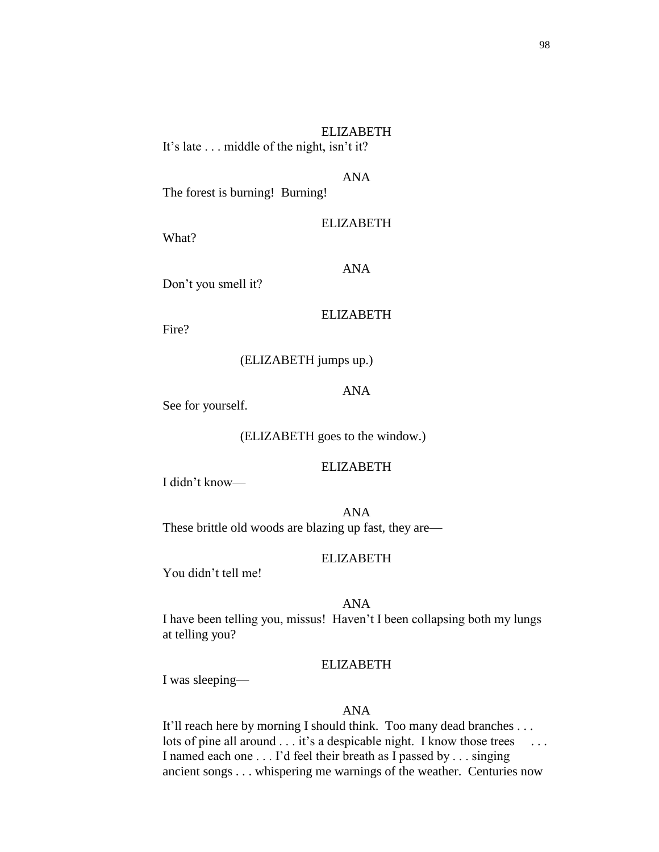It's late . . . middle of the night, isn't it?

ANA

The forest is burning! Burning!

ELIZABETH

What?

ANA

Don't you smell it?

### ELIZABETH

Fire?

#### (ELIZABETH jumps up.)

ANA

See for yourself.

(ELIZABETH goes to the window.)

### ELIZABETH

I didn't know—

ANA These brittle old woods are blazing up fast, they are—

#### ELIZABETH

You didn't tell me!

#### ANA

I have been telling you, missus! Haven't I been collapsing both my lungs at telling you?

#### ELIZABETH

I was sleeping—

#### ANA

It'll reach here by morning I should think. Too many dead branches . . . lots of pine all around . . . it's a despicable night. I know those trees . . . . I named each one . . . I'd feel their breath as I passed by . . . singing ancient songs . . . whispering me warnings of the weather. Centuries now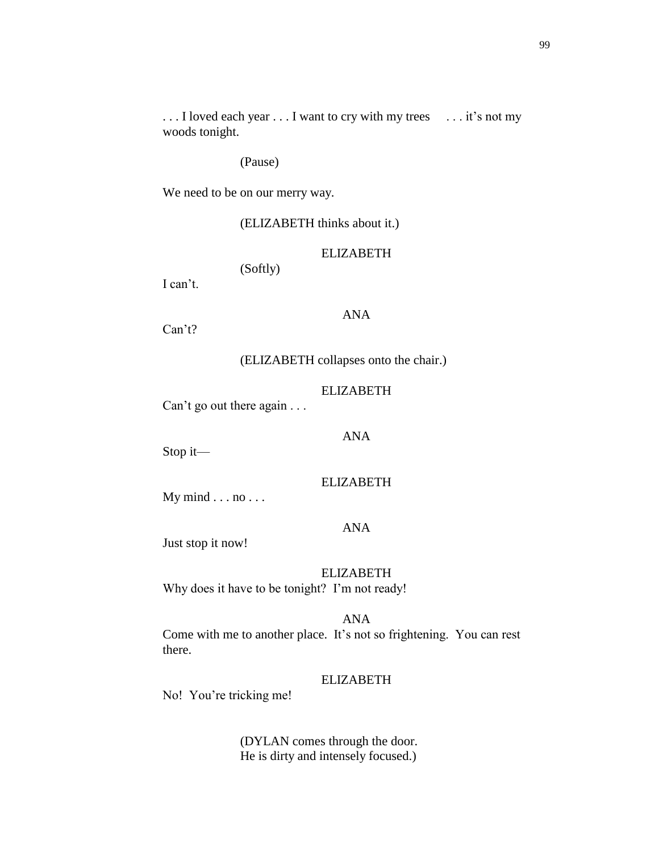... I loved each year ... I want to cry with my trees ... it's not my woods tonight.

(Pause)

We need to be on our merry way.

(ELIZABETH thinks about it.)

ELIZABETH

(Softly)

I can't.

### ANA

Can't?

(ELIZABETH collapses onto the chair.)

ELIZABETH

Can't go out there again . . .

ANA

Stop it—

ELIZABETH

My mind  $\ldots$  no  $\ldots$ 

ANA

Just stop it now!

ELIZABETH

Why does it have to be tonight? I'm not ready!

ANA

Come with me to another place. It's not so frightening. You can rest there.

### ELIZABETH

No! You're tricking me!

(DYLAN comes through the door. He is dirty and intensely focused.)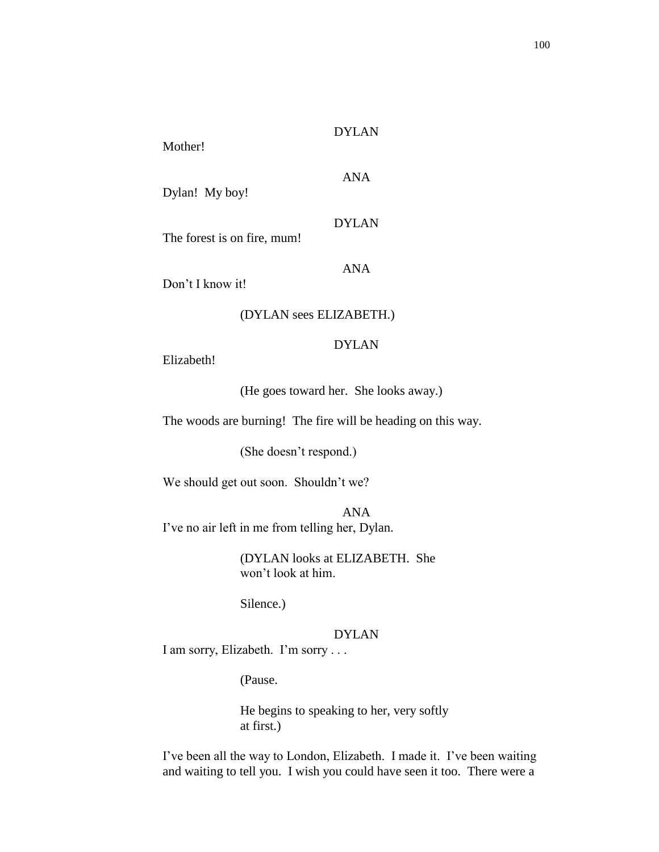### DYLAN

Mother!

ANA

Dylan! My boy!

#### DYLAN

ANA

The forest is on fire, mum!

Don't I know it!

#### (DYLAN sees ELIZABETH.)

### DYLAN

Elizabeth!

(He goes toward her. She looks away.)

The woods are burning! The fire will be heading on this way.

(She doesn't respond.)

We should get out soon. Shouldn't we?

ANA I've no air left in me from telling her, Dylan.

> (DYLAN looks at ELIZABETH. She won't look at him.

Silence.)

### DYLAN

I am sorry, Elizabeth. I'm sorry . . .

(Pause.

He begins to speaking to her, very softly at first.)

I've been all the way to London, Elizabeth. I made it. I've been waiting and waiting to tell you. I wish you could have seen it too. There were a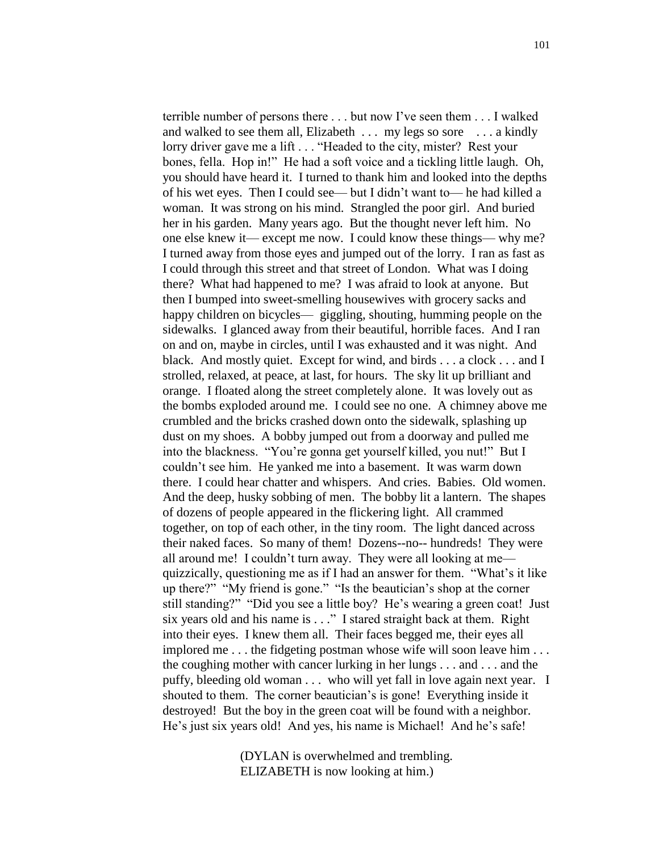terrible number of persons there . . . but now I've seen them . . . I walked and walked to see them all, Elizabeth . . . my legs so sore . . . a kindly lorry driver gave me a lift . . . "Headed to the city, mister? Rest your bones, fella. Hop in!" He had a soft voice and a tickling little laugh. Oh, you should have heard it. I turned to thank him and looked into the depths of his wet eyes. Then I could see— but I didn't want to— he had killed a woman. It was strong on his mind. Strangled the poor girl. And buried her in his garden. Many years ago. But the thought never left him. No one else knew it— except me now. I could know these things— why me? I turned away from those eyes and jumped out of the lorry. I ran as fast as I could through this street and that street of London. What was I doing there? What had happened to me? I was afraid to look at anyone. But then I bumped into sweet-smelling housewives with grocery sacks and happy children on bicycles— giggling, shouting, humming people on the sidewalks. I glanced away from their beautiful, horrible faces. And I ran on and on, maybe in circles, until I was exhausted and it was night. And black. And mostly quiet. Except for wind, and birds . . . a clock . . . and I strolled, relaxed, at peace, at last, for hours. The sky lit up brilliant and orange. I floated along the street completely alone. It was lovely out as the bombs exploded around me. I could see no one. A chimney above me crumbled and the bricks crashed down onto the sidewalk, splashing up dust on my shoes. A bobby jumped out from a doorway and pulled me into the blackness. "You're gonna get yourself killed, you nut!" But I couldn't see him. He yanked me into a basement. It was warm down there. I could hear chatter and whispers. And cries. Babies. Old women. And the deep, husky sobbing of men. The bobby lit a lantern. The shapes of dozens of people appeared in the flickering light. All crammed together, on top of each other, in the tiny room. The light danced across their naked faces. So many of them! Dozens--no-- hundreds! They were all around me! I couldn't turn away. They were all looking at me quizzically, questioning me as if I had an answer for them. "What's it like up there?" "My friend is gone." "Is the beautician's shop at the corner still standing?" "Did you see a little boy? He's wearing a green coat! Just six years old and his name is . . ." I stared straight back at them. Right into their eyes. I knew them all. Their faces begged me, their eyes all implored me . . . the fidgeting postman whose wife will soon leave him . . . the coughing mother with cancer lurking in her lungs  $\dots$  and  $\dots$  and the puffy, bleeding old woman . . . who will yet fall in love again next year. I shouted to them. The corner beautician's is gone! Everything inside it destroyed! But the boy in the green coat will be found with a neighbor. He's just six years old! And yes, his name is Michael! And he's safe!

> (DYLAN is overwhelmed and trembling. ELIZABETH is now looking at him.)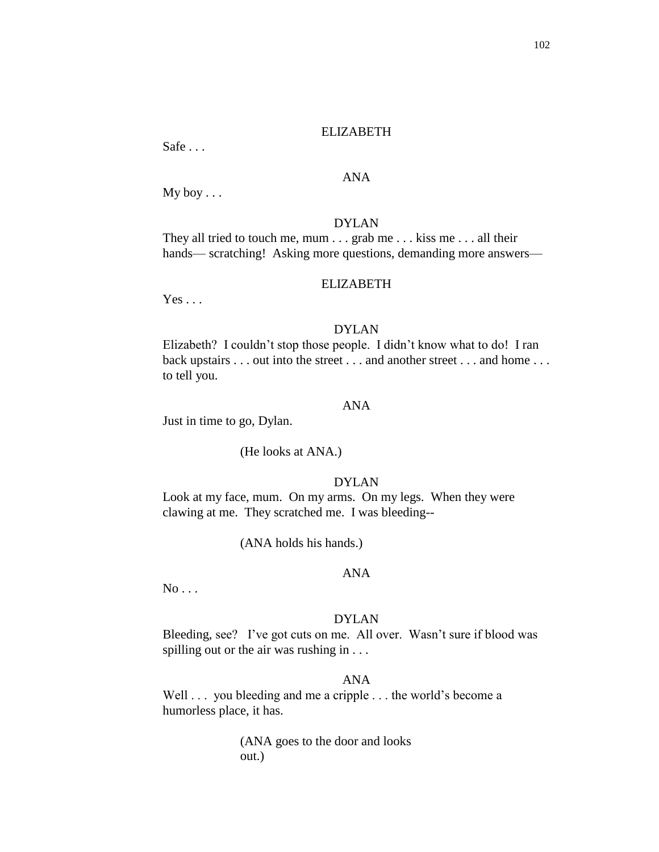Safe . . .

### ANA

My boy . . .

#### DYLAN

They all tried to touch me, mum . . . grab me . . . kiss me . . . all their hands— scratching! Asking more questions, demanding more answers—

#### ELIZABETH

 $Yes \dots$ 

#### DYLAN

Elizabeth? I couldn't stop those people. I didn't know what to do! I ran back upstairs . . . out into the street . . . and another street . . . and home . . . to tell you.

#### ANA

Just in time to go, Dylan.

#### (He looks at ANA.)

### DYLAN

Look at my face, mum. On my arms. On my legs. When they were clawing at me. They scratched me. I was bleeding--

#### (ANA holds his hands.)

#### ANA

 $No...$ 

#### DYLAN

Bleeding, see? I've got cuts on me. All over. Wasn't sure if blood was spilling out or the air was rushing in . . .

### ANA

Well . . . you bleeding and me a cripple . . . the world's become a humorless place, it has.

> (ANA goes to the door and looks out.)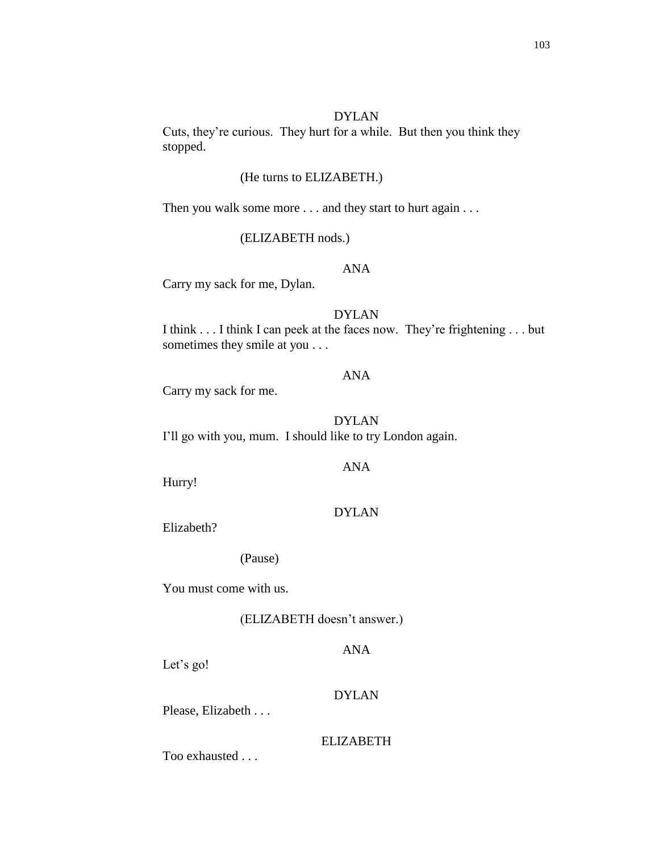Cuts, they're curious. They hurt for a while. But then you think they stopped.

### (He turns to ELIZABETH.)

Then you walk some more . . . and they start to hurt again . . .

### (ELIZABETH nods.)

# ANA

Carry my sack for me, Dylan.

### DYLAN

I think . . . I think I can peek at the faces now. They're frightening . . . but sometimes they smile at you . . .

ANA

#### Carry my sack for me.

# DYLAN

I'll go with you, mum. I should like to try London again.

### ANA

Hurry!

#### DYLAN

Elizabeth?

### (Pause)

You must come with us.

(ELIZABETH doesn't answer.)

### ANA

Let's go!

### DYLAN

Please, Elizabeth . . .

### ELIZABETH

Too exhausted . . .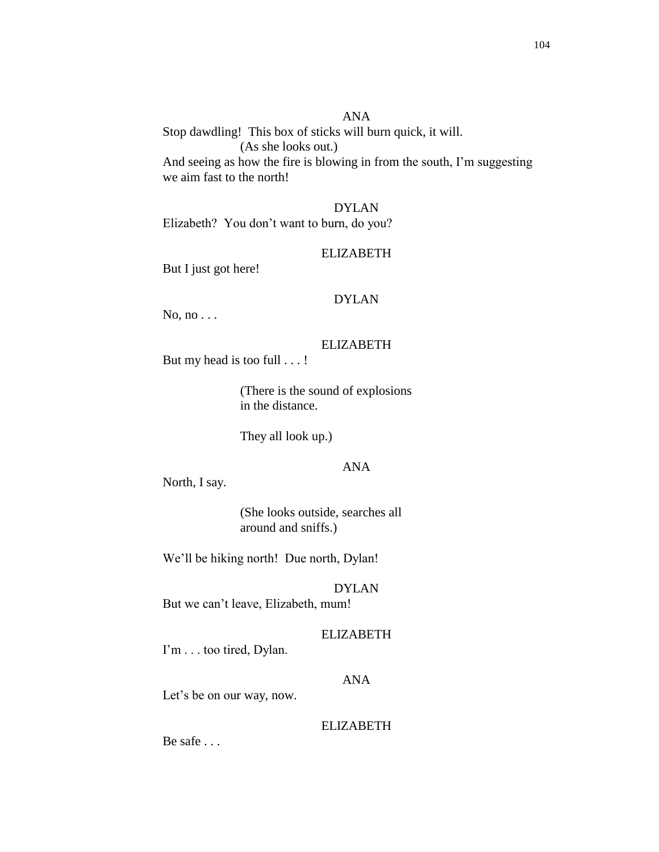#### ANA

Stop dawdling! This box of sticks will burn quick, it will. (As she looks out.)

And seeing as how the fire is blowing in from the south, I'm suggesting we aim fast to the north!

### DYLAN

Elizabeth? You don't want to burn, do you?

#### ELIZABETH

But I just got here!

#### DYLAN

No, no . . .

### ELIZABETH

But my head is too full . . . !

(There is the sound of explosions in the distance.

They all look up.)

### ANA

North, I say.

(She looks outside, searches all around and sniffs.)

We'll be hiking north! Due north, Dylan!

DYLAN But we can't leave, Elizabeth, mum!

#### ELIZABETH

I'm . . . too tired, Dylan.

#### ANA

Let's be on our way, now.

#### ELIZABETH

Be safe . . .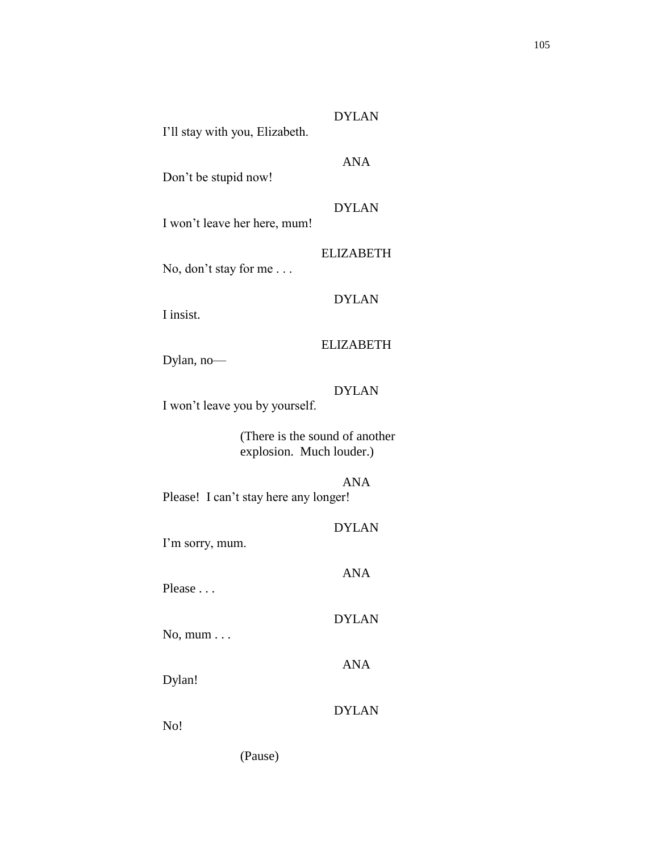| I'll stay with you, Elizabeth.                              | <b>DYLAN</b>     |  |
|-------------------------------------------------------------|------------------|--|
| Don't be stupid now!                                        | <b>ANA</b>       |  |
| I won't leave her here, mum!                                | <b>DYLAN</b>     |  |
| No, don't stay for me                                       | <b>ELIZABETH</b> |  |
| I insist.                                                   | <b>DYLAN</b>     |  |
| Dylan, no-                                                  | <b>ELIZABETH</b> |  |
| I won't leave you by yourself.                              | <b>DYLAN</b>     |  |
| (There is the sound of another)<br>explosion. Much louder.) |                  |  |
| <b>ANA</b><br>Please! I can't stay here any longer!         |                  |  |
| I'm sorry, mum.                                             | <b>DYLAN</b>     |  |
| Please                                                      | <b>ANA</b>       |  |
| $No, mum \ldots$                                            | <b>DYLAN</b>     |  |
|                                                             | <b>ANA</b>       |  |
| Dylan!                                                      | <b>DYLAN</b>     |  |
| No!<br>(Pause)                                              |                  |  |

105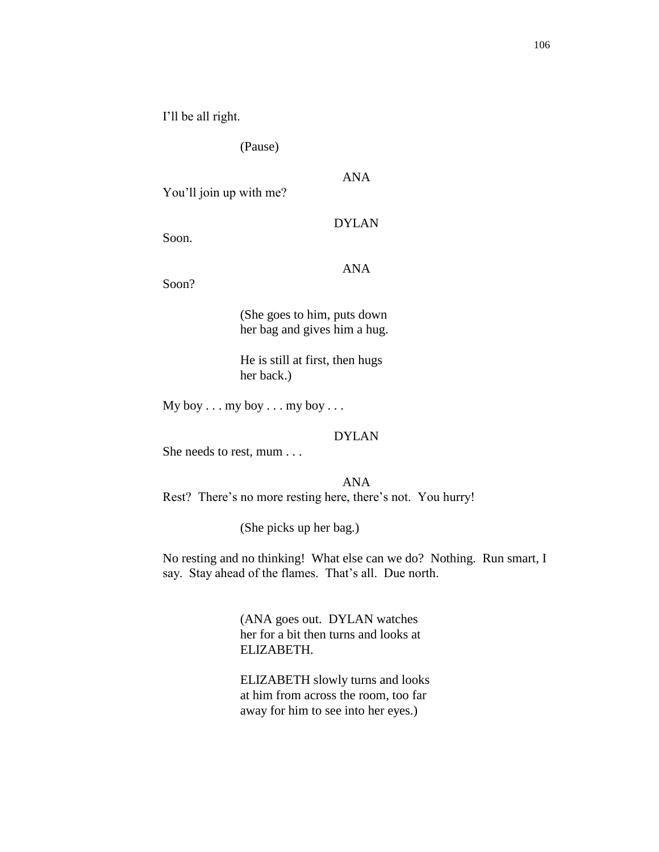I'll be all right.

(Pause)

You'll join up with me?

ANA

DYLAN

Soon.

ANA

Soon?

(She goes to him, puts down her bag and gives him a hug.

He is still at first, then hugs her back.)

 $My$  boy  $\ldots$  my boy  $\ldots$  my boy  $\ldots$ 

DYLAN

She needs to rest, mum . . .

ANA Rest? There's no more resting here, there's not. You hurry!

(She picks up her bag.)

No resting and no thinking! What else can we do? Nothing. Run smart, I say. Stay ahead of the flames. That's all. Due north.

> (ANA goes out. DYLAN watches her for a bit then turns and looks at ELIZABETH.

ELIZABETH slowly turns and looks at him from across the room, too far away for him to see into her eyes.)